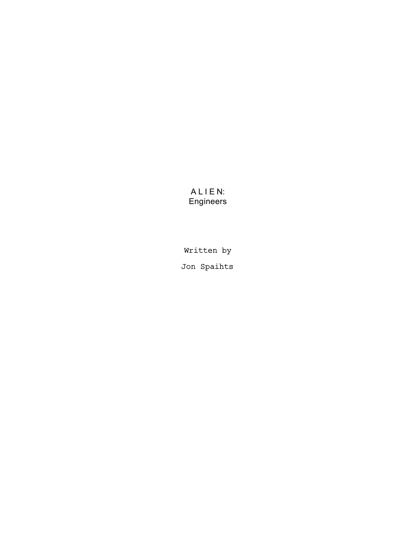# A L I E N: Engineers

Written by Jon Spaihts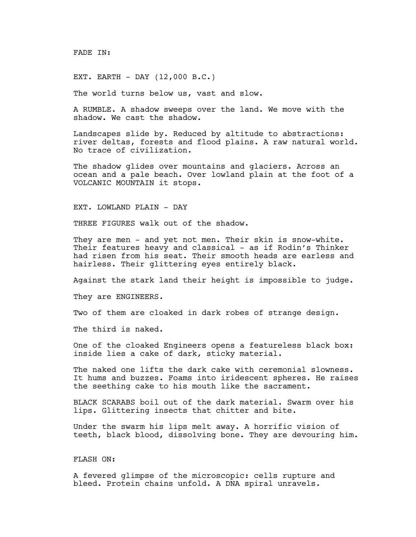FADE IN:

EXT. EARTH - DAY (12,000 B.C.)

The world turns below us, vast and slow.

A RUMBLE. A shadow sweeps over the land. We move with the shadow. We cast the shadow.

Landscapes slide by. Reduced by altitude to abstractions: river deltas, forests and flood plains. A raw natural world. No trace of civilization.

The shadow glides over mountains and glaciers. Across an ocean and a pale beach. Over lowland plain at the foot of a VOLCANIC MOUNTAIN it stops.

EXT. LOWLAND PLAIN - DAY

THREE FIGURES walk out of the shadow.

They are men - and yet not men. Their skin is snow-white. Their features heavy and classical - as if Rodin's Thinker had risen from his seat. Their smooth heads are earless and hairless. Their glittering eyes entirely black.

Against the stark land their height is impossible to judge.

They are ENGINEERS.

Two of them are cloaked in dark robes of strange design.

The third is naked.

One of the cloaked Engineers opens a featureless black box: inside lies a cake of dark, sticky material.

The naked one lifts the dark cake with ceremonial slowness. It hums and buzzes. Foams into iridescent spheres. He raises the seething cake to his mouth like the sacrament.

BLACK SCARABS boil out of the dark material. Swarm over his lips. Glittering insects that chitter and bite.

Under the swarm his lips melt away. A horrific vision of teeth, black blood, dissolving bone. They are devouring him.

# FLASH ON:

A fevered glimpse of the microscopic: cells rupture and bleed. Protein chains unfold. A DNA spiral unravels.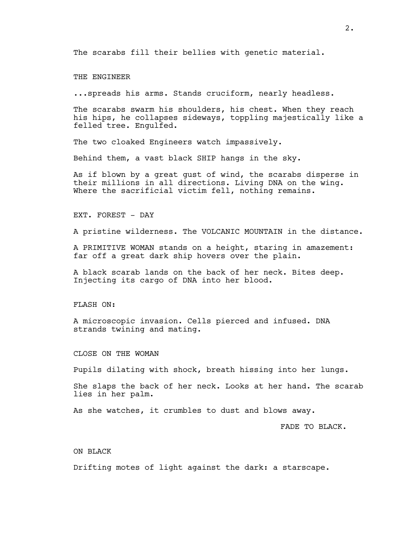The scarabs fill their bellies with genetic material.

THE ENGINEER

...spreads his arms. Stands cruciform, nearly headless.

The scarabs swarm his shoulders, his chest. When they reach his hips, he collapses sideways, toppling majestically like a felled tree. Engulfed.

The two cloaked Engineers watch impassively.

Behind them, a vast black SHIP hangs in the sky.

As if blown by a great gust of wind, the scarabs disperse in their millions in all directions. Living DNA on the wing. Where the sacrificial victim fell, nothing remains.

EXT. FOREST - DAY

A pristine wilderness. The VOLCANIC MOUNTAIN in the distance.

A PRIMITIVE WOMAN stands on a height, staring in amazement: far off a great dark ship hovers over the plain.

A black scarab lands on the back of her neck. Bites deep. Injecting its cargo of DNA into her blood.

#### FLASH ON:

A microscopic invasion. Cells pierced and infused. DNA strands twining and mating.

CLOSE ON THE WOMAN

Pupils dilating with shock, breath hissing into her lungs.

She slaps the back of her neck. Looks at her hand. The scarab lies in her palm.

As she watches, it crumbles to dust and blows away.

FADE TO BLACK.

## ON BLACK

Drifting motes of light against the dark: a starscape.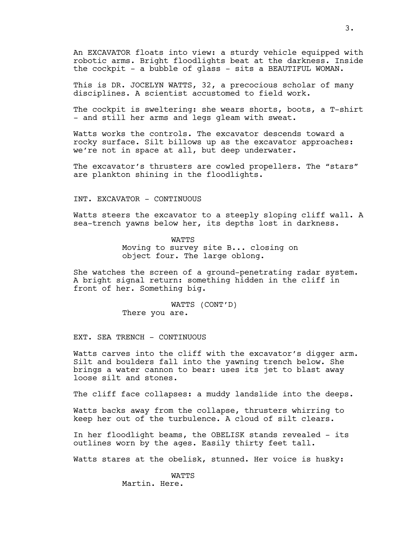An EXCAVATOR floats into view: a sturdy vehicle equipped with robotic arms. Bright floodlights beat at the darkness. Inside the cockpit - a bubble of glass - sits a BEAUTIFUL WOMAN.

This is DR. JOCELYN WATTS, 32, a precocious scholar of many disciplines. A scientist accustomed to field work.

The cockpit is sweltering: she wears shorts, boots, a T-shirt - and still her arms and legs gleam with sweat.

Watts works the controls. The excavator descends toward a rocky surface. Silt billows up as the excavator approaches: we're not in space at all, but deep underwater.

The excavator's thrusters are cowled propellers. The "stars" are plankton shining in the floodlights.

INT. EXCAVATOR - CONTINUOUS

Watts steers the excavator to a steeply sloping cliff wall. A sea-trench yawns below her, its depths lost in darkness.

> WATTS Moving to survey site B... closing on object four. The large oblong.

She watches the screen of a ground-penetrating radar system. A bright signal return: something hidden in the cliff in front of her. Something big.

> WATTS (CONT'D) There you are.

EXT. SEA TRENCH - CONTINUOUS

Watts carves into the cliff with the excavator's digger arm. Silt and boulders fall into the yawning trench below. She brings a water cannon to bear: uses its jet to blast away loose silt and stones.

The cliff face collapses: a muddy landslide into the deeps.

Watts backs away from the collapse, thrusters whirring to keep her out of the turbulence. A cloud of silt clears.

In her floodlight beams, the OBELISK stands revealed - its outlines worn by the ages. Easily thirty feet tall.

Watts stares at the obelisk, stunned. Her voice is husky:

**WATTS** Martin. Here.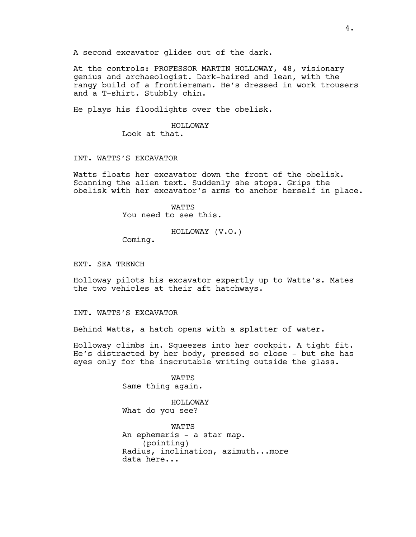A second excavator glides out of the dark.

At the controls: PROFESSOR MARTIN HOLLOWAY, 48, visionary genius and archaeologist. Dark-haired and lean, with the rangy build of a frontiersman. He's dressed in work trousers and a T-shirt. Stubbly chin.

He plays his floodlights over the obelisk.

### HOLLOWAY

Look at that.

# INT. WATTS'S EXCAVATOR

Watts floats her excavator down the front of the obelisk. Scanning the alien text. Suddenly she stops. Grips the obelisk with her excavator's arms to anchor herself in place.

> **WATTS** You need to see this.

> > HOLLOWAY (V.O.)

Coming.

EXT. SEA TRENCH

Holloway pilots his excavator expertly up to Watts's. Mates the two vehicles at their aft hatchways.

INT. WATTS'S EXCAVATOR

Behind Watts, a hatch opens with a splatter of water.

Holloway climbs in. Squeezes into her cockpit. A tight fit. He's distracted by her body, pressed so close - but she has eyes only for the inscrutable writing outside the glass.

> WATTS Same thing again.

HOLLOWAY What do you see?

WATTS An ephemeris - a star map. (pointing) Radius, inclination, azimuth...more data here...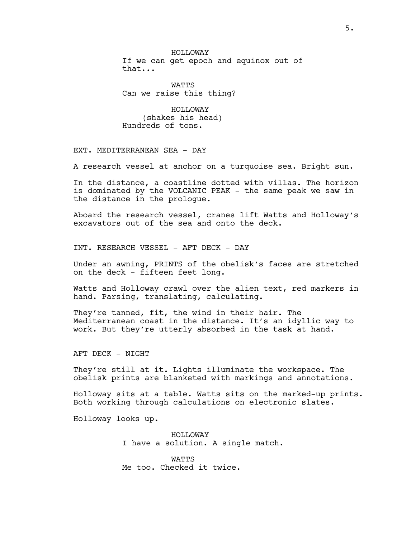HOLLOWAY If we can get epoch and equinox out of that...

WATTS Can we raise this thing?

HOLLOWAY (shakes his head) Hundreds of tons.

EXT. MEDITERRANEAN SEA - DAY

A research vessel at anchor on a turquoise sea. Bright sun.

In the distance, a coastline dotted with villas. The horizon is dominated by the VOLCANIC PEAK - the same peak we saw in the distance in the prologue.

Aboard the research vessel, cranes lift Watts and Holloway's excavators out of the sea and onto the deck.

INT. RESEARCH VESSEL - AFT DECK - DAY

Under an awning, PRINTS of the obelisk's faces are stretched on the deck - fifteen feet long.

Watts and Holloway crawl over the alien text, red markers in hand. Parsing, translating, calculating.

They're tanned, fit, the wind in their hair. The Mediterranean coast in the distance. It's an idyllic way to work. But they're utterly absorbed in the task at hand.

AFT DECK - NIGHT

They're still at it. Lights illuminate the workspace. The obelisk prints are blanketed with markings and annotations.

Holloway sits at a table. Watts sits on the marked-up prints. Both working through calculations on electronic slates.

Holloway looks up.

HOLLOWAY I have a solution. A single match.

WATTS Me too. Checked it twice.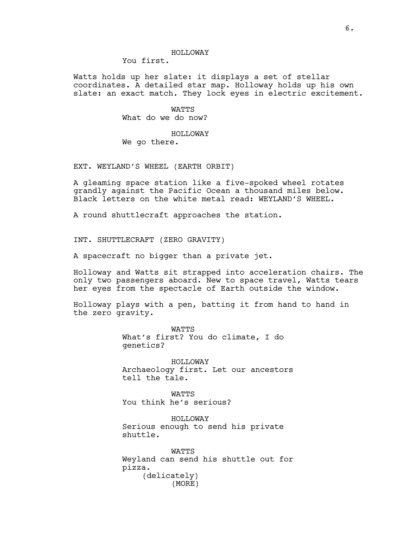You first.

Watts holds up her slate: it displays a set of stellar coordinates. A detailed star map. Holloway holds up his own slate: an exact match. They lock eyes in electric excitement.

> WATTS What do we do now?

> HOLLOWAY We go there.

EXT. WEYLAND'S WHEEL (EARTH ORBIT)

A gleaming space station like a five-spoked wheel rotates grandly against the Pacific Ocean a thousand miles below. Black letters on the white metal read: WEYLAND'S WHEEL.

A round shuttlecraft approaches the station.

INT. SHUTTLECRAFT (ZERO GRAVITY)

A spacecraft no bigger than a private jet.

Holloway and Watts sit strapped into acceleration chairs. The only two passengers aboard. New to space travel, Watts tears her eyes from the spectacle of Earth outside the window.

Holloway plays with a pen, batting it from hand to hand in the zero gravity.

> WATTS What's first? You do climate, I do genetics?

HOLLOWAY Archaeology first. Let our ancestors tell the tale.

**WATTS** You think he's serious?

HOLLOWAY Serious enough to send his private shuttle.

WATTS Weyland can send his shuttle out for pizza. (delicately) (MORE)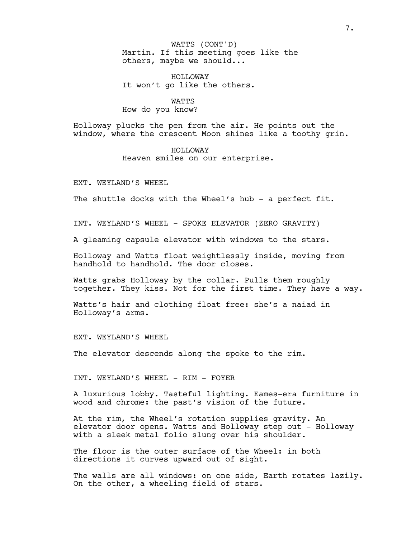Martin. If this meeting goes like the others, maybe we should... WATTS (CONT'D)

HOLLOWAY It won't go like the others.

WATTS How do you know?

Holloway plucks the pen from the air. He points out the window, where the crescent Moon shines like a toothy grin.

> HOLLOWAY Heaven smiles on our enterprise.

EXT. WEYLAND'S WHEEL

The shuttle docks with the Wheel's hub - a perfect fit.

INT. WEYLAND'S WHEEL - SPOKE ELEVATOR (ZERO GRAVITY)

A gleaming capsule elevator with windows to the stars.

Holloway and Watts float weightlessly inside, moving from handhold to handhold. The door closes.

Watts grabs Holloway by the collar. Pulls them roughly together. They kiss. Not for the first time. They have a way.

Watts's hair and clothing float free: she's a naiad in Holloway's arms.

EXT. WEYLAND'S WHEEL

The elevator descends along the spoke to the rim.

INT. WEYLAND'S WHEEL - RIM - FOYER

A luxurious lobby. Tasteful lighting. Eames-era furniture in wood and chrome: the past's vision of the future.

At the rim, the Wheel's rotation supplies gravity. An elevator door opens. Watts and Holloway step out - Holloway with a sleek metal folio slung over his shoulder.

The floor is the outer surface of the Wheel: in both directions it curves upward out of sight.

The walls are all windows: on one side, Earth rotates lazily. On the other, a wheeling field of stars.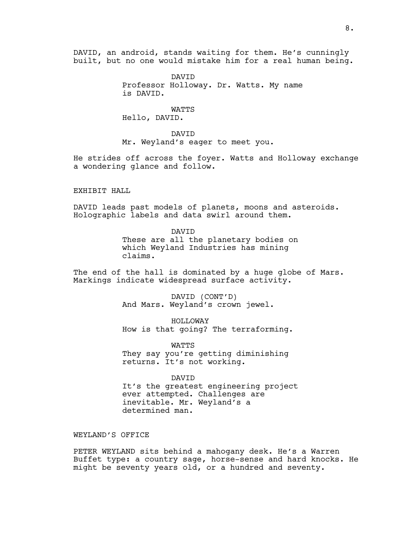DAVID, an android, stands waiting for them. He's cunningly built, but no one would mistake him for a real human being.

> DAVID Professor Holloway. Dr. Watts. My name is DAVID.

> > WATTS

Hello, DAVID.

DAVID Mr. Weyland's eager to meet you.

He strides off across the foyer. Watts and Holloway exchange a wondering glance and follow.

# EXHIBIT HALL

DAVID leads past models of planets, moons and asteroids. Holographic labels and data swirl around them.

> DAVID These are all the planetary bodies on which Weyland Industries has mining claims.

The end of the hall is dominated by a huge globe of Mars. Markings indicate widespread surface activity.

> DAVID (CONT'D) And Mars. Weyland's crown jewel.

HOLLOWAY How is that going? The terraforming.

WATTS They say you're getting diminishing returns. It's not working.

DAVID

It's the greatest engineering project ever attempted. Challenges are inevitable. Mr. Weyland's a determined man.

# WEYLAND'S OFFICE

PETER WEYLAND sits behind a mahogany desk. He's a Warren Buffet type: a country sage, horse-sense and hard knocks. He might be seventy years old, or a hundred and seventy.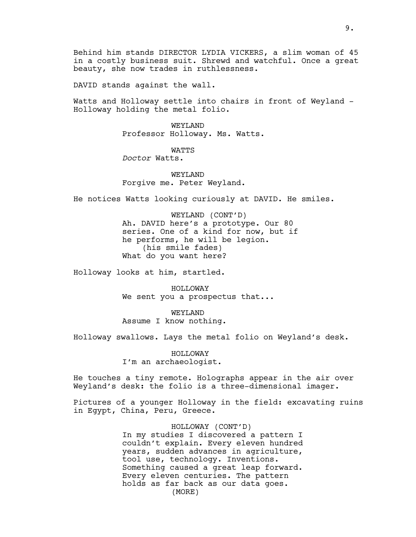Behind him stands DIRECTOR LYDIA VICKERS, a slim woman of 45 in a costly business suit. Shrewd and watchful. Once a great beauty, she now trades in ruthlessness.

DAVID stands against the wall.

Watts and Holloway settle into chairs in front of Weyland - Holloway holding the metal folio.

> WEYLAND Professor Holloway. Ms. Watts.

> > WATTS

*Doctor* Watts.

WEYLAND Forgive me. Peter Weyland.

He notices Watts looking curiously at DAVID. He smiles.

WEYLAND (CONT'D) Ah. DAVID here's a prototype. Our 80 series. One of a kind for now, but if he performs, he will be legion. (his smile fades) What do you want here?

Holloway looks at him, startled.

HOLLOWAY We sent you a prospectus that...

WEYLAND Assume I know nothing.

Holloway swallows. Lays the metal folio on Weyland's desk.

HOLLOWAY I'm an archaeologist.

He touches a tiny remote. Holographs appear in the air over Weyland's desk: the folio is a three-dimensional imager.

Pictures of a younger Holloway in the field: excavating ruins in Egypt, China, Peru, Greece.

> HOLLOWAY (CONT'D) In my studies I discovered a pattern I couldn't explain. Every eleven hundred years, sudden advances in agriculture, tool use, technology. Inventions. Something caused a great leap forward. Every eleven centuries. The pattern holds as far back as our data goes. (MORE)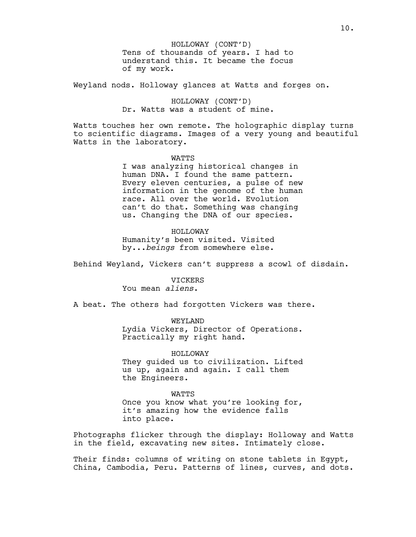Tens of thousands of years. I had to understand this. It became the focus of my work. HOLLOWAY (CONT'D)

Weyland nods. Holloway glances at Watts and forges on.

HOLLOWAY (CONT'D) Dr. Watts was a student of mine.

Watts touches her own remote. The holographic display turns to scientific diagrams. Images of a very young and beautiful Watts in the laboratory.

#### **WATTS**

I was analyzing historical changes in human DNA. I found the same pattern. Every eleven centuries, a pulse of new information in the genome of the human race. All over the world. Evolution can't do that. Something was changing us. Changing the DNA of our species.

#### HOLLOWAY

Humanity's been visited. Visited by...*beings* from somewhere else.

Behind Weyland, Vickers can't suppress a scowl of disdain.

#### VICKERS You mean *aliens*.

A beat. The others had forgotten Vickers was there.

#### WEYLAND

Lydia Vickers, Director of Operations. Practically my right hand.

HOLLOWAY

They guided us to civilization. Lifted us up, again and again. I call them the Engineers.

**WATTS** 

Once you know what you're looking for, it's amazing how the evidence falls into place.

Photographs flicker through the display: Holloway and Watts in the field, excavating new sites. Intimately close.

Their finds: columns of writing on stone tablets in Egypt, China, Cambodia, Peru. Patterns of lines, curves, and dots.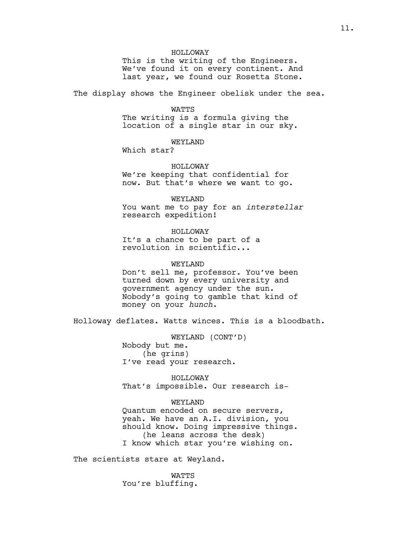HOLLOWAY

This is the writing of the Engineers. We've found it on every continent. And last year, we found our Rosetta Stone.

The display shows the Engineer obelisk under the sea.

### WATTS

The writing is a formula giving the location of a single star in our sky.

# WEYLAND

Which star?

# HOLLOWAY

We're keeping that confidential for now. But that's where we want to go.

## WEYLAND

You want me to pay for an *interstellar* research expedition!

# HOLLOWAY

It's a chance to be part of a revolution in scientific...

## WEYLAND

Don't sell me, professor. You've been turned down by every university and government agency under the sun. Nobody's going to gamble that kind of money on your *hunch*.

Holloway deflates. Watts winces. This is a bloodbath.

WEYLAND (CONT'D) Nobody but me. (he grins) I've read your research.

HOLLOWAY That's impossible. Our research is-

## WEYLAND

Quantum encoded on secure servers, yeah. We have an A.I. division, you should know. Doing impressive things. (he leans across the desk) I know which star you're wishing on.

The scientists stare at Weyland.

WATTS You're bluffing.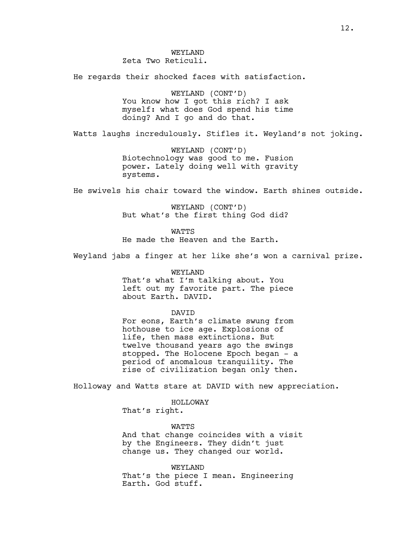WEYLAND Zeta Two Reticuli.

He regards their shocked faces with satisfaction.

WEYLAND (CONT'D) You know how I got this rich? I ask myself: what does God spend his time doing? And I go and do that.

Watts laughs incredulously. Stifles it. Weyland's not joking.

WEYLAND (CONT'D) Biotechnology was good to me. Fusion power. Lately doing well with gravity systems.

He swivels his chair toward the window. Earth shines outside.

WEYLAND (CONT'D) But what's the first thing God did?

**WATTS** He made the Heaven and the Earth.

Weyland jabs a finger at her like she's won a carnival prize.

WEYLAND That's what I'm talking about. You left out my favorite part. The piece about Earth. DAVID.

#### DAVID

For eons, Earth's climate swung from hothouse to ice age. Explosions of life, then mass extinctions. But twelve thousand years ago the swings stopped. The Holocene Epoch began - a period of anomalous tranquility. The rise of civilization began only then.

Holloway and Watts stare at DAVID with new appreciation.

HOLLOWAY That's right.

**WATTS** 

And that change coincides with a visit by the Engineers. They didn't just change us. They changed our world.

WEYLAND That's the piece I mean. Engineering Earth. God stuff.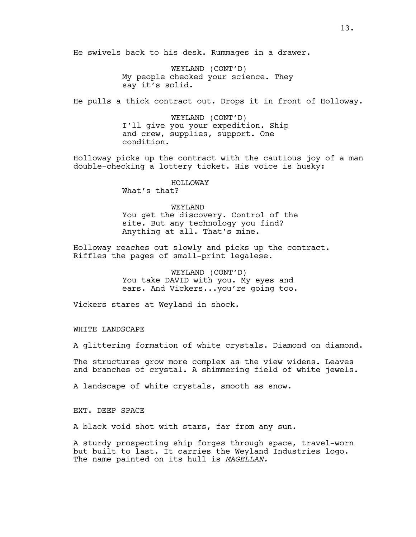He swivels back to his desk. Rummages in a drawer.

WEYLAND (CONT'D) My people checked your science. They say it's solid.

He pulls a thick contract out. Drops it in front of Holloway.

WEYLAND (CONT'D) I'll give you your expedition. Ship and crew, supplies, support. One condition.

Holloway picks up the contract with the cautious joy of a man double-checking a lottery ticket. His voice is husky:

# HOLLOWAY

What's that?

# WEYLAND

You get the discovery. Control of the site. But any technology you find? Anything at all. That's mine.

Holloway reaches out slowly and picks up the contract. Riffles the pages of small-print legalese.

> WEYLAND (CONT'D) You take DAVID with you. My eyes and ears. And Vickers...you're going too.

Vickers stares at Weyland in shock.

WHITE LANDSCAPE

A glittering formation of white crystals. Diamond on diamond.

The structures grow more complex as the view widens. Leaves and branches of crystal. A shimmering field of white jewels.

A landscape of white crystals, smooth as snow.

EXT. DEEP SPACE

A black void shot with stars, far from any sun.

A sturdy prospecting ship forges through space, travel-worn but built to last. It carries the Weyland Industries logo. The name painted on its hull is *MAGELLAN.*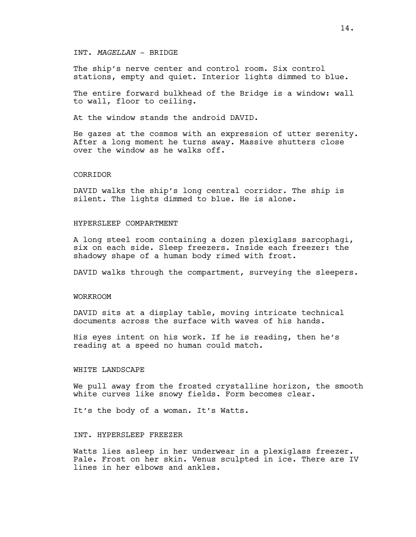# INT. *MAGELLAN* - BRIDGE

The ship's nerve center and control room. Six control stations, empty and quiet. Interior lights dimmed to blue.

The entire forward bulkhead of the Bridge is a window: wall to wall, floor to ceiling.

At the window stands the android DAVID.

He gazes at the cosmos with an expression of utter serenity. After a long moment he turns away. Massive shutters close over the window as he walks off.

#### CORRIDOR

DAVID walks the ship's long central corridor. The ship is silent. The lights dimmed to blue. He is alone.

#### HYPERSLEEP COMPARTMENT

A long steel room containing a dozen plexiglass sarcophagi, six on each side. Sleep freezers. Inside each freezer: the shadowy shape of a human body rimed with frost.

DAVID walks through the compartment, surveying the sleepers.

# WORKROOM

DAVID sits at a display table, moving intricate technical documents across the surface with waves of his hands.

His eyes intent on his work. If he is reading, then he's reading at a speed no human could match.

# WHITE LANDSCAPE

We pull away from the frosted crystalline horizon, the smooth white curves like snowy fields. Form becomes clear.

It's the body of a woman. It's Watts.

#### INT. HYPERSLEEP FREEZER

Watts lies asleep in her underwear in a plexiglass freezer. Pale. Frost on her skin. Venus sculpted in ice. There are IV lines in her elbows and ankles.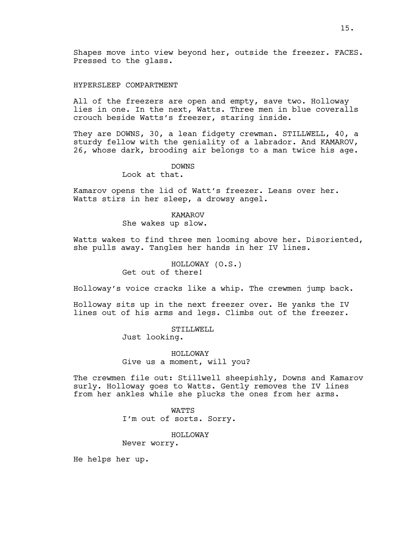Shapes move into view beyond her, outside the freezer. FACES. Pressed to the glass.

# HYPERSLEEP COMPARTMENT

All of the freezers are open and empty, save two. Holloway lies in one. In the next, Watts. Three men in blue coveralls crouch beside Watts's freezer, staring inside.

They are DOWNS, 30, a lean fidgety crewman. STILLWELL, 40, a sturdy fellow with the geniality of a labrador. And KAMAROV, 26, whose dark, brooding air belongs to a man twice his age.

### DOWNS

Look at that.

Kamarov opens the lid of Watt's freezer. Leans over her. Watts stirs in her sleep, a drowsy angel.

# KAMAROV

She wakes up slow.

Watts wakes to find three men looming above her. Disoriented, she pulls away. Tangles her hands in her IV lines.

> HOLLOWAY (O.S.) Get out of there!

Holloway's voice cracks like a whip. The crewmen jump back.

Holloway sits up in the next freezer over. He yanks the IV lines out of his arms and legs. Climbs out of the freezer.

> STILLWELL Just looking.

HOLLOWAY Give us a moment, will you?

The crewmen file out: Stillwell sheepishly, Downs and Kamarov surly. Holloway goes to Watts. Gently removes the IV lines from her ankles while she plucks the ones from her arms.

WATTS

I'm out of sorts. Sorry.

HOLLOWAY

Never worry.

He helps her up.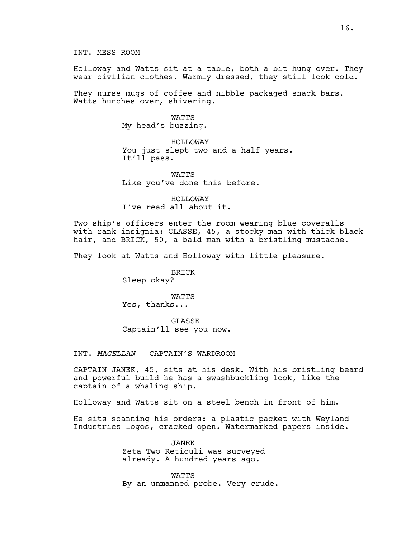INT. MESS ROOM

Holloway and Watts sit at a table, both a bit hung over. They wear civilian clothes. Warmly dressed, they still look cold.

They nurse mugs of coffee and nibble packaged snack bars. Watts hunches over, shivering.

> **WATTS** My head's buzzing.

HOLLOWAY You just slept two and a half years. It'll pass.

**WATTS** Like you've done this before.

HOLLOWAY I've read all about it.

Two ship's officers enter the room wearing blue coveralls with rank insignia: GLASSE, 45, a stocky man with thick black hair, and BRICK, 50, a bald man with a bristling mustache.

They look at Watts and Holloway with little pleasure.

BRICK Sleep okay?

WATTS Yes, thanks...

GLASSE Captain'll see you now.

INT. *MAGELLAN* - CAPTAIN'S WARDROOM

CAPTAIN JANEK, 45, sits at his desk. With his bristling beard and powerful build he has a swashbuckling look, like the captain of a whaling ship.

Holloway and Watts sit on a steel bench in front of him.

He sits scanning his orders: a plastic packet with Weyland Industries logos, cracked open. Watermarked papers inside.

> JANEK Zeta Two Reticuli was surveyed already. A hundred years ago.

WATTS By an unmanned probe. Very crude.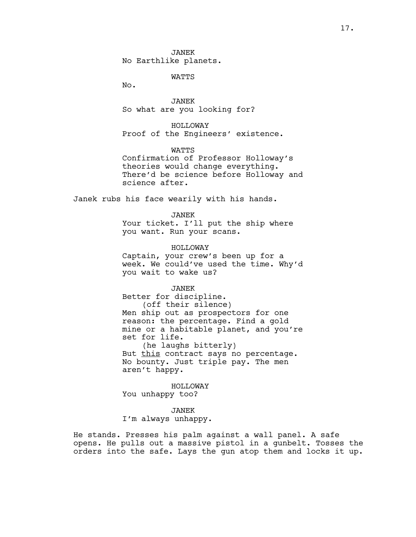JANEK No Earthlike planets.

WATTS

No.

JANEK So what are you looking for?

HOLLOWAY Proof of the Engineers' existence.

WATTS Confirmation of Professor Holloway's theories would change everything. There'd be science before Holloway and science after.

Janek rubs his face wearily with his hands.

#### JANEK

Your ticket. I'll put the ship where you want. Run your scans.

HOLLOWAY Captain, your crew's been up for a week. We could've used the time. Why'd

JANEK

you wait to wake us?

Better for discipline. (off their silence) Men ship out as prospectors for one reason: the percentage. Find a gold mine or a habitable planet, and you're set for life.

(he laughs bitterly) But this contract says no percentage. No bounty. Just triple pay. The men aren't happy.

HOLLOWAY You unhappy too?

JANEK

I'm always unhappy.

He stands. Presses his palm against a wall panel. A safe opens. He pulls out a massive pistol in a gunbelt. Tosses the orders into the safe. Lays the gun atop them and locks it up.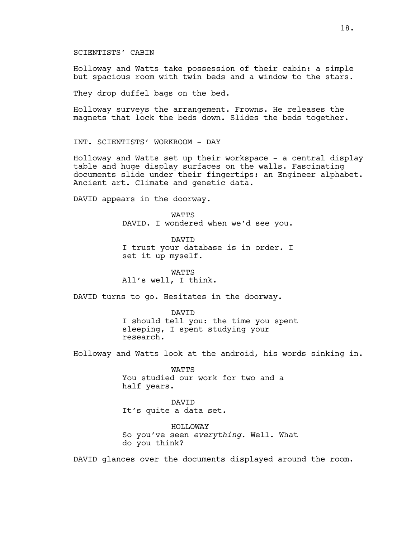SCIENTISTS' CABIN

Holloway and Watts take possession of their cabin: a simple but spacious room with twin beds and a window to the stars.

They drop duffel bags on the bed.

Holloway surveys the arrangement. Frowns. He releases the magnets that lock the beds down. Slides the beds together.

INT. SCIENTISTS' WORKROOM - DAY

Holloway and Watts set up their workspace - a central display table and huge display surfaces on the walls. Fascinating documents slide under their fingertips: an Engineer alphabet. Ancient art. Climate and genetic data.

DAVID appears in the doorway.

**WATTS** DAVID. I wondered when we'd see you.

DAVID I trust your database is in order. I set it up myself.

WATTS All's well, I think.

DAVID turns to go. Hesitates in the doorway.

DAVID I should tell you: the time you spent sleeping, I spent studying your research.

Holloway and Watts look at the android, his words sinking in.

**WATTS** You studied our work for two and a half years.

DAVID It's quite a data set.

HOLLOWAY So you've seen *everything*. Well. What do you think?

DAVID glances over the documents displayed around the room.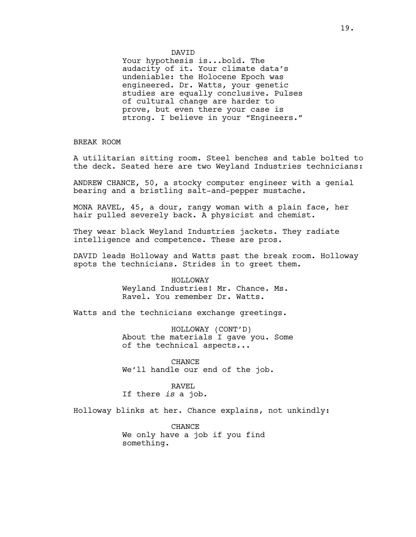# DAVID

Your hypothesis is...bold. The audacity of it. Your climate data's undeniable: the Holocene Epoch was engineered. Dr. Watts, your genetic studies are equally conclusive. Pulses of cultural change are harder to prove, but even there your case is strong. I believe in your "Engineers."

BREAK ROOM

A utilitarian sitting room. Steel benches and table bolted to the deck. Seated here are two Weyland Industries technicians:

ANDREW CHANCE, 50, a stocky computer engineer with a genial bearing and a bristling salt-and-pepper mustache.

MONA RAVEL, 45, a dour, rangy woman with a plain face, her hair pulled severely back. A physicist and chemist.

They wear black Weyland Industries jackets. They radiate intelligence and competence. These are pros.

DAVID leads Holloway and Watts past the break room. Holloway spots the technicians. Strides in to greet them.

#### HOLLOWAY

Weyland Industries! Mr. Chance. Ms. Ravel. You remember Dr. Watts.

Watts and the technicians exchange greetings.

HOLLOWAY (CONT'D) About the materials I gave you. Some of the technical aspects...

CHANCE We'll handle our end of the job.

# RAVEL If there *is* a job.

Holloway blinks at her. Chance explains, not unkindly:

**CHANCE** We only have a job if you find something.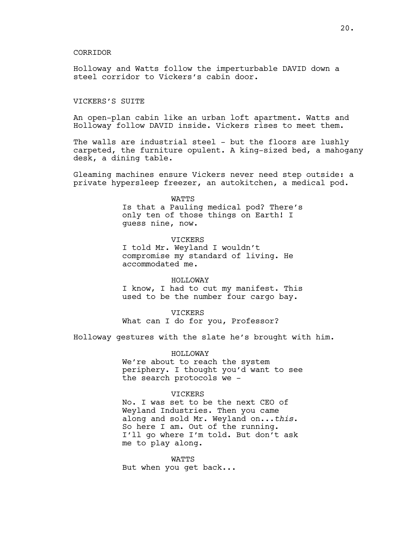#### CORRIDOR

Holloway and Watts follow the imperturbable DAVID down a steel corridor to Vickers's cabin door.

# VICKERS'S SUITE

An open-plan cabin like an urban loft apartment. Watts and Holloway follow DAVID inside. Vickers rises to meet them.

The walls are industrial steel - but the floors are lushly carpeted, the furniture opulent. A king-sized bed, a mahogany desk, a dining table.

Gleaming machines ensure Vickers never need step outside: a private hypersleep freezer, an autokitchen, a medical pod.

# WATTS

Is that a Pauling medical pod? There's only ten of those things on Earth! I guess nine, now.

# VICKERS

I told Mr. Weyland I wouldn't compromise my standard of living. He accommodated me.

# HOLLOWAY

I know, I had to cut my manifest. This used to be the number four cargo bay.

# VICKERS

What can I do for you, Professor?

Holloway gestures with the slate he's brought with him.

#### HOLLOWAY

We're about to reach the system periphery. I thought you'd want to see the search protocols we -

# **VICKERS**

No. I was set to be the next CEO of Weyland Industries. Then you came along and sold Mr. Weyland on...*this*. So here I am. Out of the running. I'll go where I'm told. But don't ask me to play along.

WATTS But when you get back...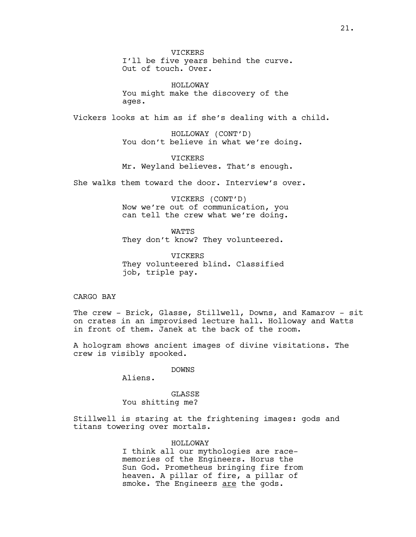**VICKERS** I'll be five years behind the curve. Out of touch. Over.

HOLLOWAY You might make the discovery of the ages.

Vickers looks at him as if she's dealing with a child.

HOLLOWAY (CONT'D) You don't believe in what we're doing.

**VICKERS** Mr. Weyland believes. That's enough.

She walks them toward the door. Interview's over.

VICKERS (CONT'D) Now we're out of communication, you can tell the crew what we're doing.

**WATTS** They don't know? They volunteered.

VICKERS They volunteered blind. Classified job, triple pay.

CARGO BAY

The crew - Brick, Glasse, Stillwell, Downs, and Kamarov - sit on crates in an improvised lecture hall. Holloway and Watts in front of them. Janek at the back of the room.

A hologram shows ancient images of divine visitations. The crew is visibly spooked.

DOWNS

Aliens.

GLASSE You shitting me?

Stillwell is staring at the frightening images: gods and titans towering over mortals.

HOLLOWAY

I think all our mythologies are racememories of the Engineers. Horus the Sun God. Prometheus bringing fire from heaven. A pillar of fire, a pillar of smoke. The Engineers are the gods.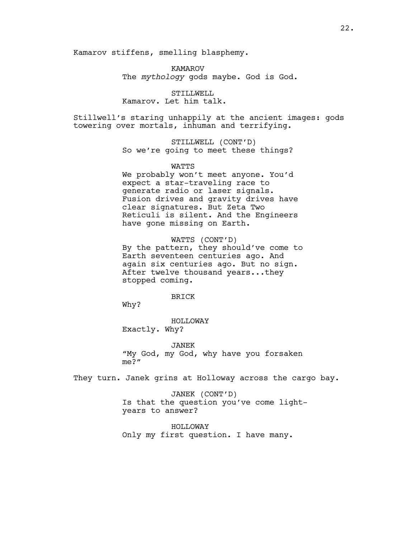Kamarov stiffens, smelling blasphemy.

KAMAROV The *mythology* gods maybe. God is God.

STILLWELL Kamarov. Let him talk.

Stillwell's staring unhappily at the ancient images: gods towering over mortals, inhuman and terrifying.

> STILLWELL (CONT'D) So we're going to meet these things?

> > WATTS

We probably won't meet anyone. You'd expect a star-traveling race to generate radio or laser signals. Fusion drives and gravity drives have clear signatures. But Zeta Two Reticuli is silent. And the Engineers have gone missing on Earth.

WATTS (CONT'D) By the pattern, they should've come to Earth seventeen centuries ago. And again six centuries ago. But no sign. After twelve thousand years...they stopped coming.

BRICK

Why?

HOLLOWAY Exactly. Why?

JANEK "My God, my God, why have you forsaken me?"

They turn. Janek grins at Holloway across the cargo bay.

JANEK (CONT'D) Is that the question you've come lightyears to answer?

HOLLOWAY Only my first question. I have many.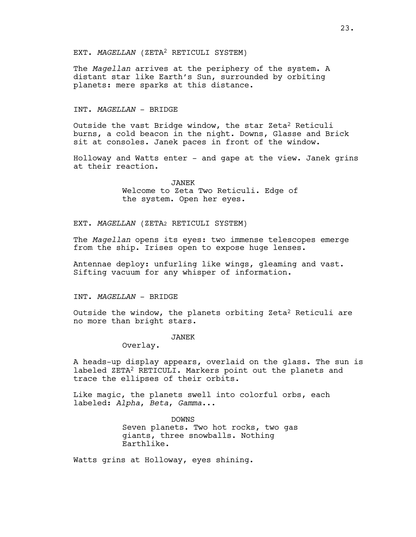# EXT. *MAGELLAN* (ZETA2 RETICULI SYSTEM)

The *Magellan* arrives at the periphery of the system. A distant star like Earth's Sun, surrounded by orbiting planets: mere sparks at this distance.

#### INT. *MAGELLAN* - BRIDGE

Outside the vast Bridge window, the star Zeta<sup>2</sup> Reticuli burns, a cold beacon in the night. Downs, Glasse and Brick sit at consoles. Janek paces in front of the window.

Holloway and Watts enter - and gape at the view. Janek grins at their reaction.

> JANEK Welcome to Zeta Two Reticuli. Edge of the system. Open her eyes.

EXT. *MAGELLAN* (ZETA2 RETICULI SYSTEM)

The *Magellan* opens its eyes: two immense telescopes emerge from the ship. Irises open to expose huge lenses.

Antennae deploy: unfurling like wings, gleaming and vast. Sifting vacuum for any whisper of information.

# INT. *MAGELLAN* - BRIDGE

Outside the window, the planets orbiting Zeta2 Reticuli are no more than bright stars.

# JANEK

Overlay.

A heads-up display appears, overlaid on the glass. The sun is labeled ZETA2 RETICULI. Markers point out the planets and trace the ellipses of their orbits.

Like magic, the planets swell into colorful orbs, each labeled: *Alpha*, *Beta*, *Gamma*...

> DOWNS Seven planets. Two hot rocks, two gas giants, three snowballs. Nothing Earthlike.

Watts grins at Holloway, eyes shining.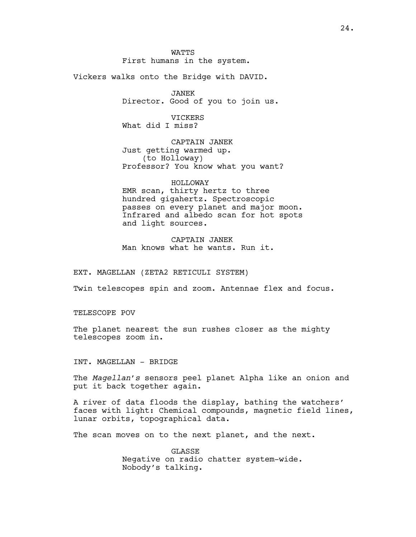**WATTS** First humans in the system.

Vickers walks onto the Bridge with DAVID.

JANEK Director. Good of you to join us.

VICKERS What did I miss?

CAPTAIN JANEK Just getting warmed up. (to Holloway) Professor? You know what you want?

HOLLOWAY EMR scan, thirty hertz to three hundred gigahertz. Spectroscopic passes on every planet and major moon. Infrared and albedo scan for hot spots and light sources.

CAPTAIN JANEK Man knows what he wants. Run it.

EXT. MAGELLAN (ZETA2 RETICULI SYSTEM)

Twin telescopes spin and zoom. Antennae flex and focus.

TELESCOPE POV

The planet nearest the sun rushes closer as the mighty telescopes zoom in.

INT. MAGELLAN - BRIDGE

The *Magellan's* sensors peel planet Alpha like an onion and put it back together again.

A river of data floods the display, bathing the watchers' faces with light: Chemical compounds, magnetic field lines, lunar orbits, topographical data.

The scan moves on to the next planet, and the next.

GLASSE Negative on radio chatter system-wide. Nobody's talking.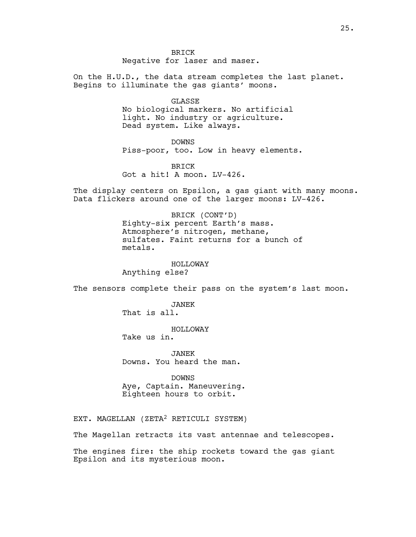BRICK

Negative for laser and maser.

On the H.U.D., the data stream completes the last planet. Begins to illuminate the gas giants' moons.

> GLASSE No biological markers. No artificial light. No industry or agriculture. Dead system. Like always.

DOWNS Piss-poor, too. Low in heavy elements.

BRICK Got a hit! A moon. LV-426.

The display centers on Epsilon, a gas giant with many moons. Data flickers around one of the larger moons: LV-426.

> BRICK (CONT'D) Eighty-six percent Earth's mass. Atmosphere's nitrogen, methane, sulfates. Faint returns for a bunch of metals.

> > HOLLOWAY

Anything else?

The sensors complete their pass on the system's last moon.

JANEK

That is all.

HOLLOWAY Take us in.

JANEK Downs. You heard the man.

DOWNS Aye, Captain. Maneuvering. Eighteen hours to orbit.

EXT. MAGELLAN (ZETA2 RETICULI SYSTEM)

The Magellan retracts its vast antennae and telescopes.

The engines fire: the ship rockets toward the gas giant Epsilon and its mysterious moon.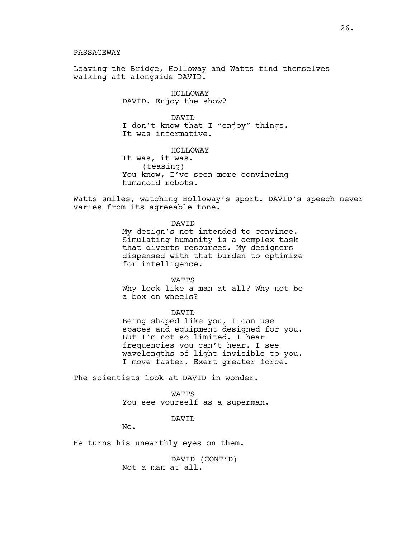PASSAGEWAY

Leaving the Bridge, Holloway and Watts find themselves walking aft alongside DAVID.

> HOLLOWAY DAVID. Enjoy the show?

DAVID I don't know that I "enjoy" things. It was informative.

HOLLOWAY It was, it was. (teasing) You know, I've seen more convincing humanoid robots.

Watts smiles, watching Holloway's sport. DAVID's speech never varies from its agreeable tone.

DAVID

My design's not intended to convince. Simulating humanity is a complex task that diverts resources. My designers dispensed with that burden to optimize for intelligence.

WATTS Why look like a man at all? Why not be a box on wheels?

DAVID Being shaped like you, I can use spaces and equipment designed for you. But I'm not so limited. I hear frequencies you can't hear. I see wavelengths of light invisible to you. I move faster. Exert greater force.

The scientists look at DAVID in wonder.

**WATTS** You see yourself as a superman.

DAVID

No.

He turns his unearthly eyes on them.

DAVID (CONT'D) Not a man at all.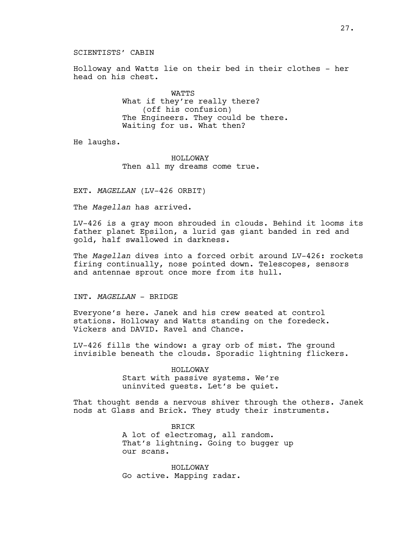# SCIENTISTS' CABIN

Holloway and Watts lie on their bed in their clothes - her head on his chest.

> WATTS What if they're really there? (off his confusion) The Engineers. They could be there. Waiting for us. What then?

He laughs.

HOLLOWAY Then all my dreams come true.

EXT. *MAGELLAN* (LV-426 ORBIT)

The *Magellan* has arrived.

LV-426 is a gray moon shrouded in clouds. Behind it looms its father planet Epsilon, a lurid gas giant banded in red and gold, half swallowed in darkness.

The *Magellan* dives into a forced orbit around LV-426: rockets firing continually, nose pointed down. Telescopes, sensors and antennae sprout once more from its hull.

#### INT. *MAGELLAN* - BRIDGE

Everyone's here. Janek and his crew seated at control stations. Holloway and Watts standing on the foredeck. Vickers and DAVID. Ravel and Chance.

LV-426 fills the window: a gray orb of mist. The ground invisible beneath the clouds. Sporadic lightning flickers.

#### HOLLOWAY

Start with passive systems. We're uninvited guests. Let's be quiet.

That thought sends a nervous shiver through the others. Janek nods at Glass and Brick. They study their instruments.

> BRICK A lot of electromag, all random. That's lightning. Going to bugger up our scans.

HOLLOWAY Go active. Mapping radar.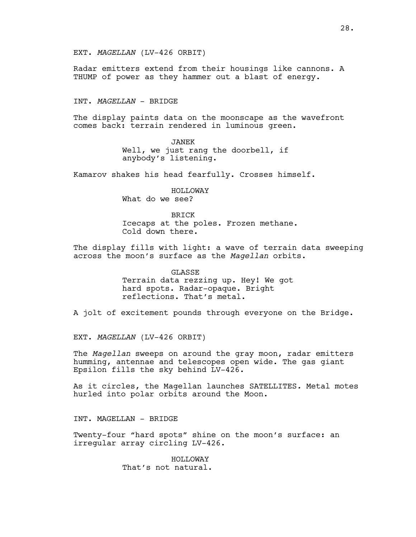Radar emitters extend from their housings like cannons. A THUMP of power as they hammer out a blast of energy.

INT. *MAGELLAN* - BRIDGE

The display paints data on the moonscape as the wavefront comes back: terrain rendered in luminous green.

> JANEK Well, we just rang the doorbell, if anybody's listening.

Kamarov shakes his head fearfully. Crosses himself.

HOLLOWAY What do we see?

BRICK Icecaps at the poles. Frozen methane. Cold down there.

The display fills with light: a wave of terrain data sweeping across the moon's surface as the *Magellan* orbits.

> GLASSE Terrain data rezzing up. Hey! We got hard spots. Radar-opaque. Bright reflections. That's metal.

A jolt of excitement pounds through everyone on the Bridge.

EXT. *MAGELLAN* (LV-426 ORBIT)

The *Magellan* sweeps on around the gray moon, radar emitters humming, antennae and telescopes open wide. The gas giant Epsilon fills the sky behind LV-426.

As it circles, the Magellan launches SATELLITES*.* Metal motes hurled into polar orbits around the Moon.

INT. MAGELLAN - BRIDGE

Twenty-four "hard spots" shine on the moon's surface: an irregular array circling LV-426.

> HOLLOWAY That's not natural.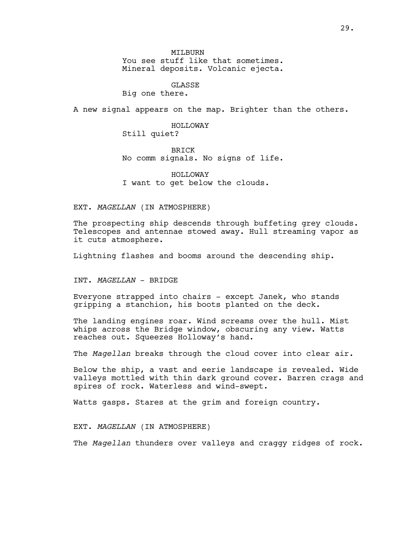MTT<sub>BURN</sub> You see stuff like that sometimes. Mineral deposits. Volcanic ejecta.

**GLASSE** 

Big one there.

A new signal appears on the map. Brighter than the others.

# HOLLOWAY Still quiet?

BRICK No comm signals. No signs of life.

HOLLOWAY I want to get below the clouds.

EXT. *MAGELLAN* (IN ATMOSPHERE)

The prospecting ship descends through buffeting grey clouds. Telescopes and antennae stowed away. Hull streaming vapor as it cuts atmosphere.

Lightning flashes and booms around the descending ship.

INT. *MAGELLAN* - BRIDGE

Everyone strapped into chairs - except Janek, who stands gripping a stanchion, his boots planted on the deck.

The landing engines roar. Wind screams over the hull. Mist whips across the Bridge window, obscuring any view. Watts reaches out. Squeezes Holloway's hand.

The *Magellan* breaks through the cloud cover into clear air.

Below the ship, a vast and eerie landscape is revealed. Wide valleys mottled with thin dark ground cover. Barren crags and spires of rock. Waterless and wind-swept.

Watts gasps. Stares at the grim and foreign country.

EXT. *MAGELLAN* (IN ATMOSPHERE)

The *Magellan* thunders over valleys and craggy ridges of rock.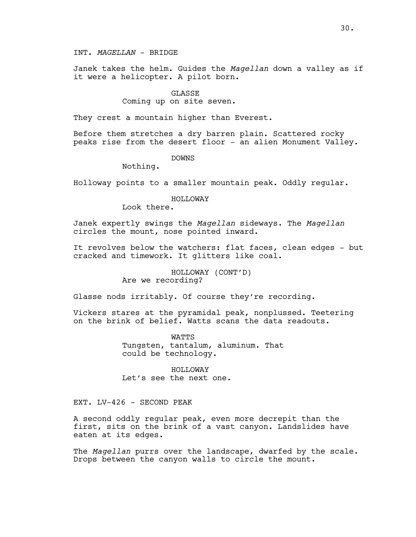Janek takes the helm. Guides the *Magellan* down a valley as if it were a helicopter. A pilot born.

#### GLASSE

# Coming up on site seven.

They crest a mountain higher than Everest.

Before them stretches a dry barren plain. Scattered rocky peaks rise from the desert floor - an alien Monument Valley.

# DOWNS

Nothing.

Holloway points to a smaller mountain peak. Oddly regular.

#### HOLLOWAY

Look there.

Janek expertly swings the *Magellan* sideways. The *Magellan* circles the mount, nose pointed inward.

It revolves below the watchers: flat faces, clean edges - but cracked and timework. It glitters like coal.

> HOLLOWAY (CONT'D) Are we recording?

Glasse nods irritably. Of course they're recording.

Vickers stares at the pyramidal peak, nonplussed. Teetering on the brink of belief. Watts scans the data readouts.

> **WATTS** Tungsten, tantalum, aluminum. That could be technology.

HOLLOWAY Let's see the next one.

# EXT. LV-426 - SECOND PEAK

A second oddly regular peak, even more decrepit than the first, sits on the brink of a vast canyon. Landslides have eaten at its edges.

The *Magellan* purrs over the landscape, dwarfed by the scale. Drops between the canyon walls to circle the mount.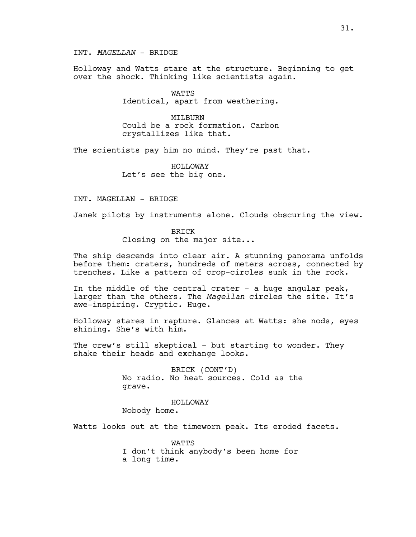INT. *MAGELLAN* - BRIDGE

Holloway and Watts stare at the structure. Beginning to get over the shock. Thinking like scientists again.

> WATTS Identical, apart from weathering.

> MTT<sub>BURN</sub> Could be a rock formation. Carbon crystallizes like that.

The scientists pay him no mind. They're past that.

HOLLOWAY Let's see the big one.

INT. MAGELLAN - BRIDGE

Janek pilots by instruments alone. Clouds obscuring the view.

# BRICK

Closing on the major site...

The ship descends into clear air. A stunning panorama unfolds before them: craters, hundreds of meters across, connected by trenches. Like a pattern of crop-circles sunk in the rock.

In the middle of the central crater  $-$  a huge angular peak, larger than the others. The *Magellan* circles the site. It's awe-inspiring. Cryptic. Huge.

Holloway stares in rapture. Glances at Watts: she nods, eyes shining. She's with him.

The crew's still skeptical - but starting to wonder. They shake their heads and exchange looks.

> BRICK (CONT'D) No radio. No heat sources. Cold as the grave.

HOLLOWAY Nobody home.

Watts looks out at the timeworn peak. Its eroded facets.

WATTS I don't think anybody's been home for a long time.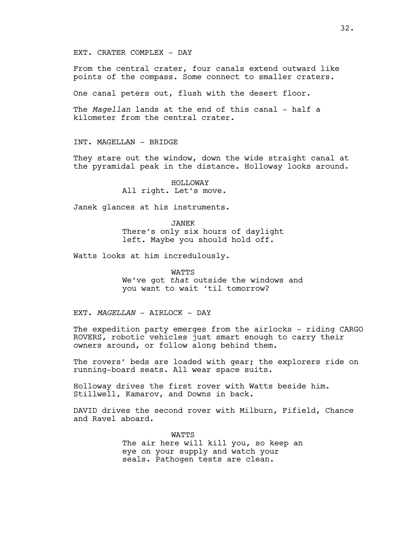# EXT. CRATER COMPLEX - DAY

From the central crater, four canals extend outward like points of the compass. Some connect to smaller craters.

One canal peters out, flush with the desert floor.

The *Magellan* lands at the end of this canal - half a kilometer from the central crater.

INT. MAGELLAN - BRIDGE

They stare out the window, down the wide straight canal at the pyramidal peak in the distance. Holloway looks around.

> HOLLOWAY All right. Let's move.

Janek glances at his instruments.

JANEK There's only six hours of daylight left. Maybe you should hold off.

Watts looks at him incredulously.

WATTS We've got *that* outside the windows and you want to wait 'til tomorrow?

EXT. *MAGELLAN* - AIRLOCK - DAY

The expedition party emerges from the airlocks - riding CARGO ROVERS, robotic vehicles just smart enough to carry their owners around, or follow along behind them.

The rovers' beds are loaded with gear; the explorers ride on running-board seats. All wear space suits.

Holloway drives the first rover with Watts beside him. Stillwell, Kamarov, and Downs in back.

DAVID drives the second rover with Milburn, Fifield, Chance and Ravel aboard.

> WATTS The air here will kill you, so keep an eye on your supply and watch your seals. Pathogen tests are clean.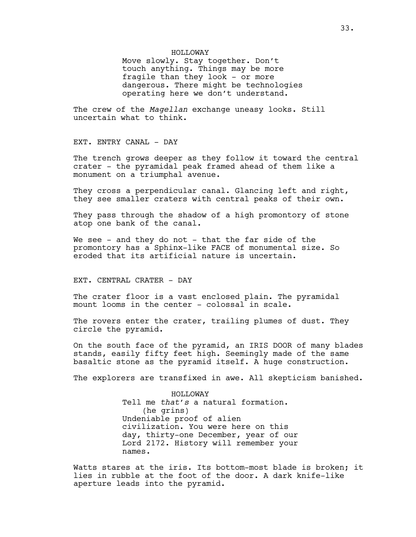HOLLOWAY

Move slowly. Stay together. Don't touch anything. Things may be more fragile than they look - or more dangerous. There might be technologies operating here we don't understand.

The crew of the *Magellan* exchange uneasy looks. Still uncertain what to think.

EXT. ENTRY CANAL - DAY

The trench grows deeper as they follow it toward the central crater - the pyramidal peak framed ahead of them like a monument on a triumphal avenue.

They cross a perpendicular canal. Glancing left and right, they see smaller craters with central peaks of their own.

They pass through the shadow of a high promontory of stone atop one bank of the canal.

We see - and they do not - that the far side of the promontory has a Sphinx-like FACE of monumental size. So eroded that its artificial nature is uncertain.

EXT. CENTRAL CRATER - DAY

The crater floor is a vast enclosed plain. The pyramidal mount looms in the center - colossal in scale.

The rovers enter the crater, trailing plumes of dust. They circle the pyramid.

On the south face of the pyramid, an IRIS DOOR of many blades stands, easily fifty feet high. Seemingly made of the same basaltic stone as the pyramid itself. A huge construction.

The explorers are transfixed in awe. All skepticism banished.

HOLLOWAY Tell me *that's* a natural formation. (he grins) Undeniable proof of alien civilization. You were here on this day, thirty-one December, year of our Lord 2172. History will remember your names.

Watts stares at the iris. Its bottom-most blade is broken; it lies in rubble at the foot of the door. A dark knife-like aperture leads into the pyramid.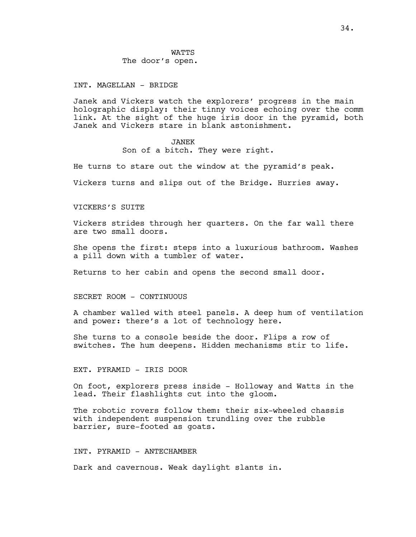# **WATTS** The door's open.

#### INT. MAGELLAN - BRIDGE

Janek and Vickers watch the explorers' progress in the main holographic display: their tinny voices echoing over the comm link. At the sight of the huge iris door in the pyramid, both Janek and Vickers stare in blank astonishment.

# JANEK

Son of a bitch. They were right.

He turns to stare out the window at the pyramid's peak.

Vickers turns and slips out of the Bridge. Hurries away.

#### VICKERS'S SUITE

Vickers strides through her quarters. On the far wall there are two small doors.

She opens the first: steps into a luxurious bathroom. Washes a pill down with a tumbler of water.

Returns to her cabin and opens the second small door.

#### SECRET ROOM - CONTINUOUS

A chamber walled with steel panels. A deep hum of ventilation and power: there's a lot of technology here.

She turns to a console beside the door. Flips a row of switches. The hum deepens. Hidden mechanisms stir to life.

EXT. PYRAMID - IRIS DOOR

On foot, explorers press inside - Holloway and Watts in the lead. Their flashlights cut into the gloom.

The robotic rovers follow them: their six-wheeled chassis with independent suspension trundling over the rubble barrier, sure-footed as goats.

# INT. PYRAMID - ANTECHAMBER

Dark and cavernous. Weak daylight slants in.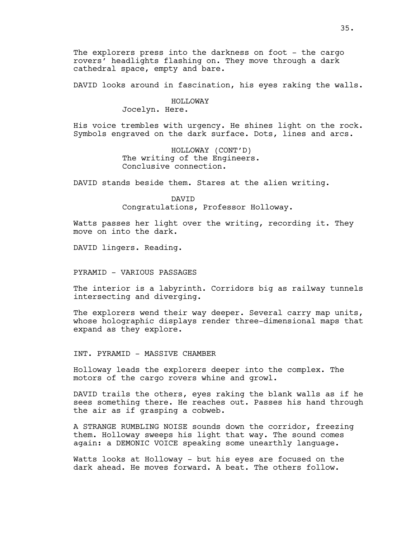The explorers press into the darkness on foot - the cargo rovers' headlights flashing on. They move through a dark cathedral space, empty and bare.

DAVID looks around in fascination, his eyes raking the walls.

# HOLLOWAY

Jocelyn. Here.

His voice trembles with urgency. He shines light on the rock. Symbols engraved on the dark surface. Dots, lines and arcs.

> HOLLOWAY (CONT'D) The writing of the Engineers. Conclusive connection.

DAVID stands beside them. Stares at the alien writing.

DAVID Congratulations, Professor Holloway.

Watts passes her light over the writing, recording it. They move on into the dark.

DAVID lingers. Reading.

PYRAMID - VARIOUS PASSAGES

The interior is a labyrinth. Corridors big as railway tunnels intersecting and diverging.

The explorers wend their way deeper. Several carry map units, whose holographic displays render three-dimensional maps that expand as they explore.

INT. PYRAMID - MASSIVE CHAMBER

Holloway leads the explorers deeper into the complex. The motors of the cargo rovers whine and growl.

DAVID trails the others, eyes raking the blank walls as if he sees something there. He reaches out. Passes his hand through the air as if grasping a cobweb.

A STRANGE RUMBLING NOISE sounds down the corridor, freezing them. Holloway sweeps his light that way. The sound comes again: a DEMONIC VOICE speaking some unearthly language.

Watts looks at Holloway - but his eyes are focused on the dark ahead. He moves forward. A beat. The others follow.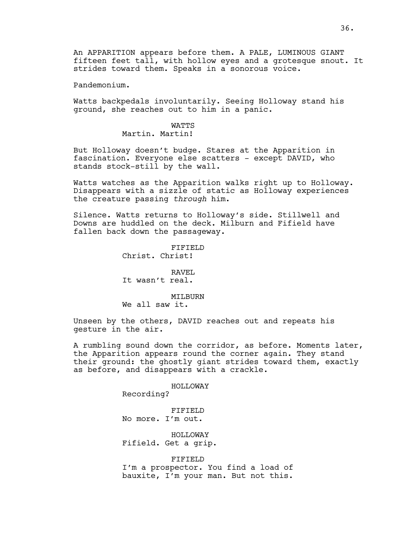An APPARITION appears before them. A PALE, LUMINOUS GIANT fifteen feet tall, with hollow eyes and a grotesque snout. It strides toward them. Speaks in a sonorous voice.

Pandemonium.

Watts backpedals involuntarily. Seeing Holloway stand his ground, she reaches out to him in a panic.

# **WATTS**

Martin. Martin!

But Holloway doesn't budge. Stares at the Apparition in fascination. Everyone else scatters - except DAVID, who stands stock-still by the wall.

Watts watches as the Apparition walks right up to Holloway. Disappears with a sizzle of static as Holloway experiences the creature passing *through* him.

Silence. Watts returns to Holloway's side. Stillwell and Downs are huddled on the deck. Milburn and Fifield have fallen back down the passageway.

> FIFIELD Christ. Christ!

RAVEL It wasn't real.

MTT<sub>BURN</sub> We all saw it.

Unseen by the others, DAVID reaches out and repeats his gesture in the air.

A rumbling sound down the corridor, as before. Moments later, the Apparition appears round the corner again. They stand their ground: the ghostly giant strides toward them, exactly as before, and disappears with a crackle.

HOLLOWAY

Recording?

FIFIELD No more. I'm out.

HOLLOWAY Fifield. Get a grip.

FIFIELD I'm a prospector. You find a load of bauxite, I'm your man. But not this.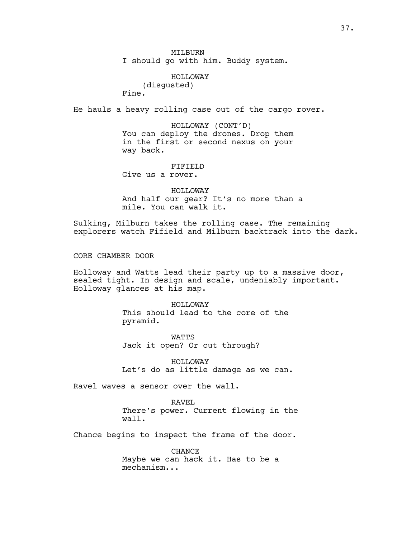MILBURN I should go with him. Buddy system.

HOLLOWAY (disgusted) Fine.

He hauls a heavy rolling case out of the cargo rover.

HOLLOWAY (CONT'D) You can deploy the drones. Drop them in the first or second nexus on your way back.

FIFIELD Give us a rover.

HOLLOWAY And half our gear? It's no more than a mile. You can walk it.

Sulking, Milburn takes the rolling case. The remaining explorers watch Fifield and Milburn backtrack into the dark.

CORE CHAMBER DOOR

Holloway and Watts lead their party up to a massive door, sealed tight. In design and scale, undeniably important. Holloway glances at his map.

> HOLLOWAY This should lead to the core of the pyramid.

WATTS Jack it open? Or cut through?

HOLLOWAY Let's do as little damage as we can.

Ravel waves a sensor over the wall.

RAVEL There's power. Current flowing in the wall.

Chance begins to inspect the frame of the door.

CHANCE Maybe we can hack it. Has to be a mechanism...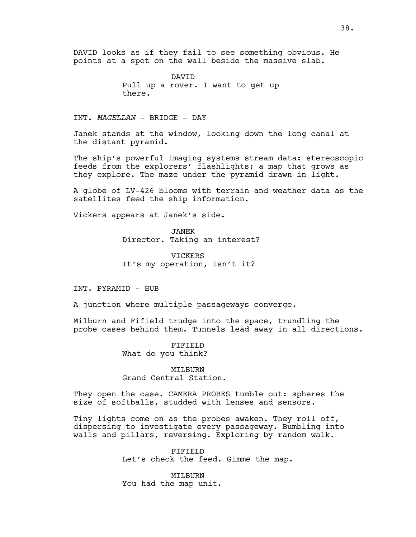DAVID looks as if they fail to see something obvious. He points at a spot on the wall beside the massive slab.

> DAVID Pull up a rover. I want to get up there.

INT. *MAGELLAN* - BRIDGE - DAY

Janek stands at the window, looking down the long canal at the distant pyramid.

The ship's powerful imaging systems stream data: stereoscopic feeds from the explorers' flashlights; a map that grows as they explore. The maze under the pyramid drawn in light.

A globe of LV-426 blooms with terrain and weather data as the satellites feed the ship information.

Vickers appears at Janek's side.

JANEK Director. Taking an interest?

VICKERS It's my operation, isn't it?

INT. PYRAMID - HUB

A junction where multiple passageways converge.

Milburn and Fifield trudge into the space, trundling the probe cases behind them. Tunnels lead away in all directions.

> FIFIELD What do you think?

MILBURN Grand Central Station.

They open the case. CAMERA PROBES tumble out: spheres the size of softballs, studded with lenses and sensors.

Tiny lights come on as the probes awaken. They roll off, dispersing to investigate every passageway. Bumbling into walls and pillars, reversing. Exploring by random walk.

> FIFIELD Let's check the feed. Gimme the map.

MILBURN You had the map unit.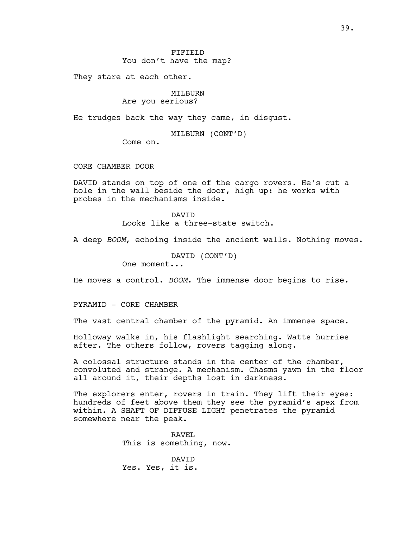### FIFIELD You don't have the map?

They stare at each other.

## MILBURN Are you serious?

He trudges back the way they came, in disgust.

MILBURN (CONT'D)

Come on.

CORE CHAMBER DOOR

DAVID stands on top of one of the cargo rovers. He's cut a hole in the wall beside the door, high up: he works with probes in the mechanisms inside.

> DAVID Looks like a three-state switch.

A deep *BOOM*, echoing inside the ancient walls. Nothing moves.

DAVID (CONT'D)

One moment...

He moves a control. *BOOM*. The immense door begins to rise.

PYRAMID - CORE CHAMBER

The vast central chamber of the pyramid. An immense space.

Holloway walks in, his flashlight searching. Watts hurries after. The others follow, rovers tagging along.

A colossal structure stands in the center of the chamber, convoluted and strange. A mechanism. Chasms yawn in the floor all around it, their depths lost in darkness.

The explorers enter, rovers in train. They lift their eyes: hundreds of feet above them they see the pyramid's apex from within. A SHAFT OF DIFFUSE LIGHT penetrates the pyramid somewhere near the peak.

> RAVEL This is something, now.

DAVID Yes. Yes, it is.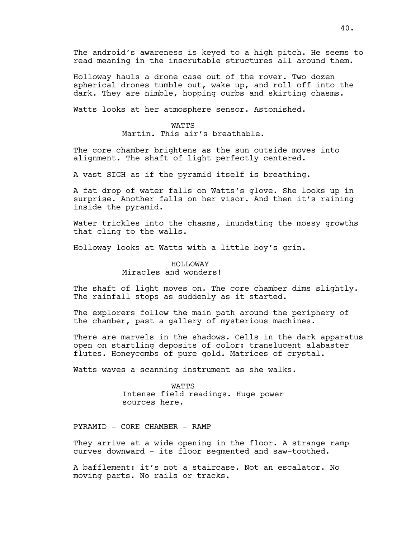The android's awareness is keyed to a high pitch. He seems to read meaning in the inscrutable structures all around them.

Holloway hauls a drone case out of the rover. Two dozen spherical drones tumble out, wake up, and roll off into the dark. They are nimble, hopping curbs and skirting chasms.

Watts looks at her atmosphere sensor. Astonished.

#### **WATTS**

Martin. This air's breathable.

The core chamber brightens as the sun outside moves into alignment. The shaft of light perfectly centered.

A vast SIGH as if the pyramid itself is breathing.

A fat drop of water falls on Watts's glove. She looks up in surprise. Another falls on her visor. And then it's raining inside the pyramid.

Water trickles into the chasms, inundating the mossy growths that cling to the walls.

Holloway looks at Watts with a little boy's grin.

# HOLLOWAY Miracles and wonders!

The shaft of light moves on. The core chamber dims slightly. The rainfall stops as suddenly as it started.

The explorers follow the main path around the periphery of the chamber, past a gallery of mysterious machines.

There are marvels in the shadows. Cells in the dark apparatus open on startling deposits of color: translucent alabaster flutes. Honeycombs of pure gold. Matrices of crystal.

Watts waves a scanning instrument as she walks.

**WATTS** Intense field readings. Huge power sources here.

PYRAMID - CORE CHAMBER - RAMP

They arrive at a wide opening in the floor. A strange ramp curves downward - its floor segmented and saw-toothed.

A bafflement: it's not a staircase. Not an escalator. No moving parts. No rails or tracks.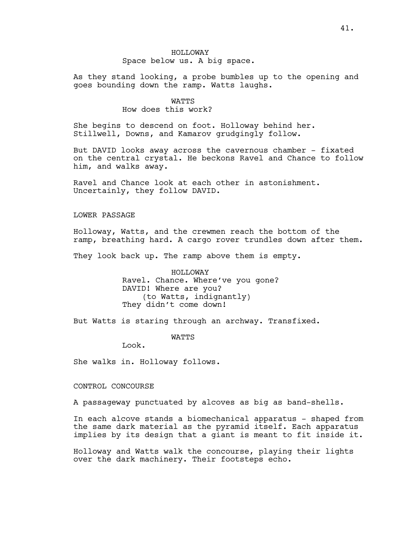# HOLLOWAY Space below us. A big space.

As they stand looking, a probe bumbles up to the opening and goes bounding down the ramp. Watts laughs.

# WATTS How does this work?

She begins to descend on foot. Holloway behind her. Stillwell, Downs, and Kamarov grudgingly follow.

But DAVID looks away across the cavernous chamber - fixated on the central crystal. He beckons Ravel and Chance to follow him, and walks away.

Ravel and Chance look at each other in astonishment. Uncertainly, they follow DAVID.

## LOWER PASSAGE

Holloway, Watts, and the crewmen reach the bottom of the ramp, breathing hard. A cargo rover trundles down after them.

They look back up. The ramp above them is empty.

HOLLOWAY Ravel. Chance. Where've you gone? DAVID! Where are you? (to Watts, indignantly) They didn't come down!

But Watts is staring through an archway. Transfixed.

**WATTS** 

Look.

She walks in. Holloway follows.

CONTROL CONCOURSE

A passageway punctuated by alcoves as big as band-shells.

In each alcove stands a biomechanical apparatus - shaped from the same dark material as the pyramid itself. Each apparatus implies by its design that a giant is meant to fit inside it.

Holloway and Watts walk the concourse, playing their lights over the dark machinery. Their footsteps echo.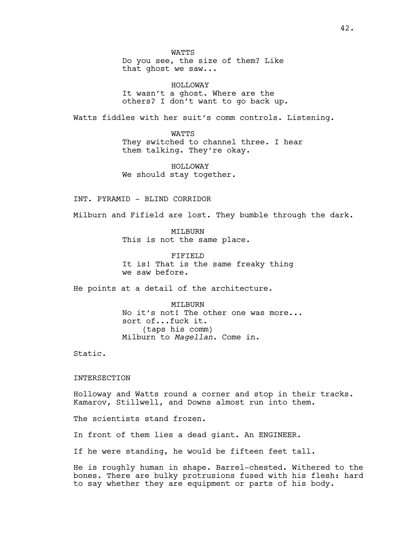**WATTS** Do you see, the size of them? Like that ghost we saw...

HOLLOWAY It wasn't a ghost. Where are the others? I don't want to go back up.

Watts fiddles with her suit's comm controls. Listening.

WATTS They switched to channel three. I hear them talking. They're okay.

HOLLOWAY We should stay together.

INT. PYRAMID - BLIND CORRIDOR

Milburn and Fifield are lost. They bumble through the dark.

MILBURN This is not the same place.

FIFIELD It is! That is the same freaky thing we saw before.

He points at a detail of the architecture.

MTT<sub>BURN</sub> No it's not! The other one was more... sort of...fuck it. (taps his comm) Milburn to *Magellan*. Come in.

Static.

# INTERSECTION

Holloway and Watts round a corner and stop in their tracks. Kamarov, Stillwell, and Downs almost run into them.

The scientists stand frozen.

In front of them lies a dead giant. An ENGINEER.

If he were standing, he would be fifteen feet tall.

He is roughly human in shape. Barrel-chested. Withered to the bones. There are bulky protrusions fused with his flesh: hard to say whether they are equipment or parts of his body.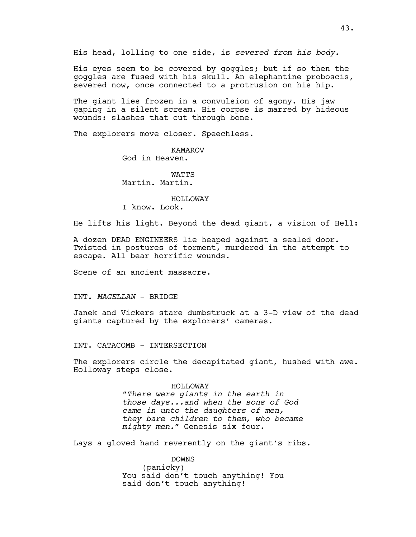His head, lolling to one side, is *severed from his body*.

His eyes seem to be covered by goggles; but if so then the goggles are fused with his skull. An elephantine proboscis, severed now, once connected to a protrusion on his hip.

The giant lies frozen in a convulsion of agony. His jaw gaping in a silent scream. His corpse is marred by hideous wounds: slashes that cut through bone.

The explorers move closer. Speechless.

KAMAROV God in Heaven.

**WATTS** Martin. Martin.

#### HOLLOWAY

I know. Look.

He lifts his light. Beyond the dead giant, a vision of Hell:

A dozen DEAD ENGINEERS lie heaped against a sealed door. Twisted in postures of torment, murdered in the attempt to escape. All bear horrific wounds.

Scene of an ancient massacre.

## INT. *MAGELLAN* - BRIDGE

Janek and Vickers stare dumbstruck at a 3-D view of the dead giants captured by the explorers' cameras.

INT. CATACOMB - INTERSECTION

The explorers circle the decapitated giant, hushed with awe. Holloway steps close.

#### HOLLOWAY

*"There were giants in the earth in those days...and when the sons of God came in unto the daughters of men, they bare children to them, who became mighty men."* Genesis six four.

Lays a gloved hand reverently on the giant's ribs.

DOWNS (panicky) You said don't touch anything! You said don't touch anything!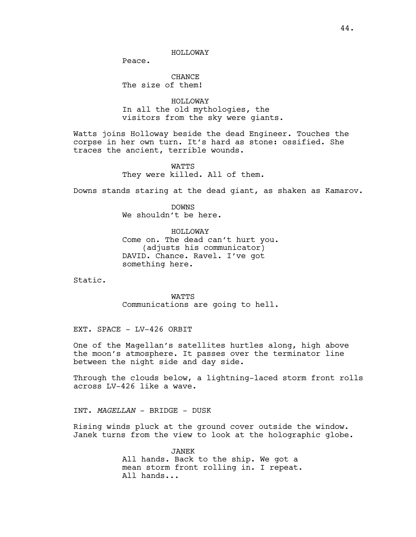HOLLOWAY

Peace.

**CHANCE** The size of them!

HOLLOWAY In all the old mythologies, the visitors from the sky were giants.

Watts joins Holloway beside the dead Engineer. Touches the corpse in her own turn. It's hard as stone: ossified. She traces the ancient, terrible wounds.

> WATTS They were killed. All of them.

Downs stands staring at the dead giant, as shaken as Kamarov.

DOWNS We shouldn't be here.

HOLLOWAY Come on. The dead can't hurt you. (adjusts his communicator) DAVID. Chance. Ravel. I've got something here.

Static.

WATTS Communications are going to hell.

EXT. SPACE - LV-426 ORBIT

One of the Magellan's satellites hurtles along, high above the moon's atmosphere. It passes over the terminator line between the night side and day side.

Through the clouds below, a lightning-laced storm front rolls across LV-426 like a wave.

INT. *MAGELLAN* - BRIDGE - DUSK

Rising winds pluck at the ground cover outside the window. Janek turns from the view to look at the holographic globe.

> JANEK All hands. Back to the ship. We got a mean storm front rolling in. I repeat. All hands...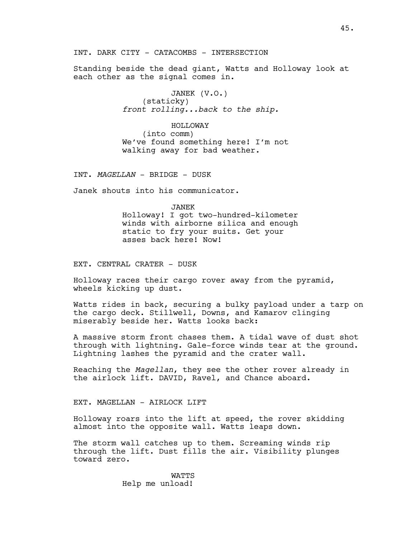INT. DARK CITY - CATACOMBS - INTERSECTION

Standing beside the dead giant, Watts and Holloway look at each other as the signal comes in.

> JANEK (V.O.) (staticky) *front rolling...back to the ship.*

HOLLOWAY (into comm) We've found something here! I'm not walking away for bad weather.

INT. *MAGELLAN* - BRIDGE - DUSK

Janek shouts into his communicator.

JANEK Holloway! I got two-hundred-kilometer winds with airborne silica and enough static to fry your suits. Get your asses back here! Now!

EXT. CENTRAL CRATER - DUSK

Holloway races their cargo rover away from the pyramid, wheels kicking up dust.

Watts rides in back, securing a bulky payload under a tarp on the cargo deck. Stillwell, Downs, and Kamarov clinging miserably beside her. Watts looks back:

A massive storm front chases them. A tidal wave of dust shot through with lightning. Gale-force winds tear at the ground. Lightning lashes the pyramid and the crater wall.

Reaching the *Magellan*, they see the other rover already in the airlock lift. DAVID, Ravel, and Chance aboard.

EXT. MAGELLAN - AIRLOCK LIFT

Holloway roars into the lift at speed, the rover skidding almost into the opposite wall. Watts leaps down.

The storm wall catches up to them. Screaming winds rip through the lift. Dust fills the air. Visibility plunges toward zero.

> **WATTS** Help me unload!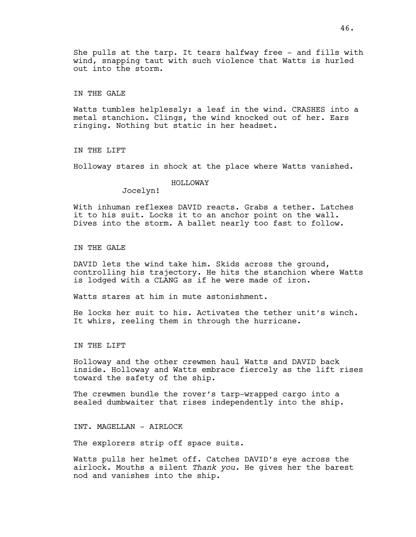She pulls at the tarp. It tears halfway free - and fills with wind, snapping taut with such violence that Watts is hurled out into the storm.

IN THE GALE

Watts tumbles helplessly: a leaf in the wind. CRASHES into a metal stanchion. Clings, the wind knocked out of her. Ears ringing. Nothing but static in her headset.

IN THE LIFT

Holloway stares in shock at the place where Watts vanished.

### HOLLOWAY

Jocelyn!

With inhuman reflexes DAVID reacts. Grabs a tether. Latches it to his suit. Locks it to an anchor point on the wall. Dives into the storm. A ballet nearly too fast to follow.

IN THE GALE

DAVID lets the wind take him. Skids across the ground, controlling his trajectory. He hits the stanchion where Watts is lodged with a CLANG as if he were made of iron.

Watts stares at him in mute astonishment.

He locks her suit to his. Activates the tether unit's winch. It whirs, reeling them in through the hurricane.

IN THE LIFT

Holloway and the other crewmen haul Watts and DAVID back inside. Holloway and Watts embrace fiercely as the lift rises toward the safety of the ship.

The crewmen bundle the rover's tarp-wrapped cargo into a sealed dumbwaiter that rises independently into the ship.

INT. MAGELLAN - AIRLOCK

The explorers strip off space suits.

Watts pulls her helmet off. Catches DAVID's eye across the airlock. Mouths a silent *Thank you.* He gives her the barest nod and vanishes into the ship.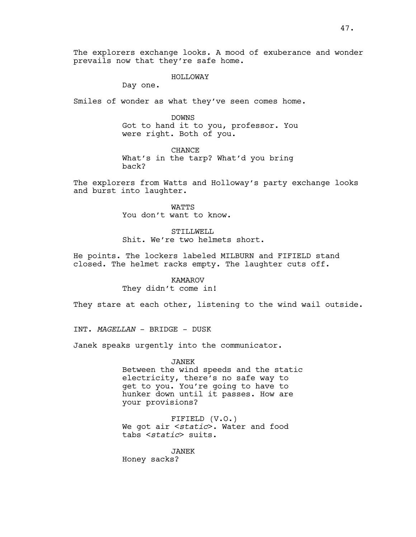The explorers exchange looks. A mood of exuberance and wonder prevails now that they're safe home.

#### HOLLOWAY

Day one.

Smiles of wonder as what they've seen comes home.

DOWNS Got to hand it to you, professor. You were right. Both of you.

CHANCE What's in the tarp? What'd you bring back?

The explorers from Watts and Holloway's party exchange looks and burst into laughter.

> WATTS You don't want to know.

#### STILLWELL

Shit. We're two helmets short.

He points. The lockers labeled MILBURN and FIFIELD stand closed. The helmet racks empty. The laughter cuts off.

# KAMAROV They didn't come in!

They stare at each other, listening to the wind wail outside.

INT. *MAGELLAN* - BRIDGE - DUSK

Janek speaks urgently into the communicator.

### JANEK

Between the wind speeds and the static electricity, there's no safe way to get to you. You're going to have to hunker down until it passes. How are your provisions?

FIFIELD (V.O.) We got air <*static*>. Water and food tabs <*static*> suits.

JANEK

Honey sacks?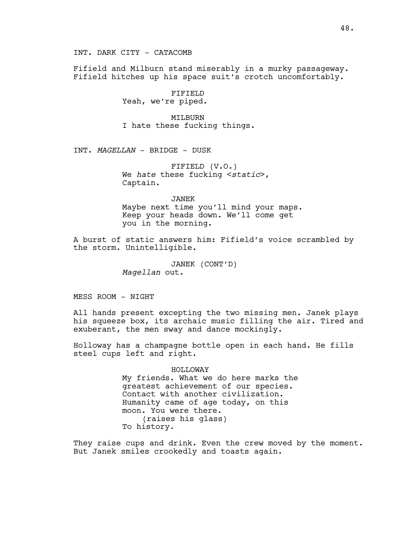INT. DARK CITY - CATACOMB

Fifield and Milburn stand miserably in a murky passageway. Fifield hitches up his space suit's crotch uncomfortably.

> FIFIELD Yeah, we're piped.

MTT<sub>J</sub>BURN I hate these fucking things.

INT. *MAGELLAN* - BRIDGE - DUSK

FIFIELD (V.O.) We *hate* these fucking <*static*>, Captain.

JANEK

Maybe next time you'll mind your maps. Keep your heads down. We'll come get you in the morning.

A burst of static answers him: Fifield's voice scrambled by the storm. Unintelligible.

> JANEK (CONT'D) *Magellan* out.

MESS ROOM - NIGHT

All hands present excepting the two missing men. Janek plays his squeeze box, its archaic music filling the air. Tired and exuberant, the men sway and dance mockingly.

Holloway has a champagne bottle open in each hand. He fills steel cups left and right.

HOLLOWAY

My friends. What we do here marks the greatest achievement of our species. Contact with another civilization. Humanity came of age today, on this moon. You were there. (raises his glass) To history.

They raise cups and drink. Even the crew moved by the moment. But Janek smiles crookedly and toasts again.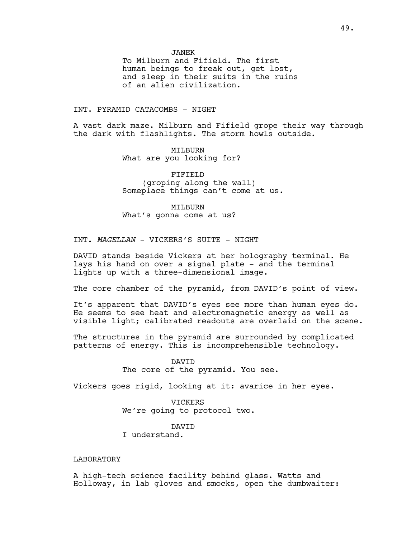To Milburn and Fifield. The first human beings to freak out, get lost, and sleep in their suits in the ruins of an alien civilization.

### INT. PYRAMID CATACOMBS - NIGHT

A vast dark maze. Milburn and Fifield grope their way through the dark with flashlights. The storm howls outside.

> MILBURN What are you looking for?

FIFIELD (groping along the wall) Someplace things can't come at us.

MILBURN What's gonna come at us?

INT. *MAGELLAN* - VICKERS'S SUITE - NIGHT

DAVID stands beside Vickers at her holography terminal. He lays his hand on over a signal plate - and the terminal lights up with a three-dimensional image.

The core chamber of the pyramid, from DAVID's point of view.

It's apparent that DAVID's eyes see more than human eyes do. He seems to see heat and electromagnetic energy as well as visible light; calibrated readouts are overlaid on the scene.

The structures in the pyramid are surrounded by complicated patterns of energy. This is incomprehensible technology.

> DAVID The core of the pyramid. You see.

Vickers goes rigid, looking at it: avarice in her eyes.

VICKERS We're going to protocol two.

DAVID I understand.

### LABORATORY

A high-tech science facility behind glass. Watts and Holloway, in lab gloves and smocks, open the dumbwaiter: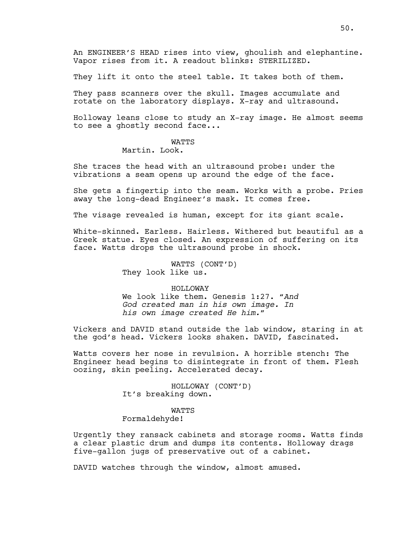An ENGINEER'S HEAD rises into view, ghoulish and elephantine. Vapor rises from it. A readout blinks: STERILIZED.

They lift it onto the steel table. It takes both of them.

They pass scanners over the skull. Images accumulate and rotate on the laboratory displays. X-ray and ultrasound.

Holloway leans close to study an X-ray image. He almost seems to see a ghostly second face...

## **WATTS**

# Martin. Look.

She traces the head with an ultrasound probe: under the vibrations a seam opens up around the edge of the face.

She gets a fingertip into the seam. Works with a probe. Pries away the long-dead Engineer's mask. It comes free.

The visage revealed is human, except for its giant scale.

White-skinned. Earless. Hairless. Withered but beautiful as a Greek statue. Eyes closed. An expression of suffering on its face. Watts drops the ultrasound probe in shock.

> WATTS (CONT'D) They look like us.

#### HOLLOWAY

We look like them. Genesis 1:27. "*And God created man in his own image. In his own image created He him."*

Vickers and DAVID stand outside the lab window, staring in at the god's head. Vickers looks shaken. DAVID, fascinated.

Watts covers her nose in revulsion. A horrible stench: The Engineer head begins to disintegrate in front of them. Flesh oozing, skin peeling. Accelerated decay.

> HOLLOWAY (CONT'D) It's breaking down.

## WATTS

## Formaldehyde!

Urgently they ransack cabinets and storage rooms. Watts finds a clear plastic drum and dumps its contents. Holloway drags five-gallon jugs of preservative out of a cabinet.

DAVID watches through the window, almost amused.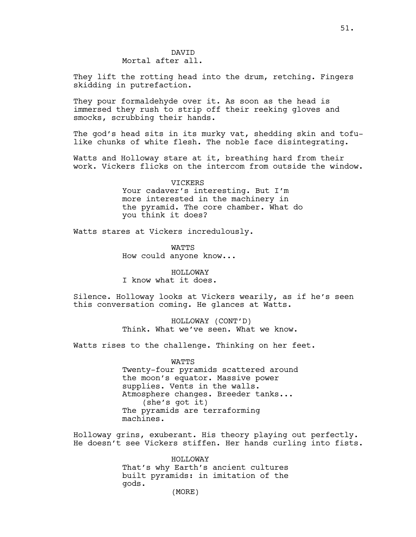## DAVID Mortal after all.

They lift the rotting head into the drum, retching. Fingers skidding in putrefaction.

They pour formaldehyde over it. As soon as the head is immersed they rush to strip off their reeking gloves and smocks, scrubbing their hands.

The god's head sits in its murky vat, shedding skin and tofulike chunks of white flesh. The noble face disintegrating.

Watts and Holloway stare at it, breathing hard from their work. Vickers flicks on the intercom from outside the window.

> VICKERS Your cadaver's interesting. But I'm more interested in the machinery in the pyramid. The core chamber. What do you think it does?

Watts stares at Vickers incredulously.

**WATTS** How could anyone know...

HOLLOWAY I know what it does.

Silence. Holloway looks at Vickers wearily, as if he's seen this conversation coming. He glances at Watts.

> HOLLOWAY (CONT'D) Think. What we've seen. What we know.

Watts rises to the challenge. Thinking on her feet.

### WATTS

Twenty-four pyramids scattered around the moon's equator. Massive power supplies. Vents in the walls. Atmosphere changes. Breeder tanks... (she's got it) The pyramids are terraforming machines.

Holloway grins, exuberant. His theory playing out perfectly. He doesn't see Vickers stiffen. Her hands curling into fists.

> HOLLOWAY That's why Earth's ancient cultures built pyramids: in imitation of the gods.

(MORE)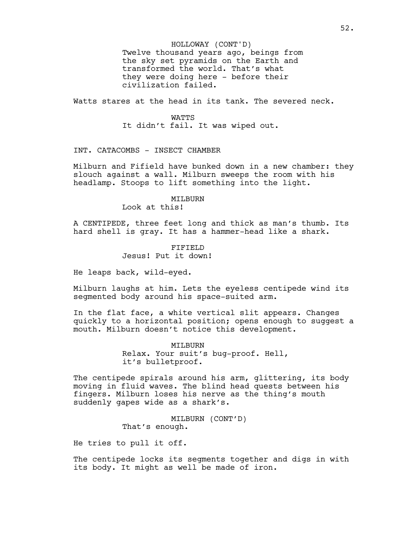Twelve thousand years ago, beings from the sky set pyramids on the Earth and transformed the world. That's what they were doing here - before their civilization failed. HOLLOWAY (CONT'D)

Watts stares at the head in its tank. The severed neck.

### WATTS

It didn't fail. It was wiped out.

INT. CATACOMBS - INSECT CHAMBER

Milburn and Fifield have bunked down in a new chamber: they slouch against a wall. Milburn sweeps the room with his headlamp. Stoops to lift something into the light.

#### MILBURN

Look at this!

A CENTIPEDE, three feet long and thick as man's thumb. Its hard shell is gray. It has a hammer-head like a shark.

> FIFIELD Jesus! Put it down!

He leaps back, wild-eyed.

Milburn laughs at him. Lets the eyeless centipede wind its segmented body around his space-suited arm.

In the flat face, a white vertical slit appears. Changes quickly to a horizontal position; opens enough to suggest a mouth. Milburn doesn't notice this development.

> MTT<sub>J</sub>BURN Relax. Your suit's bug-proof. Hell, it's bulletproof.

The centipede spirals around his arm, glittering, its body moving in fluid waves. The blind head quests between his fingers. Milburn loses his nerve as the thing's mouth suddenly gapes wide as a shark's.

> MILBURN (CONT'D) That's enough.

He tries to pull it off.

The centipede locks its segments together and digs in with its body. It might as well be made of iron.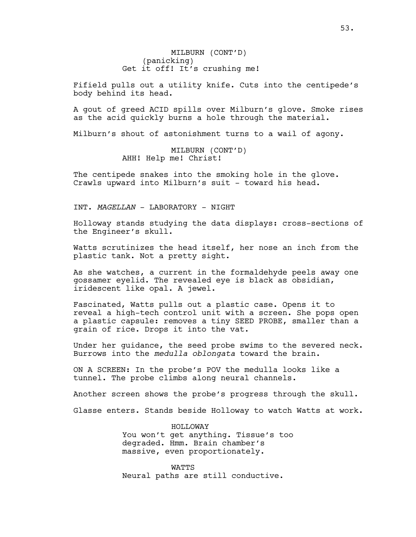MILBURN (CONT'D) (panicking) Get it off! It's crushing me!

Fifield pulls out a utility knife. Cuts into the centipede's body behind its head.

A gout of greed ACID spills over Milburn's glove. Smoke rises as the acid quickly burns a hole through the material.

Milburn's shout of astonishment turns to a wail of agony.

MILBURN (CONT'D) AHH! Help me! Christ!

The centipede snakes into the smoking hole in the glove. Crawls upward into Milburn's suit - toward his head.

INT. *MAGELLAN* - LABORATORY - NIGHT

Holloway stands studying the data displays: cross-sections of the Engineer's skull.

Watts scrutinizes the head itself, her nose an inch from the plastic tank. Not a pretty sight.

As she watches, a current in the formaldehyde peels away one gossamer eyelid. The revealed eye is black as obsidian, iridescent like opal. A jewel.

Fascinated, Watts pulls out a plastic case. Opens it to reveal a high-tech control unit with a screen. She pops open a plastic capsule: removes a tiny SEED PROBE, smaller than a grain of rice. Drops it into the vat.

Under her guidance, the seed probe swims to the severed neck. Burrows into the *medulla oblongata* toward the brain.

ON A SCREEN: In the probe's POV the medulla looks like a tunnel. The probe climbs along neural channels.

Another screen shows the probe's progress through the skull.

Glasse enters. Stands beside Holloway to watch Watts at work.

HOLLOWAY You won't get anything. Tissue's too degraded. Hmm. Brain chamber's massive, even proportionately.

**WATTS** Neural paths are still conductive.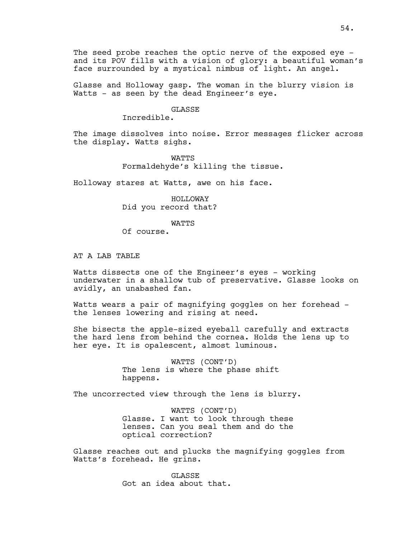The seed probe reaches the optic nerve of the exposed eye and its POV fills with a vision of glory: a beautiful woman's face surrounded by a mystical nimbus of light. An angel.

Glasse and Holloway gasp. The woman in the blurry vision is Watts - as seen by the dead Engineer's eye.

### GLASSE

Incredible.

The image dissolves into noise. Error messages flicker across the display. Watts sighs.

> WATTS Formaldehyde's killing the tissue.

Holloway stares at Watts, awe on his face.

HOLLOWAY Did you record that?

WATTS

Of course.

AT A LAB TABLE

Watts dissects one of the Engineer's eyes - working underwater in a shallow tub of preservative. Glasse looks on avidly, an unabashed fan.

Watts wears a pair of magnifying goggles on her forehead the lenses lowering and rising at need.

She bisects the apple-sized eyeball carefully and extracts the hard lens from behind the cornea. Holds the lens up to her eye. It is opalescent, almost luminous.

> WATTS (CONT'D) The lens is where the phase shift happens.

The uncorrected view through the lens is blurry.

WATTS (CONT'D) Glasse. I want to look through these lenses. Can you seal them and do the optical correction?

Glasse reaches out and plucks the magnifying goggles from Watts's forehead. He grins.

> **GLASSE** Got an idea about that.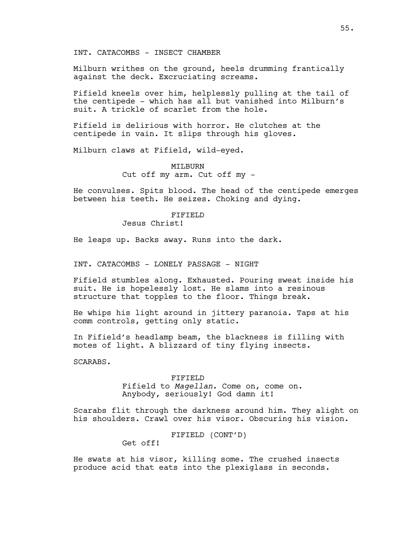INT. CATACOMBS - INSECT CHAMBER

Milburn writhes on the ground, heels drumming frantically against the deck. Excruciating screams.

Fifield kneels over him, helplessly pulling at the tail of the centipede - which has all but vanished into Milburn's suit. A trickle of scarlet from the hole.

Fifield is delirious with horror. He clutches at the centipede in vain. It slips through his gloves.

Milburn claws at Fifield, wild-eyed.

MILBURN Cut off my arm. Cut off my -

He convulses. Spits blood. The head of the centipede emerges between his teeth. He seizes. Choking and dying.

# FIFIELD

Jesus Christ!

He leaps up. Backs away. Runs into the dark.

INT. CATACOMBS - LONELY PASSAGE - NIGHT

Fifield stumbles along. Exhausted. Pouring sweat inside his suit. He is hopelessly lost. He slams into a resinous structure that topples to the floor. Things break.

He whips his light around in jittery paranoia. Taps at his comm controls, getting only static.

In Fifield's headlamp beam, the blackness is filling with motes of light. A blizzard of tiny flying insects.

SCARABS.

# FIFIELD Fifield to *Magellan*. Come on, come on. Anybody, seriously! God damn it!

Scarabs flit through the darkness around him. They alight on his shoulders. Crawl over his visor. Obscuring his vision.

FIFIELD (CONT'D)

Get off!

He swats at his visor, killing some. The crushed insects produce acid that eats into the plexiglass in seconds.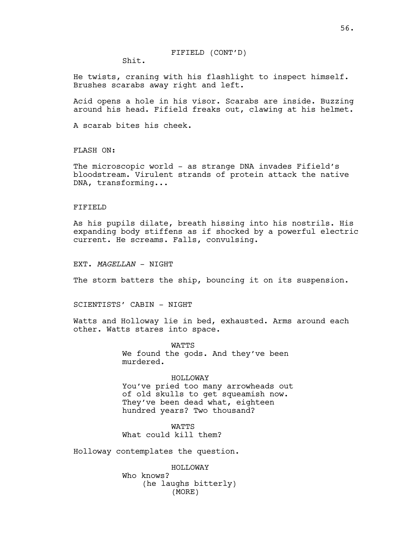Shit.

He twists, craning with his flashlight to inspect himself. Brushes scarabs away right and left.

Acid opens a hole in his visor. Scarabs are inside. Buzzing around his head. Fifield freaks out, clawing at his helmet.

A scarab bites his cheek.

FLASH ON:

The microscopic world - as strange DNA invades Fifield's bloodstream. Virulent strands of protein attack the native DNA, transforming...

## FIFIELD

As his pupils dilate, breath hissing into his nostrils. His expanding body stiffens as if shocked by a powerful electric current. He screams. Falls, convulsing.

EXT. *MAGELLAN* - NIGHT

The storm batters the ship, bouncing it on its suspension.

SCIENTISTS' CABIN - NIGHT

Watts and Holloway lie in bed, exhausted. Arms around each other. Watts stares into space.

> **WATTS** We found the gods. And they've been murdered.

> > HOLLOWAY

You've pried too many arrowheads out of old skulls to get squeamish now. They've been dead what, eighteen hundred years? Two thousand?

**WATTS** What could kill them?

Holloway contemplates the question.

HOLLOWAY Who knows? (he laughs bitterly) (MORE)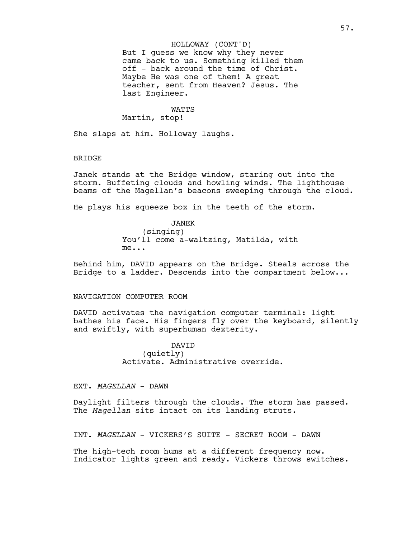But I guess we know why they never came back to us. Something killed them off - back around the time of Christ. Maybe He was one of them! A great teacher, sent from Heaven? Jesus. The last Engineer. HOLLOWAY (CONT'D)

#### WATTS

Martin, stop!

She slaps at him. Holloway laughs.

### **BRIDGE**

Janek stands at the Bridge window, staring out into the storm. Buffeting clouds and howling winds. The lighthouse beams of the Magellan's beacons sweeping through the cloud.

He plays his squeeze box in the teeth of the storm.

JANEK (singing) You'll come a-waltzing, Matilda, with me...

Behind him, DAVID appears on the Bridge. Steals across the Bridge to a ladder. Descends into the compartment below...

### NAVIGATION COMPUTER ROOM

DAVID activates the navigation computer terminal: light bathes his face. His fingers fly over the keyboard, silently and swiftly, with superhuman dexterity.

> DAVID (quietly) Activate. Administrative override.

EXT. *MAGELLAN* - DAWN

Daylight filters through the clouds. The storm has passed. The *Magellan* sits intact on its landing struts.

INT. *MAGELLAN* - VICKERS'S SUITE - SECRET ROOM - DAWN

The high-tech room hums at a different frequency now. Indicator lights green and ready. Vickers throws switches.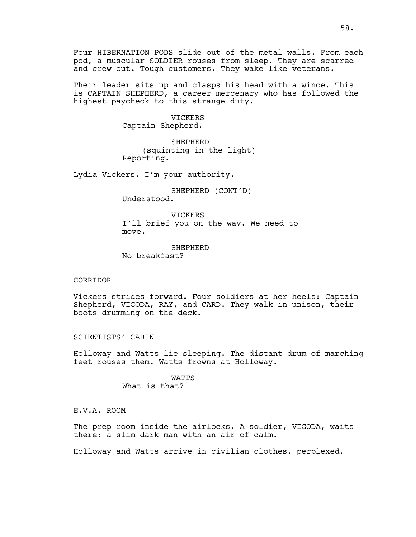Four HIBERNATION PODS slide out of the metal walls. From each pod, a muscular SOLDIER rouses from sleep. They are scarred and crew-cut. Tough customers. They wake like veterans.

Their leader sits up and clasps his head with a wince. This is CAPTAIN SHEPHERD, a career mercenary who has followed the highest paycheck to this strange duty.

> VICKERS Captain Shepherd.

SHEPHERD (squinting in the light) Reporting.

Lydia Vickers. I'm your authority.

SHEPHERD (CONT'D) Understood.

**VICKERS** I'll brief you on the way. We need to move.

**SHEPHERD** No breakfast?

### CORRIDOR

Vickers strides forward. Four soldiers at her heels: Captain Shepherd, VIGODA, RAY, and CARD. They walk in unison, their boots drumming on the deck.

SCIENTISTS' CABIN

Holloway and Watts lie sleeping. The distant drum of marching feet rouses them. Watts frowns at Holloway.

> WATTS What is that?

E.V.A. ROOM

The prep room inside the airlocks. A soldier, VIGODA, waits there: a slim dark man with an air of calm.

Holloway and Watts arrive in civilian clothes, perplexed.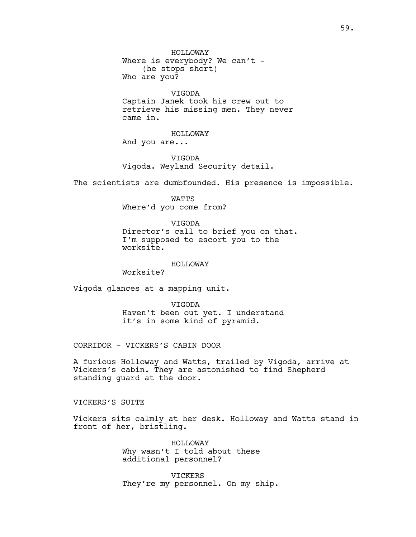VIGODA Captain Janek took his crew out to retrieve his missing men. They never came in.

HOLLOWAY And you are...

VIGODA Vigoda. Weyland Security detail.

The scientists are dumbfounded. His presence is impossible.

WATTS Where'd you come from?

VIGODA Director's call to brief you on that. I'm supposed to escort you to the worksite.

#### HOLLOWAY

Worksite?

Vigoda glances at a mapping unit.

VIGODA Haven't been out yet. I understand it's in some kind of pyramid.

CORRIDOR - VICKERS'S CABIN DOOR

A furious Holloway and Watts, trailed by Vigoda, arrive at Vickers's cabin. They are astonished to find Shepherd standing guard at the door.

VICKERS'S SUITE

Vickers sits calmly at her desk. Holloway and Watts stand in front of her, bristling.

> HOLLOWAY Why wasn't I told about these additional personnel?

VICKERS They're my personnel. On my ship.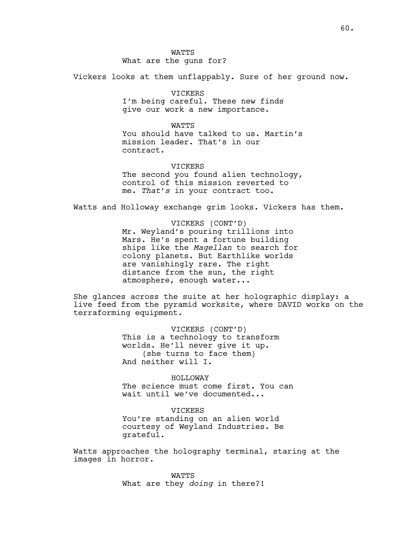Vickers looks at them unflappably. Sure of her ground now.

VICKERS I'm being careful. These new finds give our work a new importance.

**WATTS** You should have talked to us. Martin's mission leader. That's in our contract.

### VICKERS

The second you found alien technology, control of this mission reverted to me. *That's* in your contract too.

Watts and Holloway exchange grim looks. Vickers has them.

VICKERS (CONT'D) Mr. Weyland's pouring trillions into Mars. He's spent a fortune building ships like the *Magellan* to search for colony planets. But Earthlike worlds are vanishingly rare. The right distance from the sun, the right atmosphere, enough water...

She glances across the suite at her holographic display: a live feed from the pyramid worksite, where DAVID works on the terraforming equipment.

> VICKERS (CONT'D) This is a technology to transform worlds. He'll never give it up. (she turns to face them) And neither will I.

HOLLOWAY The science must come first. You can wait until we've documented...

**VICKERS** You're standing on an alien world courtesy of Weyland Industries. Be grateful.

Watts approaches the holography terminal, staring at the images in horror.

> WATTS What are they *doing* in there?!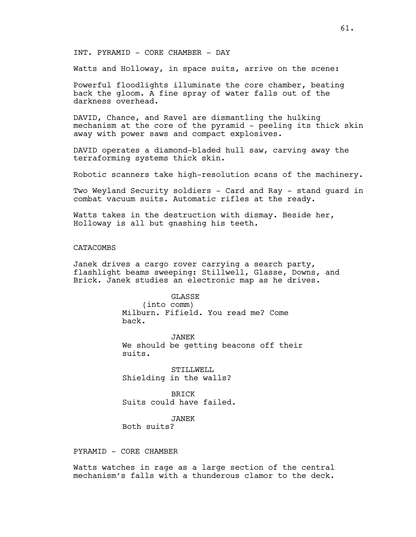# INT. PYRAMID - CORE CHAMBER - DAY

Watts and Holloway, in space suits, arrive on the scene:

Powerful floodlights illuminate the core chamber, beating back the gloom. A fine spray of water falls out of the darkness overhead.

DAVID, Chance, and Ravel are dismantling the hulking mechanism at the core of the pyramid - peeling its thick skin away with power saws and compact explosives.

DAVID operates a diamond-bladed hull saw, carving away the terraforming systems thick skin.

Robotic scanners take high-resolution scans of the machinery.

Two Weyland Security soldiers - Card and Ray - stand guard in combat vacuum suits. Automatic rifles at the ready.

Watts takes in the destruction with dismay. Beside her, Holloway is all but gnashing his teeth.

## **CATACOMBS**

Janek drives a cargo rover carrying a search party, flashlight beams sweeping: Stillwell, Glasse, Downs, and Brick. Janek studies an electronic map as he drives.

> GLASSE (into comm) Milburn. Fifield. You read me? Come back.

JANEK We should be getting beacons off their suits.

STILLWELL Shielding in the walls?

BRICK Suits could have failed.

JANEK

Both suits?

PYRAMID - CORE CHAMBER

Watts watches in rage as a large section of the central mechanism's falls with a thunderous clamor to the deck.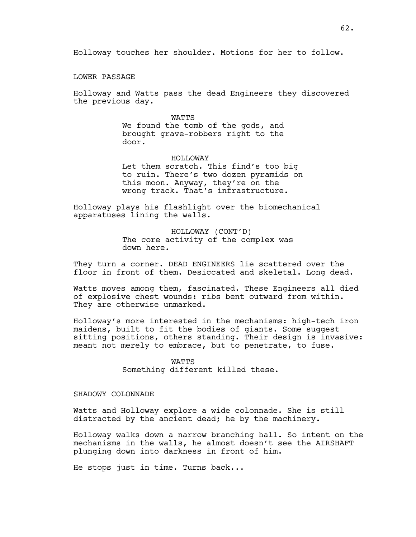Holloway touches her shoulder. Motions for her to follow.

LOWER PASSAGE

Holloway and Watts pass the dead Engineers they discovered the previous day.

### WATTS

We found the tomb of the gods, and brought grave-robbers right to the door.

## HOLLOWAY

Let them scratch. This find's too big to ruin. There's two dozen pyramids on this moon. Anyway, they're on the wrong track. That's infrastructure.

Holloway plays his flashlight over the biomechanical apparatuses lining the walls.

> HOLLOWAY (CONT'D) The core activity of the complex was down here.

They turn a corner. DEAD ENGINEERS lie scattered over the floor in front of them. Desiccated and skeletal. Long dead.

Watts moves among them, fascinated. These Engineers all died of explosive chest wounds: ribs bent outward from within. They are otherwise unmarked.

Holloway's more interested in the mechanisms: high-tech iron maidens, built to fit the bodies of giants. Some suggest sitting positions, others standing. Their design is invasive: meant not merely to embrace, but to penetrate, to fuse.

> WATTS Something different killed these.

## SHADOWY COLONNADE

Watts and Holloway explore a wide colonnade. She is still distracted by the ancient dead; he by the machinery.

Holloway walks down a narrow branching hall. So intent on the mechanisms in the walls, he almost doesn't see the AIRSHAFT plunging down into darkness in front of him.

He stops just in time. Turns back...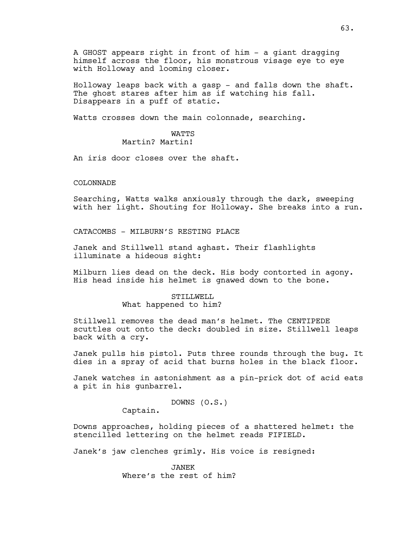A GHOST appears right in front of him - a giant dragging himself across the floor, his monstrous visage eye to eye with Holloway and looming closer.

Holloway leaps back with a gasp - and falls down the shaft. The ghost stares after him as if watching his fall. Disappears in a puff of static.

Watts crosses down the main colonnade, searching.

# WATTS Martin? Martin!

An iris door closes over the shaft.

COLONNADE

Searching, Watts walks anxiously through the dark, sweeping with her light. Shouting for Holloway. She breaks into a run.

CATACOMBS - MILBURN'S RESTING PLACE

Janek and Stillwell stand aghast. Their flashlights illuminate a hideous sight:

Milburn lies dead on the deck. His body contorted in agony. His head inside his helmet is gnawed down to the bone.

## STILLWELL What happened to him?

Stillwell removes the dead man's helmet. The CENTIPEDE scuttles out onto the deck: doubled in size. Stillwell leaps back with a cry.

Janek pulls his pistol. Puts three rounds through the bug. It dies in a spray of acid that burns holes in the black floor.

Janek watches in astonishment as a pin-prick dot of acid eats a pit in his gunbarrel.

DOWNS (O.S.)

Captain.

Downs approaches, holding pieces of a shattered helmet: the stencilled lettering on the helmet reads FIFIELD.

Janek's jaw clenches grimly. His voice is resigned:

JANEK Where's the rest of him?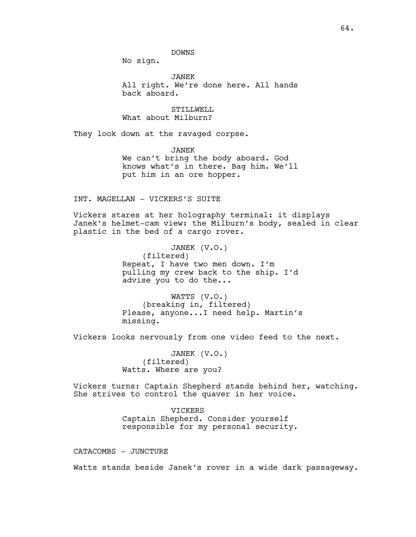DOWNS

No sign.

JANEK All right. We're done here. All hands back aboard.

STILLWELL What about Milburn?

They look down at the ravaged corpse.

JANEK We can't bring the body aboard. God knows what's in there. Bag him. We'll put him in an ore hopper.

### INT. MAGELLAN - VICKERS'S SUITE

Vickers stares at her holography terminal: it displays Janek's helmet-cam view: the Milburn's body, sealed in clear plastic in the bed of a cargo rover.

> JANEK (V.O.) (filtered) Repeat, I have two men down. I'm pulling my crew back to the ship. I'd advise you to do the...

WATTS (V.O.) (breaking in, filtered) Please, anyone...I need help. Martin's missing.

Vickers looks nervously from one video feed to the next.

JANEK (V.O.) (filtered) Watts. Where are you?

Vickers turns: Captain Shepherd stands behind her, watching. She strives to control the quaver in her voice.

> VICKERS Captain Shepherd. Consider yourself responsible for my personal security.

CATACOMBS - JUNCTURE

Watts stands beside Janek's rover in a wide dark passageway.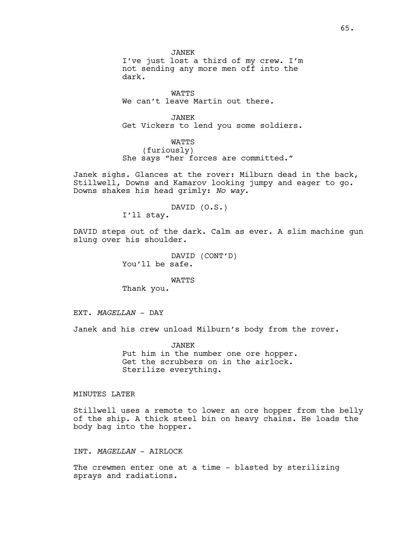JANEK I've just lost a third of my crew. I'm not sending any more men off into the dark.

WATTS We can't leave Martin out there.

JANEK Get Vickers to lend you some soldiers.

WATTS (furiously) She says "her forces are committed."

Janek sighs. Glances at the rover: Milburn dead in the back, Stillwell, Downs and Kamarov looking jumpy and eager to go. Downs shakes his head grimly: *No way.*

DAVID (O.S.)

I'll stay.

DAVID steps out of the dark. Calm as ever. A slim machine gun slung over his shoulder.

> DAVID (CONT'D) You'll be safe.

WATTS Thank you.

EXT. *MAGELLAN* - DAY

Janek and his crew unload Milburn's body from the rover.

JANEK Put him in the number one ore hopper. Get the scrubbers on in the airlock. Sterilize everything.

# MINUTES LATER

Stillwell uses a remote to lower an ore hopper from the belly of the ship. A thick steel bin on heavy chains. He loads the body bag into the hopper.

INT. *MAGELLAN* - AIRLOCK

The crewmen enter one at a time - blasted by sterilizing sprays and radiations.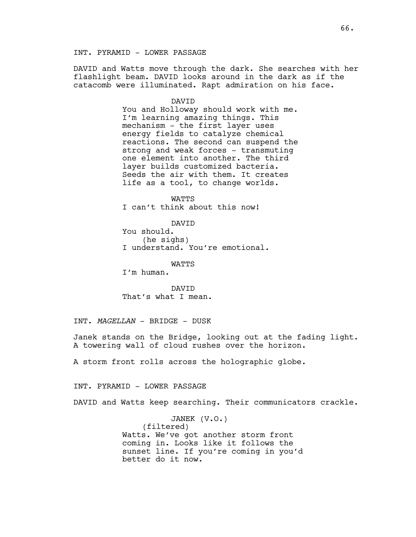## INT. PYRAMID - LOWER PASSAGE

DAVID and Watts move through the dark. She searches with her flashlight beam. DAVID looks around in the dark as if the catacomb were illuminated. Rapt admiration on his face.

#### DAVID

You and Holloway should work with me. I'm learning amazing things. This mechanism - the first layer uses energy fields to catalyze chemical reactions. The second can suspend the strong and weak forces - transmuting one element into another. The third layer builds customized bacteria. Seeds the air with them. It creates life as a tool, to change worlds.

WATTS I can't think about this now!

DAVID

You should. (he sighs) I understand. You're emotional.

**WATTS** 

I'm human.

DAVID That's what I mean.

INT. *MAGELLAN* - BRIDGE - DUSK

Janek stands on the Bridge, looking out at the fading light. A towering wall of cloud rushes over the horizon.

A storm front rolls across the holographic globe.

INT. PYRAMID - LOWER PASSAGE

DAVID and Watts keep searching. Their communicators crackle.

JANEK (V.O.) (filtered) Watts. We've got another storm front coming in. Looks like it follows the sunset line. If you're coming in you'd better do it now.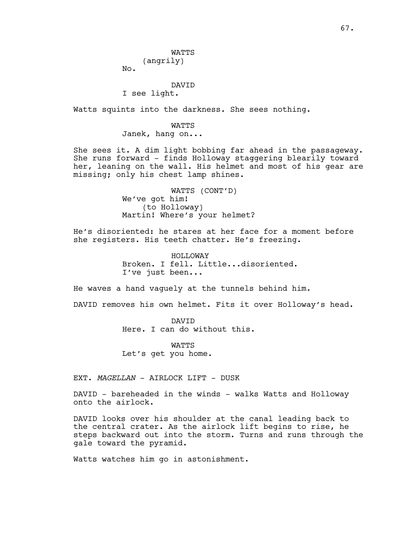**WATTS** (angrily)

No.

## DAVID I see light.

Watts squints into the darkness. She sees nothing.

WATTS Janek, hang on...

She sees it. A dim light bobbing far ahead in the passageway. She runs forward - finds Holloway staggering blearily toward her, leaning on the wall. His helmet and most of his gear are missing; only his chest lamp shines.

> WATTS (CONT'D) We've got him! (to Holloway) Martin! Where's your helmet?

He's disoriented: he stares at her face for a moment before she registers. His teeth chatter. He's freezing.

> HOLLOWAY Broken. I fell. Little...disoriented. I've just been...

He waves a hand vaguely at the tunnels behind him.

DAVID removes his own helmet. Fits it over Holloway's head.

DAVID Here. I can do without this.

WATTS Let's get you home.

EXT. *MAGELLAN* - AIRLOCK LIFT - DUSK

DAVID - bareheaded in the winds - walks Watts and Holloway onto the airlock.

DAVID looks over his shoulder at the canal leading back to the central crater. As the airlock lift begins to rise, he steps backward out into the storm. Turns and runs through the gale toward the pyramid.

Watts watches him go in astonishment.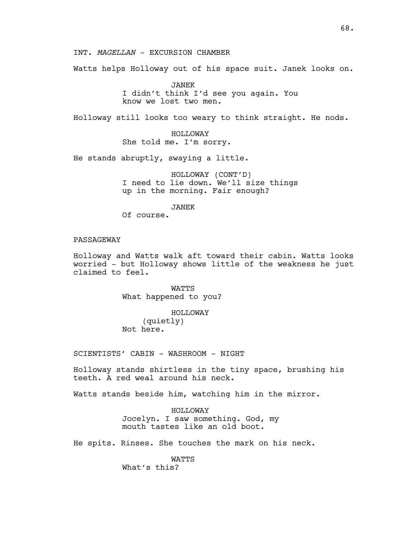INT. *MAGELLAN* - EXCURSION CHAMBER

Watts helps Holloway out of his space suit. Janek looks on.

JANEK I didn't think I'd see you again. You know we lost two men.

Holloway still looks too weary to think straight. He nods.

HOLLOWAY She told me. I'm sorry.

He stands abruptly, swaying a little.

HOLLOWAY (CONT'D) I need to lie down. We'll size things up in the morning. Fair enough?

JANEK

Of course.

# PASSAGEWAY

Holloway and Watts walk aft toward their cabin. Watts looks worried - but Holloway shows little of the weakness he just claimed to feel.

> WATTS What happened to you?

HOLLOWAY (quietly) Not here.

SCIENTISTS' CABIN - WASHROOM - NIGHT

Holloway stands shirtless in the tiny space, brushing his teeth. A red weal around his neck.

Watts stands beside him, watching him in the mirror.

HOLLOWAY Jocelyn. I saw something. God, my mouth tastes like an old boot.

He spits. Rinses. She touches the mark on his neck.

WATTS What's this?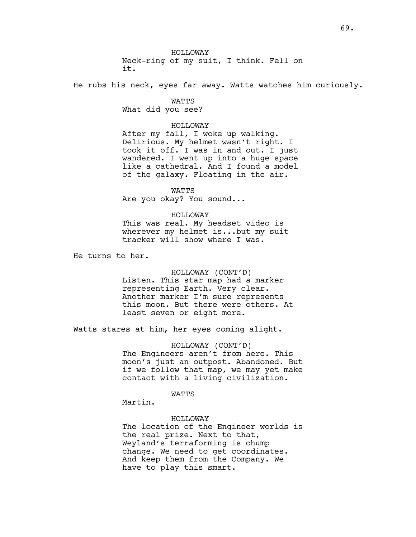HOLLOWAY Neck-ring of my suit, I think. Fell on it.

He rubs his neck, eyes far away. Watts watches him curiously.

WATTS What did you see?

#### HOLLOWAY

After my fall, I woke up walking. Delirious. My helmet wasn't right. I took it off. I was in and out. I just wandered. I went up into a huge space like a cathedral. And I found a model of the galaxy. Floating in the air.

WATTS Are you okay? You sound...

### HOLLOWAY

This was real. My headset video is wherever my helmet is...but my suit tracker will show where I was.

He turns to her.

## HOLLOWAY (CONT'D)

Listen. This star map had a marker representing Earth. Very clear. Another marker I'm sure represents this moon. But there were others. At least seven or eight more.

Watts stares at him, her eyes coming alight.

HOLLOWAY (CONT'D) The Engineers aren't from here. This moon's just an outpost. Abandoned. But if we follow that map, we may yet make contact with a living civilization.

### **WATTS**

Martin.

### HOLLOWAY

The location of the Engineer worlds is the real prize. Next to that, Weyland's terraforming is chump change. We need to get coordinates. And keep them from the Company. We have to play this smart.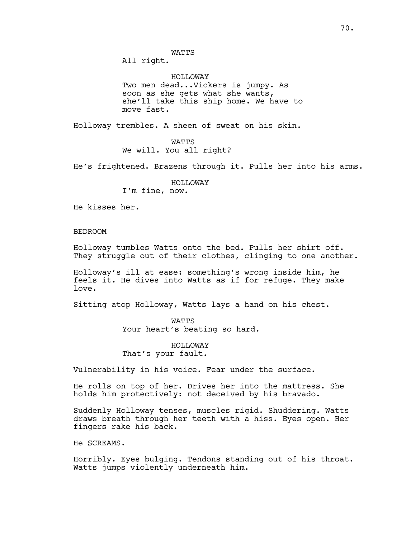**WATTS** 

All right.

HOLLOWAY Two men dead...Vickers is jumpy. As soon as she gets what she wants, she'll take this ship home. We have to move fast.

Holloway trembles. A sheen of sweat on his skin.

**WATTS** We will. You all right?

He's frightened. Brazens through it. Pulls her into his arms.

HOLLOWAY I'm fine, now.

He kisses her.

BEDROOM

Holloway tumbles Watts onto the bed. Pulls her shirt off. They struggle out of their clothes, clinging to one another.

Holloway's ill at ease: something's wrong inside him, he feels it. He dives into Watts as if for refuge. They make love.

Sitting atop Holloway, Watts lays a hand on his chest.

WATTS Your heart's beating so hard.

HOLLOWAY That's your fault.

Vulnerability in his voice. Fear under the surface.

He rolls on top of her. Drives her into the mattress. She holds him protectively: not deceived by his bravado.

Suddenly Holloway tenses, muscles rigid. Shuddering. Watts draws breath through her teeth with a hiss. Eyes open. Her fingers rake his back.

He SCREAMS.

Horribly. Eyes bulging. Tendons standing out of his throat. Watts jumps violently underneath him.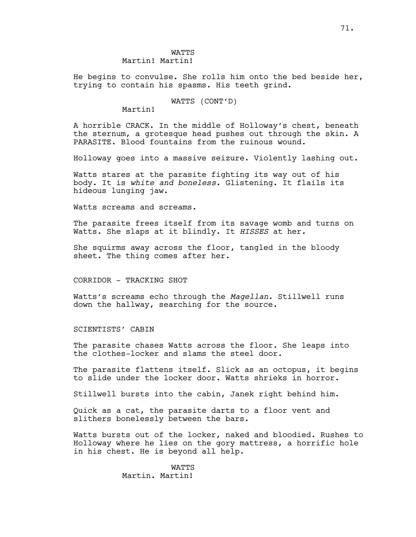He begins to convulse. She rolls him onto the bed beside her, trying to contain his spasms. His teeth grind.

WATTS (CONT'D)

Martin!

A horrible CRACK. In the middle of Holloway's chest, beneath the sternum, a grotesque head pushes out through the skin. A PARASITE. Blood fountains from the ruinous wound.

Holloway goes into a massive seizure. Violently lashing out.

Watts stares at the parasite fighting its way out of his body. It is *white and boneless*. Glistening. It flails its hideous lunging jaw.

Watts screams and screams.

The parasite frees itself from its savage womb and turns on Watts. She slaps at it blindly. It *HISSES* at her.

She squirms away across the floor, tangled in the bloody sheet. The thing comes after her.

CORRIDOR - TRACKING SHOT

Watts's screams echo through the *Magellan*. Stillwell runs down the hallway, searching for the source.

SCIENTISTS' CABIN

The parasite chases Watts across the floor. She leaps into the clothes-locker and slams the steel door.

The parasite flattens itself. Slick as an octopus, it begins to slide under the locker door. Watts shrieks in horror.

Stillwell bursts into the cabin, Janek right behind him.

Quick as a cat, the parasite darts to a floor vent and slithers bonelessly between the bars.

Watts bursts out of the locker, naked and bloodied. Rushes to Holloway where he lies on the gory mattress, a horrific hole in his chest. He is beyond all help.

> WATTS Martin. Martin!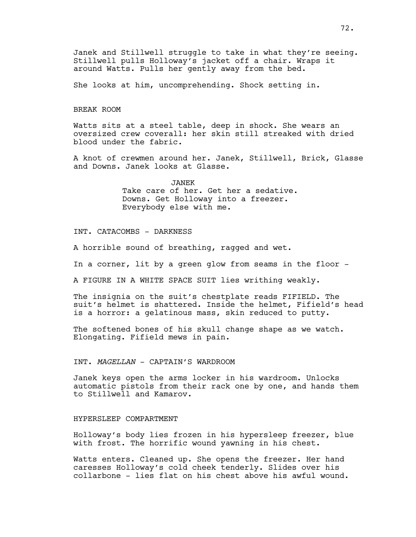Janek and Stillwell struggle to take in what they're seeing. Stillwell pulls Holloway's jacket off a chair. Wraps it around Watts. Pulls her gently away from the bed.

She looks at him, uncomprehending. Shock setting in.

#### BREAK ROOM

Watts sits at a steel table, deep in shock. She wears an oversized crew coverall: her skin still streaked with dried blood under the fabric.

A knot of crewmen around her. Janek, Stillwell, Brick, Glasse and Downs. Janek looks at Glasse.

> JANEK Take care of her. Get her a sedative. Downs. Get Holloway into a freezer. Everybody else with me.

# INT. CATACOMBS - DARKNESS

A horrible sound of breathing, ragged and wet.

In a corner, lit by a green glow from seams in the floor -

A FIGURE IN A WHITE SPACE SUIT lies writhing weakly.

The insignia on the suit's chestplate reads FIFIELD. The suit's helmet is shattered. Inside the helmet, Fifield's head is a horror: a gelatinous mass, skin reduced to putty.

The softened bones of his skull change shape as we watch. Elongating. Fifield mews in pain.

### INT. *MAGELLAN* - CAPTAIN'S WARDROOM

Janek keys open the arms locker in his wardroom. Unlocks automatic pistols from their rack one by one, and hands them to Stillwell and Kamarov.

# HYPERSLEEP COMPARTMENT

Holloway's body lies frozen in his hypersleep freezer, blue with frost. The horrific wound yawning in his chest.

Watts enters. Cleaned up. She opens the freezer. Her hand caresses Holloway's cold cheek tenderly. Slides over his collarbone - lies flat on his chest above his awful wound.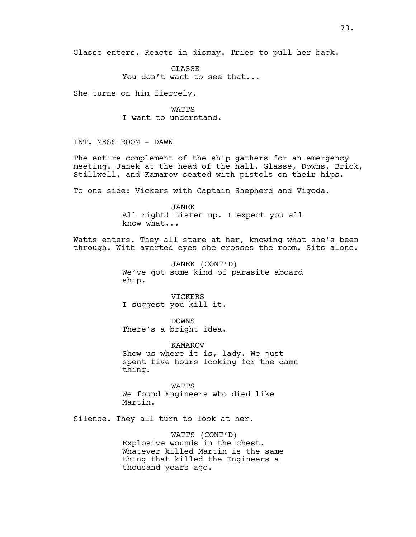Glasse enters. Reacts in dismay. Tries to pull her back.

**GLASSE** You don't want to see that...

She turns on him fiercely.

WATTS I want to understand.

INT. MESS ROOM - DAWN

The entire complement of the ship gathers for an emergency meeting. Janek at the head of the hall. Glasse, Downs, Brick, Stillwell, and Kamarov seated with pistols on their hips.

To one side: Vickers with Captain Shepherd and Vigoda.

JANEK All right! Listen up. I expect you all know what...

Watts enters. They all stare at her, knowing what she's been through. With averted eyes she crosses the room. Sits alone.

> JANEK (CONT'D) We've got some kind of parasite aboard ship.

VICKERS I suggest you kill it.

DOWNS There's a bright idea.

KAMAROV Show us where it is, lady. We just spent five hours looking for the damn thing.

**WATTS** We found Engineers who died like Martin.

Silence. They all turn to look at her.

WATTS (CONT'D) Explosive wounds in the chest. Whatever killed Martin is the same thing that killed the Engineers a thousand years ago.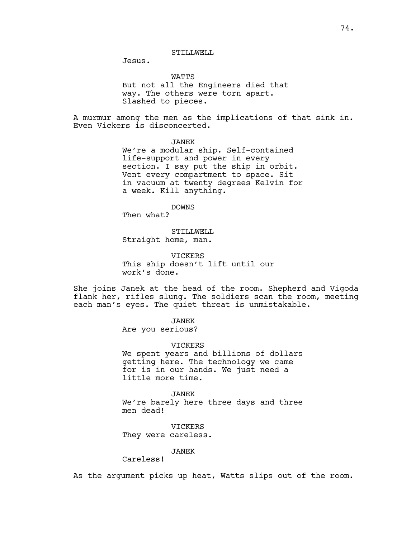# STILLWELL

Jesus.

WATTS

But not all the Engineers died that way. The others were torn apart. Slashed to pieces.

A murmur among the men as the implications of that sink in. Even Vickers is disconcerted.

JANEK

We're a modular ship. Self-contained life-support and power in every section. I say put the ship in orbit. Vent every compartment to space. Sit in vacuum at twenty degrees Kelvin for a week. Kill anything.

DOWNS

Then what?

STILLWELL Straight home, man.

VICKERS This ship doesn't lift until our work's done.

She joins Janek at the head of the room. Shepherd and Vigoda flank her, rifles slung. The soldiers scan the room, meeting each man's eyes. The quiet threat is unmistakable.

JANEK

Are you serious?

VICKERS

We spent years and billions of dollars getting here. The technology we came for is in our hands. We just need a little more time.

JANEK We're barely here three days and three men dead!

VICKERS They were careless.

JANEK

Careless!

As the argument picks up heat, Watts slips out of the room.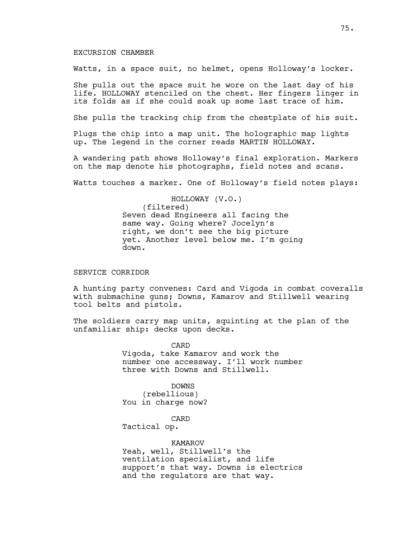### EXCURSION CHAMBER

Watts, in a space suit, no helmet, opens Holloway's locker.

She pulls out the space suit he wore on the last day of his life. HOLLOWAY stenciled on the chest. Her fingers linger in its folds as if she could soak up some last trace of him.

She pulls the tracking chip from the chestplate of his suit.

Plugs the chip into a map unit. The holographic map lights up. The legend in the corner reads MARTIN HOLLOWAY.

A wandering path shows Holloway's final exploration. Markers on the map denote his photographs, field notes and scans.

Watts touches a marker. One of Holloway's field notes plays:

HOLLOWAY (V.O.) (filtered) Seven dead Engineers all facing the same way. Going where? Jocelyn's right, we don't see the big picture yet. Another level below me. I'm going down.

## SERVICE CORRIDOR

A hunting party convenes: Card and Vigoda in combat coveralls with submachine guns; Downs, Kamarov and Stillwell wearing tool belts and pistols.

The soldiers carry map units, squinting at the plan of the unfamiliar ship: decks upon decks.

> CARD Vigoda, take Kamarov and work the number one accessway. I'll work number three with Downs and Stillwell.

DOWNS (rebellious) You in charge now?

CARD

Tactical op.

KAMAROV Yeah, well, Stillwell's the ventilation specialist, and life support's that way. Downs is electrics and the regulators are that way.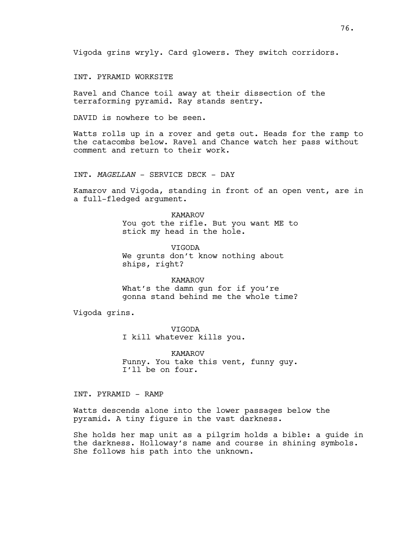Vigoda grins wryly. Card glowers. They switch corridors.

INT. PYRAMID WORKSITE

Ravel and Chance toil away at their dissection of the terraforming pyramid. Ray stands sentry.

DAVID is nowhere to be seen.

Watts rolls up in a rover and gets out. Heads for the ramp to the catacombs below. Ravel and Chance watch her pass without comment and return to their work.

INT. *MAGELLAN* - SERVICE DECK - DAY

Kamarov and Vigoda, standing in front of an open vent, are in a full-fledged argument.

> KAMAROV You got the rifle. But you want ME to stick my head in the hole.

VIGODA We grunts don't know nothing about ships, right?

KAMAROV What's the damn gun for if you're gonna stand behind me the whole time?

Vigoda grins.

VIGODA I kill whatever kills you.

KAMAROV Funny. You take this vent, funny guy. I'll be on four.

INT. PYRAMID - RAMP

Watts descends alone into the lower passages below the pyramid. A tiny figure in the vast darkness.

She holds her map unit as a pilgrim holds a bible: a guide in the darkness. Holloway's name and course in shining symbols. She follows his path into the unknown.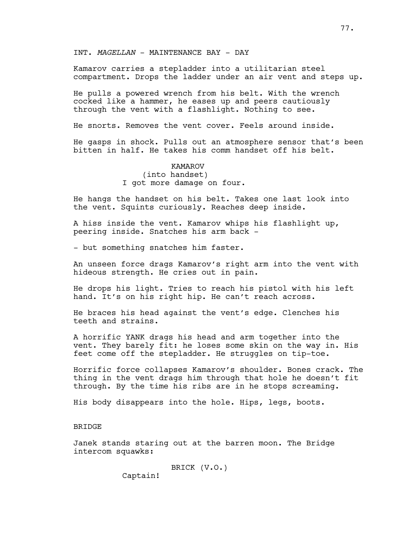INT. *MAGELLAN* - MAINTENANCE BAY - DAY

Kamarov carries a stepladder into a utilitarian steel compartment. Drops the ladder under an air vent and steps up.

He pulls a powered wrench from his belt. With the wrench cocked like a hammer, he eases up and peers cautiously through the vent with a flashlight. Nothing to see.

He snorts. Removes the vent cover. Feels around inside.

He gasps in shock. Pulls out an atmosphere sensor that's been bitten in half. He takes his comm handset off his belt.

> KAMAROV (into handset) I got more damage on four.

He hangs the handset on his belt. Takes one last look into the vent. Squints curiously. Reaches deep inside.

A hiss inside the vent. Kamarov whips his flashlight up, peering inside. Snatches his arm back -

- but something snatches him faster.

An unseen force drags Kamarov's right arm into the vent with hideous strength. He cries out in pain.

He drops his light. Tries to reach his pistol with his left hand. It's on his right hip. He can't reach across.

He braces his head against the vent's edge. Clenches his teeth and strains.

A horrific YANK drags his head and arm together into the vent. They barely fit: he loses some skin on the way in. His feet come off the stepladder. He struggles on tip-toe.

Horrific force collapses Kamarov's shoulder. Bones crack. The thing in the vent drags him through that hole he doesn't fit through. By the time his ribs are in he stops screaming.

His body disappears into the hole. Hips, legs, boots.

# **BRIDGE**

Janek stands staring out at the barren moon. The Bridge intercom squawks:

BRICK (V.O.)

Captain!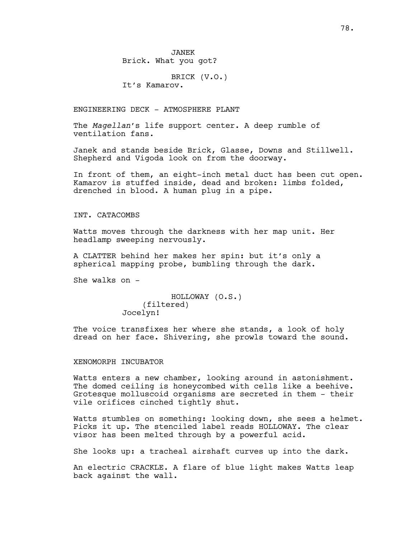BRICK (V.O.) It's Kamarov.

ENGINEERING DECK - ATMOSPHERE PLANT

The *Magellan*'s life support center. A deep rumble of ventilation fans.

Janek and stands beside Brick, Glasse, Downs and Stillwell. Shepherd and Vigoda look on from the doorway.

In front of them, an eight-inch metal duct has been cut open. Kamarov is stuffed inside, dead and broken: limbs folded, drenched in blood. A human plug in a pipe.

# INT. CATACOMBS

Watts moves through the darkness with her map unit. Her headlamp sweeping nervously.

A CLATTER behind her makes her spin: but it's only a spherical mapping probe, bumbling through the dark.

She walks on -

```
HOLLOWAY (O.S.)
    (filtered)
Jocelyn!
```
The voice transfixes her where she stands, a look of holy dread on her face. Shivering, she prowls toward the sound.

# XENOMORPH INCUBATOR

Watts enters a new chamber, looking around in astonishment. The domed ceiling is honeycombed with cells like a beehive. Grotesque molluscoid organisms are secreted in them - their vile orifices cinched tightly shut.

Watts stumbles on something: looking down, she sees a helmet. Picks it up. The stenciled label reads HOLLOWAY. The clear visor has been melted through by a powerful acid.

She looks up: a tracheal airshaft curves up into the dark.

An electric CRACKLE. A flare of blue light makes Watts leap back against the wall.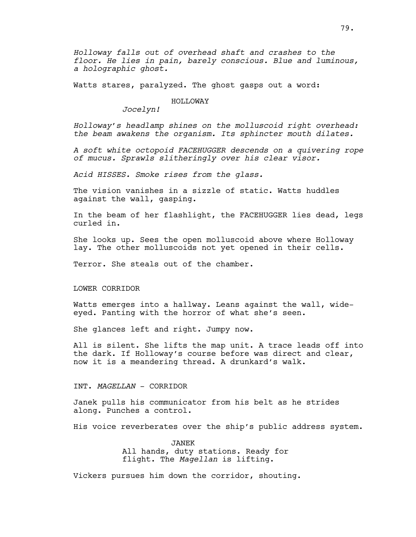Watts stares, paralyzed. The ghost gasps out a word:

# HOLLOWAY

*Jocelyn!*

*Holloway's headlamp shines on the molluscoid right overhead: the beam awakens the organism. Its sphincter mouth dilates.*

*A soft white octopoid FACEHUGGER descends on a quivering rope of mucus. Sprawls slitheringly over his clear visor.*

*Acid HISSES. Smoke rises from the glass.*

The vision vanishes in a sizzle of static. Watts huddles against the wall, gasping.

In the beam of her flashlight, the FACEHUGGER lies dead, legs curled in.

She looks up. Sees the open molluscoid above where Holloway lay. The other molluscoids not yet opened in their cells.

Terror. She steals out of the chamber.

## LOWER CORRIDOR

Watts emerges into a hallway. Leans against the wall, wideeyed. Panting with the horror of what she's seen.

She glances left and right. Jumpy now.

All is silent. She lifts the map unit. A trace leads off into the dark. If Holloway's course before was direct and clear, now it is a meandering thread. A drunkard's walk.

### INT. *MAGELLAN* - CORRIDOR

Janek pulls his communicator from his belt as he strides along. Punches a control.

His voice reverberates over the ship's public address system.

JANEK All hands, duty stations. Ready for flight. The *Magellan* is lifting.

Vickers pursues him down the corridor, shouting.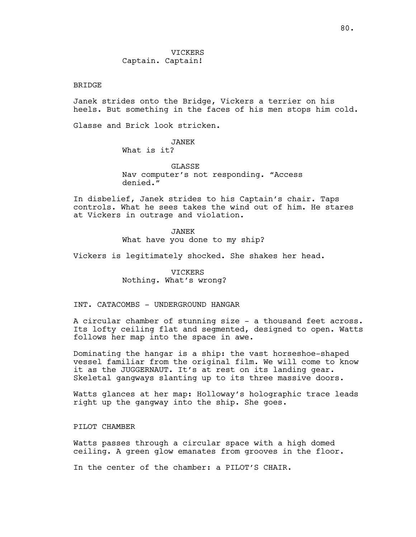# VICKERS Captain. Captain!

### BRIDGE

Janek strides onto the Bridge, Vickers a terrier on his heels. But something in the faces of his men stops him cold.

Glasse and Brick look stricken.

# JANEK

What is it?

**GLASSE** 

Nav computer's not responding. "Access denied."

In disbelief, Janek strides to his Captain's chair. Taps controls. What he sees takes the wind out of him. He stares at Vickers in outrage and violation.

JANEK

What have you done to my ship?

Vickers is legitimately shocked. She shakes her head.

VICKERS Nothing. What's wrong?

# INT. CATACOMBS - UNDERGROUND HANGAR

A circular chamber of stunning size - a thousand feet across. Its lofty ceiling flat and segmented, designed to open. Watts follows her map into the space in awe.

Dominating the hangar is a ship: the vast horseshoe-shaped vessel familiar from the original film. We will come to know it as the JUGGERNAUT. It's at rest on its landing gear. Skeletal gangways slanting up to its three massive doors.

Watts glances at her map: Holloway's holographic trace leads right up the gangway into the ship. She goes.

PILOT CHAMBER

Watts passes through a circular space with a high domed ceiling. A green glow emanates from grooves in the floor.

In the center of the chamber: a PILOT'S CHAIR.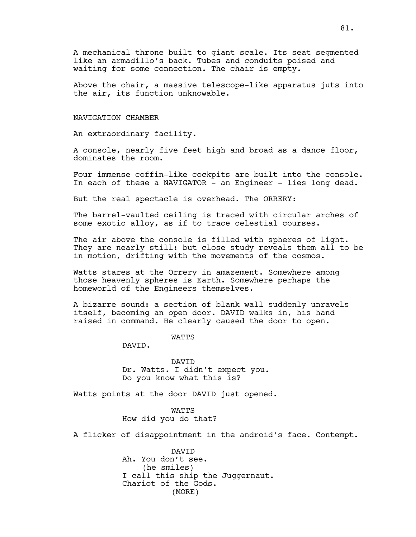A mechanical throne built to giant scale. Its seat segmented like an armadillo's back. Tubes and conduits poised and waiting for some connection. The chair is empty.

Above the chair, a massive telescope-like apparatus juts into the air, its function unknowable.

#### NAVIGATION CHAMBER

An extraordinary facility.

A console, nearly five feet high and broad as a dance floor, dominates the room.

Four immense coffin-like cockpits are built into the console. In each of these a NAVIGATOR - an Engineer - lies long dead.

But the real spectacle is overhead. The ORRERY:

The barrel-vaulted ceiling is traced with circular arches of some exotic alloy, as if to trace celestial courses.

The air above the console is filled with spheres of light. They are nearly still: but close study reveals them all to be in motion, drifting with the movements of the cosmos.

Watts stares at the Orrery in amazement. Somewhere among those heavenly spheres is Earth. Somewhere perhaps the homeworld of the Engineers themselves.

A bizarre sound: a section of blank wall suddenly unravels itself, becoming an open door. DAVID walks in, his hand raised in command. He clearly caused the door to open.

**WATTS** 

DAVID.

DAVID Dr. Watts. I didn't expect you. Do you know what this is?

Watts points at the door DAVID just opened.

WATTS How did you do that?

A flicker of disappointment in the android's face. Contempt.

DAVID Ah. You don't see. (he smiles) I call this ship the Juggernaut. Chariot of the Gods. (MORE)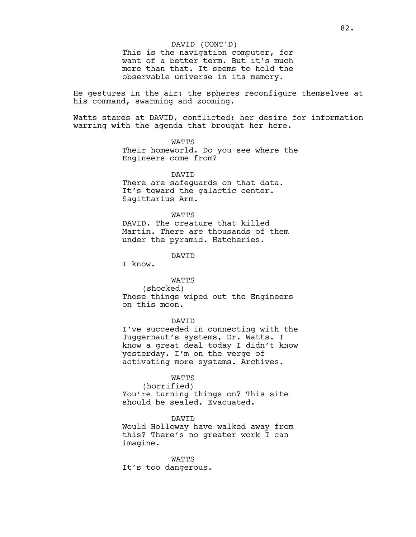# DAVID (CONT'D)

This is the navigation computer, for want of a better term. But it's much more than that. It seems to hold the observable universe in its memory.

He gestures in the air: the spheres reconfigure themselves at his command, swarming and zooming.

Watts stares at DAVID, conflicted: her desire for information warring with the agenda that brought her here.

# WATTS

Their homeworld. Do you see where the Engineers come from?

DAVID There are safeguards on that data. It's toward the galactic center. Sagittarius Arm.

#### **WATTS**

DAVID. The creature that killed Martin. There are thousands of them under the pyramid. Hatcheries.

DAVID

I know.

# WATTS

(shocked) Those things wiped out the Engineers on this moon.

# DAVID

I've succeeded in connecting with the Juggernaut's systems, Dr. Watts. I know a great deal today I didn't know yesterday. I'm on the verge of activating more systems. Archives.

#### WATTS

(horrified) You're turning things on? This site should be sealed. Evacuated.

#### DAVID

Would Holloway have walked away from this? There's no greater work I can imagine.

WATTS It's too dangerous.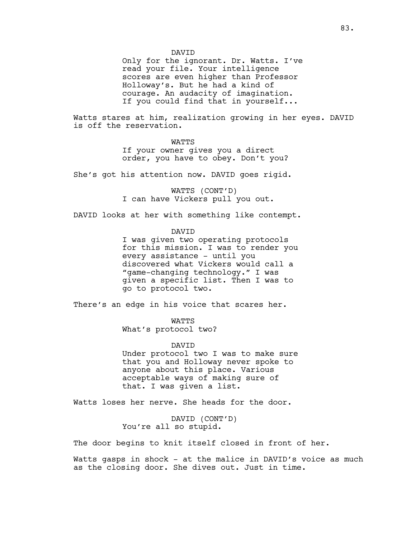DAVID

Only for the ignorant. Dr. Watts. I've read your file. Your intelligence scores are even higher than Professor Holloway's. But he had a kind of courage. An audacity of imagination. If you could find that in yourself...

Watts stares at him, realization growing in her eyes. DAVID is off the reservation.

**WATTS** 

If your owner gives you a direct order, you have to obey. Don't you?

She's got his attention now. DAVID goes rigid.

WATTS (CONT'D) I can have Vickers pull you out.

DAVID looks at her with something like contempt.

DAVID

I was given two operating protocols for this mission. I was to render you every assistance - until you discovered what Vickers would call a "game-changing technology." I was given a specific list. Then I was to go to protocol two.

There's an edge in his voice that scares her.

**WATTS** 

What's protocol two?

DAVID

Under protocol two I was to make sure that you and Holloway never spoke to anyone about this place. Various acceptable ways of making sure of that. I was given a list.

Watts loses her nerve. She heads for the door.

DAVID (CONT'D) You're all so stupid.

The door begins to knit itself closed in front of her.

Watts gasps in shock - at the malice in DAVID's voice as much as the closing door. She dives out. Just in time.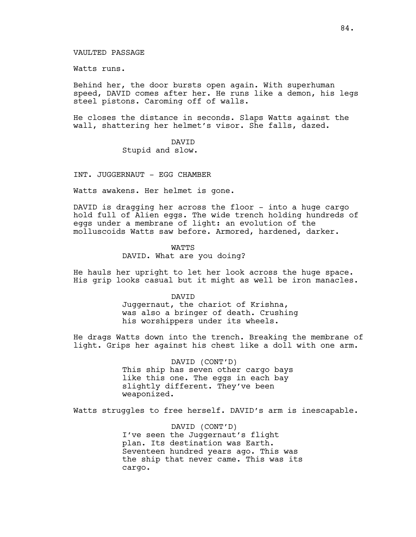# VAULTED PASSAGE

Watts runs.

Behind her, the door bursts open again. With superhuman speed, DAVID comes after her. He runs like a demon, his legs steel pistons. Caroming off of walls.

He closes the distance in seconds. Slaps Watts against the wall, shattering her helmet's visor. She falls, dazed.

# DAVID

Stupid and slow.

INT. JUGGERNAUT - EGG CHAMBER

Watts awakens. Her helmet is gone.

DAVID is dragging her across the floor - into a huge cargo hold full of Alien eggs. The wide trench holding hundreds of eggs under a membrane of light: an evolution of the molluscoids Watts saw before. Armored, hardened, darker.

#### **WATTS**

DAVID. What are you doing?

He hauls her upright to let her look across the huge space. His grip looks casual but it might as well be iron manacles.

> DAVID Juggernaut, the chariot of Krishna, was also a bringer of death. Crushing his worshippers under its wheels.

He drags Watts down into the trench. Breaking the membrane of light. Grips her against his chest like a doll with one arm.

> DAVID (CONT'D) This ship has seven other cargo bays like this one. The eggs in each bay slightly different. They've been weaponized.

Watts struggles to free herself. DAVID's arm is inescapable.

DAVID (CONT'D) I've seen the Juggernaut's flight plan. Its destination was Earth. Seventeen hundred years ago. This was the ship that never came. This was its cargo.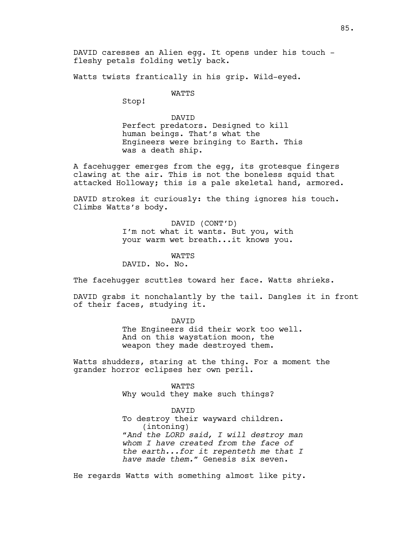DAVID caresses an Alien egg. It opens under his touch fleshy petals folding wetly back.

Watts twists frantically in his grip. Wild-eyed.

# WATTS

Stop!

# DAVID Perfect predators. Designed to kill human beings. That's what the Engineers were bringing to Earth. This was a death ship.

A facehugger emerges from the egg, its grotesque fingers clawing at the air. This is not the boneless squid that attacked Holloway; this is a pale skeletal hand, armored.

DAVID strokes it curiously: the thing ignores his touch. Climbs Watts's body.

> DAVID (CONT'D) I'm not what it wants. But you, with your warm wet breath...it knows you.

**WATTS** DAVID. No. No.

The facehugger scuttles toward her face. Watts shrieks.

DAVID grabs it nonchalantly by the tail. Dangles it in front of their faces, studying it.

> DAVID The Engineers did their work too well. And on this waystation moon, the weapon they made destroyed them.

Watts shudders, staring at the thing. For a moment the grander horror eclipses her own peril.

> WATTS Why would they make such things?

DAVID To destroy their wayward children. (intoning) *"And the LORD said, I will destroy man whom I have created from the face of the earth...for it repenteth me that I have made them."* Genesis six seven.

He regards Watts with something almost like pity.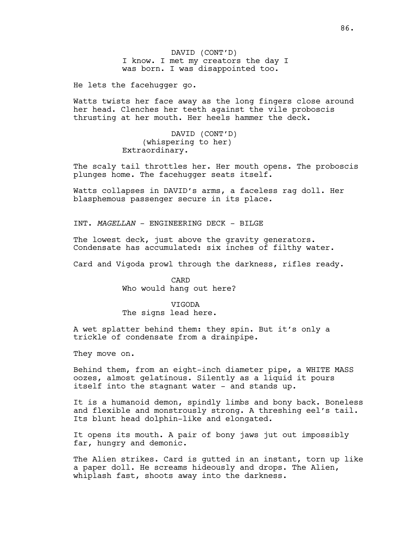DAVID (CONT'D) I know. I met my creators the day I was born. I was disappointed too.

He lets the facehugger go.

Watts twists her face away as the long fingers close around her head. Clenches her teeth against the vile proboscis thrusting at her mouth. Her heels hammer the deck.

> DAVID (CONT'D) (whispering to her) Extraordinary.

The scaly tail throttles her. Her mouth opens. The proboscis plunges home. The facehugger seats itself.

Watts collapses in DAVID's arms, a faceless rag doll. Her blasphemous passenger secure in its place.

INT. *MAGELLAN* - ENGINEERING DECK - BILGE

The lowest deck, just above the gravity generators. Condensate has accumulated: six inches of filthy water.

Card and Vigoda prowl through the darkness, rifles ready.

CARD Who would hang out here?

**VTGODA** The signs lead here.

A wet splatter behind them: they spin. But it's only a trickle of condensate from a drainpipe.

They move on.

Behind them, from an eight-inch diameter pipe, a WHITE MASS oozes, almost gelatinous. Silently as a liquid it pours itself into the stagnant water - and stands up.

It is a humanoid demon, spindly limbs and bony back. Boneless and flexible and monstrously strong. A threshing eel's tail. Its blunt head dolphin-like and elongated.

It opens its mouth. A pair of bony jaws jut out impossibly far, hungry and demonic.

The Alien strikes. Card is gutted in an instant, torn up like a paper doll. He screams hideously and drops. The Alien, whiplash fast, shoots away into the darkness.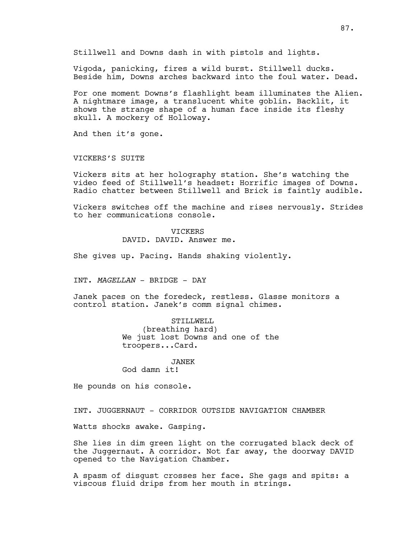Stillwell and Downs dash in with pistols and lights.

Vigoda, panicking, fires a wild burst. Stillwell ducks. Beside him, Downs arches backward into the foul water. Dead.

For one moment Downs's flashlight beam illuminates the Alien. A nightmare image, a translucent white goblin. Backlit, it shows the strange shape of a human face inside its fleshy skull. A mockery of Holloway.

And then it's gone.

VICKERS'S SUITE

Vickers sits at her holography station. She's watching the video feed of Stillwell's headset: Horrific images of Downs. Radio chatter between Stillwell and Brick is faintly audible.

Vickers switches off the machine and rises nervously. Strides to her communications console.

## VICKERS

DAVID. DAVID. Answer me.

She gives up. Pacing. Hands shaking violently.

INT. *MAGELLAN* - BRIDGE - DAY

Janek paces on the foredeck, restless. Glasse monitors a control station. Janek's comm signal chimes.

> STILLWELL (breathing hard) We just lost Downs and one of the troopers...Card.

# JANEK

God damn it!

He pounds on his console.

INT. JUGGERNAUT - CORRIDOR OUTSIDE NAVIGATION CHAMBER

Watts shocks awake. Gasping.

She lies in dim green light on the corrugated black deck of the Juggernaut. A corridor. Not far away, the doorway DAVID opened to the Navigation Chamber.

A spasm of disgust crosses her face. She gags and spits: a viscous fluid drips from her mouth in strings.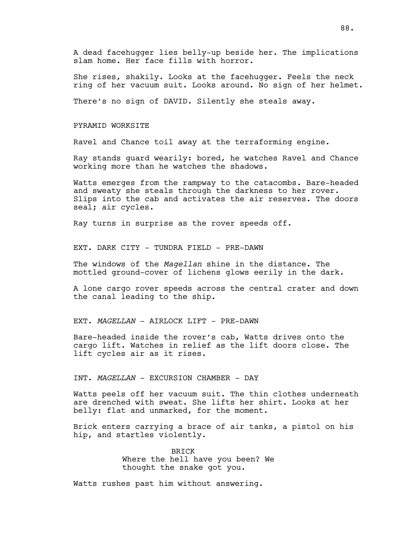A dead facehugger lies belly-up beside her. The implications slam home. Her face fills with horror.

She rises, shakily. Looks at the facehugger. Feels the neck ring of her vacuum suit. Looks around. No sign of her helmet.

There's no sign of DAVID. Silently she steals away.

### PYRAMID WORKSITE

Ravel and Chance toil away at the terraforming engine.

Ray stands guard wearily: bored, he watches Ravel and Chance working more than he watches the shadows.

Watts emerges from the rampway to the catacombs. Bare-headed and sweaty she steals through the darkness to her rover. Slips into the cab and activates the air reserves. The doors seal; air cycles.

Ray turns in surprise as the rover speeds off.

EXT. DARK CITY - TUNDRA FIELD - PRE-DAWN

The windows of the *Magellan* shine in the distance. The mottled ground-cover of lichens glows eerily in the dark.

A lone cargo rover speeds across the central crater and down the canal leading to the ship.

EXT. *MAGELLAN* - AIRLOCK LIFT - PRE-DAWN

Bare-headed inside the rover's cab, Watts drives onto the cargo lift. Watches in relief as the lift doors close. The lift cycles air as it rises.

INT. *MAGELLAN* - EXCURSION CHAMBER - DAY

Watts peels off her vacuum suit. The thin clothes underneath are drenched with sweat. She lifts her shirt. Looks at her belly: flat and unmarked, for the moment.

Brick enters carrying a brace of air tanks, a pistol on his hip, and startles violently.

> BRICK Where the hell have you been? We thought the snake got you.

Watts rushes past him without answering.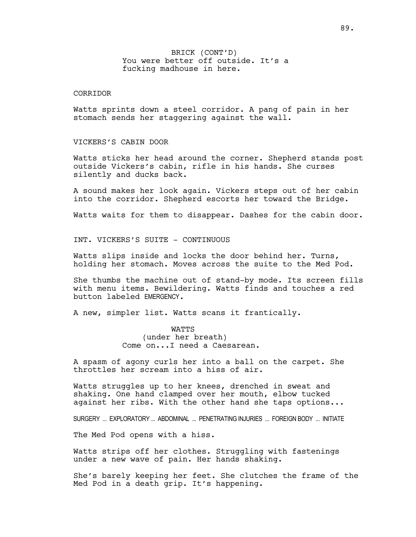# BRICK (CONT'D) You were better off outside. It's a fucking madhouse in here.

# CORRIDOR

Watts sprints down a steel corridor. A pang of pain in her stomach sends her staggering against the wall.

# VICKERS'S CABIN DOOR

Watts sticks her head around the corner. Shepherd stands post outside Vickers's cabin, rifle in his hands. She curses silently and ducks back.

A sound makes her look again. Vickers steps out of her cabin into the corridor. Shepherd escorts her toward the Bridge.

Watts waits for them to disappear. Dashes for the cabin door.

INT. VICKERS'S SUITE - CONTINUOUS

Watts slips inside and locks the door behind her. Turns, holding her stomach. Moves across the suite to the Med Pod.

She thumbs the machine out of stand-by mode. Its screen fills with menu items. Bewildering. Watts finds and touches a red button labeled EMERGENCY.

A new, simpler list. Watts scans it frantically.

WATTS (under her breath) Come on...I need a Caesarean.

A spasm of agony curls her into a ball on the carpet. She throttles her scream into a hiss of air.

Watts struggles up to her knees, drenched in sweat and shaking. One hand clamped over her mouth, elbow tucked against her ribs. With the other hand she taps options...

SURGERY ... EXPLORATORY ... ABDOMINAL ... PENETRATING INJURIES ... FOREIGN BODY ... INITIATE

The Med Pod opens with a hiss.

Watts strips off her clothes. Struggling with fastenings under a new wave of pain. Her hands shaking.

She's barely keeping her feet. She clutches the frame of the Med Pod in a death grip. It's happening.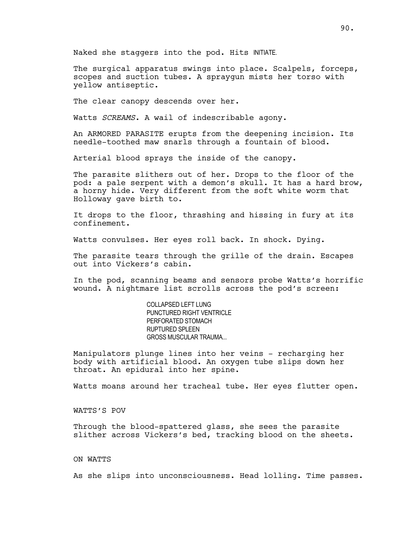Naked she staggers into the pod. Hits INITIATE.

The surgical apparatus swings into place. Scalpels, forceps, scopes and suction tubes. A spraygun mists her torso with yellow antiseptic.

The clear canopy descends over her.

Watts *SCREAMS*. A wail of indescribable agony.

An ARMORED PARASITE erupts from the deepening incision. Its needle-toothed maw snarls through a fountain of blood.

Arterial blood sprays the inside of the canopy.

The parasite slithers out of her. Drops to the floor of the pod: a pale serpent with a demon's skull. It has a hard brow, a horny hide. Very different from the soft white worm that Holloway gave birth to.

It drops to the floor, thrashing and hissing in fury at its confinement.

Watts convulses. Her eyes roll back. In shock. Dying.

The parasite tears through the grille of the drain. Escapes out into Vickers's cabin.

In the pod, scanning beams and sensors probe Watts's horrific wound. A nightmare list scrolls across the pod's screen:

> COLLAPSED LEFT LUNG PUNCTURED RIGHT VENTRICLE PERFORATED STOMACH RUPTURED SPLEEN GROSS MUSCULAR TRAUMA...

Manipulators plunge lines into her veins - recharging her body with artificial blood. An oxygen tube slips down her throat. An epidural into her spine.

Watts moans around her tracheal tube. Her eyes flutter open.

WATTS'S POV

Through the blood-spattered glass, she sees the parasite slither across Vickers's bed, tracking blood on the sheets.

# ON WATTS

As she slips into unconsciousness. Head lolling. Time passes.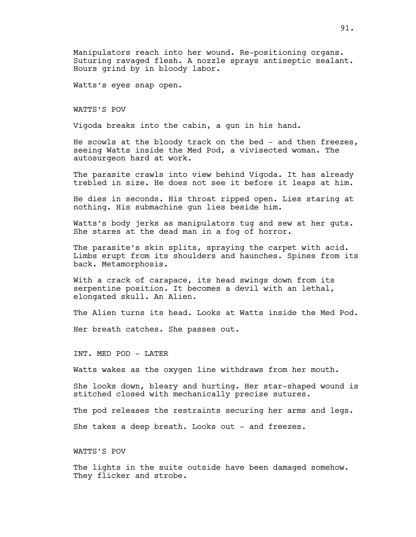Manipulators reach into her wound. Re-positioning organs. Suturing ravaged flesh. A nozzle sprays antiseptic sealant. Hours grind by in bloody labor.

Watts's eyes snap open.

WATTS'S POV

Vigoda breaks into the cabin, a gun in his hand.

He scowls at the bloody track on the bed - and then freezes, seeing Watts inside the Med Pod, a vivisected woman. The autosurgeon hard at work.

The parasite crawls into view behind Vigoda. It has already trebled in size. He does not see it before it leaps at him.

He dies in seconds. His throat ripped open. Lies staring at nothing. His submachine gun lies beside him.

Watts's body jerks as manipulators tug and sew at her guts. She stares at the dead man in a fog of horror.

The parasite's skin splits, spraying the carpet with acid. Limbs erupt from its shoulders and haunches. Spines from its back. Metamorphosis.

With a crack of carapace, its head swings down from its serpentine position. It becomes a devil with an lethal, elongated skull. An Alien.

The Alien turns its head. Looks at Watts inside the Med Pod.

Her breath catches. She passes out.

INT. MED POD - LATER

Watts wakes as the oxygen line withdraws from her mouth.

She looks down, bleary and hurting. Her star-shaped wound is stitched closed with mechanically precise sutures.

The pod releases the restraints securing her arms and legs.

She takes a deep breath. Looks out - and freezes.

WATTS'S POV

The lights in the suite outside have been damaged somehow. They flicker and strobe.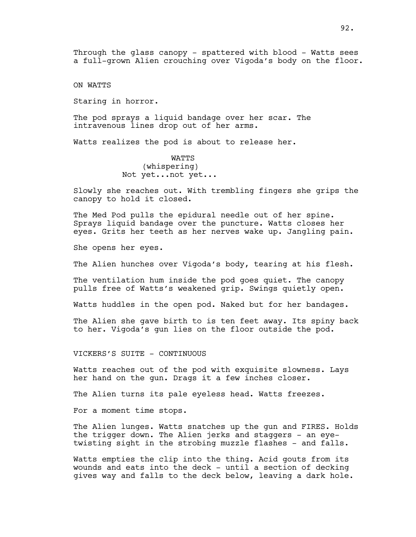Through the glass canopy - spattered with blood - Watts sees a full-grown Alien crouching over Vigoda's body on the floor.

ON WATTS

Staring in horror.

The pod sprays a liquid bandage over her scar. The intravenous lines drop out of her arms.

Watts realizes the pod is about to release her.

**WATTS** (whispering) Not yet...not yet...

Slowly she reaches out. With trembling fingers she grips the canopy to hold it closed.

The Med Pod pulls the epidural needle out of her spine. Sprays liquid bandage over the puncture. Watts closes her eyes. Grits her teeth as her nerves wake up. Jangling pain.

She opens her eyes.

The Alien hunches over Vigoda's body, tearing at his flesh.

The ventilation hum inside the pod goes quiet. The canopy pulls free of Watts's weakened grip. Swings quietly open.

Watts huddles in the open pod. Naked but for her bandages.

The Alien she gave birth to is ten feet away. Its spiny back to her. Vigoda's gun lies on the floor outside the pod.

VICKERS'S SUITE - CONTINUOUS

Watts reaches out of the pod with exquisite slowness. Lays her hand on the gun. Drags it a few inches closer.

The Alien turns its pale eyeless head. Watts freezes.

For a moment time stops.

The Alien lunges. Watts snatches up the gun and FIRES. Holds the trigger down. The Alien jerks and staggers - an eyetwisting sight in the strobing muzzle flashes - and falls.

Watts empties the clip into the thing. Acid gouts from its wounds and eats into the deck - until a section of decking gives way and falls to the deck below, leaving a dark hole.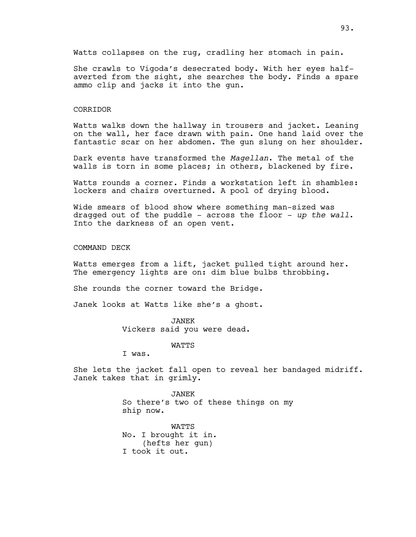Watts collapses on the rug, cradling her stomach in pain.

She crawls to Vigoda's desecrated body. With her eyes halfaverted from the sight, she searches the body. Finds a spare ammo clip and jacks it into the gun.

## CORRIDOR

Watts walks down the hallway in trousers and jacket. Leaning on the wall, her face drawn with pain. One hand laid over the fantastic scar on her abdomen. The gun slung on her shoulder.

Dark events have transformed the *Magellan*. The metal of the walls is torn in some places; in others, blackened by fire.

Watts rounds a corner. Finds a workstation left in shambles: lockers and chairs overturned. A pool of drying blood.

Wide smears of blood show where something man-sized was dragged out of the puddle - across the floor - *up the wall*. Into the darkness of an open vent.

COMMAND DECK

Watts emerges from a lift, jacket pulled tight around her. The emergency lights are on: dim blue bulbs throbbing.

She rounds the corner toward the Bridge.

Janek looks at Watts like she's a ghost.

# JANEK

Vickers said you were dead.

WATTS

I was.

She lets the jacket fall open to reveal her bandaged midriff. Janek takes that in grimly.

> JANEK So there's two of these things on my ship now.

**WATTS** No. I brought it in. (hefts her gun) I took it out.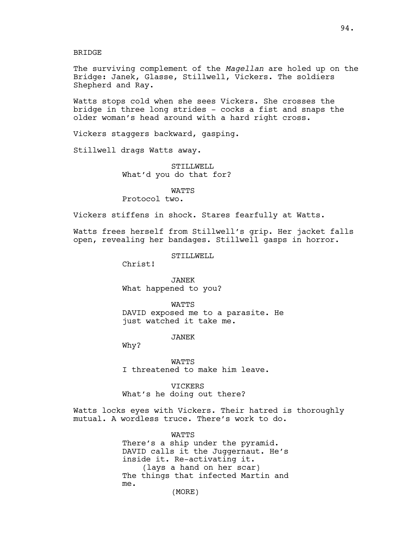BRIDGE

The surviving complement of the *Magellan* are holed up on the Bridge: Janek, Glasse, Stillwell, Vickers. The soldiers Shepherd and Ray.

Watts stops cold when she sees Vickers. She crosses the bridge in three long strides - cocks a fist and snaps the older woman's head around with a hard right cross.

Vickers staggers backward, gasping.

Stillwell drags Watts away.

STILLWELL What'd you do that for?

WATTS

Protocol two.

Vickers stiffens in shock. Stares fearfully at Watts.

Watts frees herself from Stillwell's grip. Her jacket falls open, revealing her bandages. Stillwell gasps in horror.

STILLWELL

Christ!

JANEK What happened to you?

**WATTS** DAVID exposed me to a parasite. He just watched it take me.

JANEK

Why?

WATTS I threatened to make him leave.

VICKERS What's he doing out there?

Watts locks eyes with Vickers. Their hatred is thoroughly mutual. A wordless truce. There's work to do.

**WATTS** 

There's a ship under the pyramid. DAVID calls it the Juggernaut. He's inside it. Re-activating it. (lays a hand on her scar) The things that infected Martin and me.

(MORE)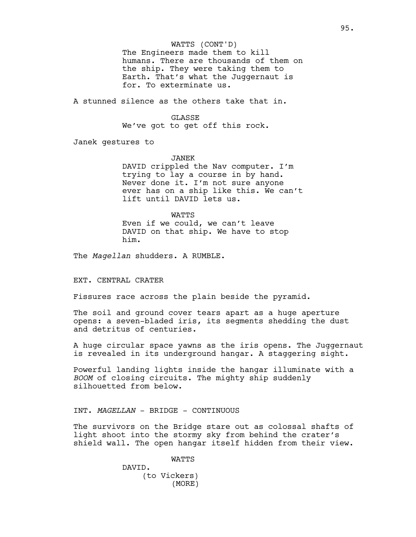The Engineers made them to kill humans. There are thousands of them on the ship. They were taking them to Earth. That's what the Juggernaut is for. To exterminate us.

A stunned silence as the others take that in.

## GLASSE

We've got to get off this rock.

Janek gestures to

JANEK

DAVID crippled the Nav computer. I'm trying to lay a course in by hand. Never done it. I'm not sure anyone ever has on a ship like this. We can't lift until DAVID lets us.

**WATTS** Even if we could, we can't leave DAVID on that ship. We have to stop him.

The *Magellan* shudders. A RUMBLE.

EXT. CENTRAL CRATER

Fissures race across the plain beside the pyramid.

The soil and ground cover tears apart as a huge aperture opens: a seven-bladed iris, its segments shedding the dust and detritus of centuries.

A huge circular space yawns as the iris opens. The Juggernaut is revealed in its underground hangar. A staggering sight.

Powerful landing lights inside the hangar illuminate with a *BOOM* of closing circuits. The mighty ship suddenly silhouetted from below.

INT. *MAGELLAN* - BRIDGE - CONTINUOUS

The survivors on the Bridge stare out as colossal shafts of light shoot into the stormy sky from behind the crater's shield wall. The open hangar itself hidden from their view.

WATTS

DAVID. (to Vickers) (MORE)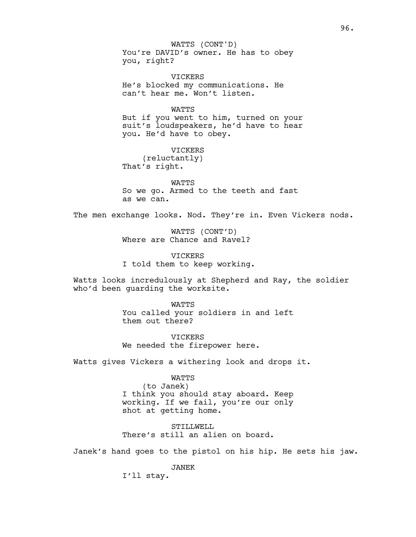WATTS (CONT'D)

You're DAVID's owner. He has to obey you, right?

VICKERS He's blocked my communications. He can't hear me. Won't listen.

WATTS But if you went to him, turned on your suit's loudspeakers, he'd have to hear you. He'd have to obey.

VICKERS (reluctantly) That's right.

WATTS So we go. Armed to the teeth and fast as we can.

The men exchange looks. Nod. They're in. Even Vickers nods.

WATTS (CONT'D) Where are Chance and Ravel?

VICKERS I told them to keep working.

Watts looks incredulously at Shepherd and Ray, the soldier who'd been guarding the worksite.

> **WATTS** You called your soldiers in and left them out there?

**VICKERS** We needed the firepower here.

Watts gives Vickers a withering look and drops it.

WATTS (to Janek) I think you should stay aboard. Keep working. If we fail, you're our only shot at getting home.

STILLWELL There's still an alien on board.

Janek's hand goes to the pistol on his hip. He sets his jaw.

JANEK

I'll stay.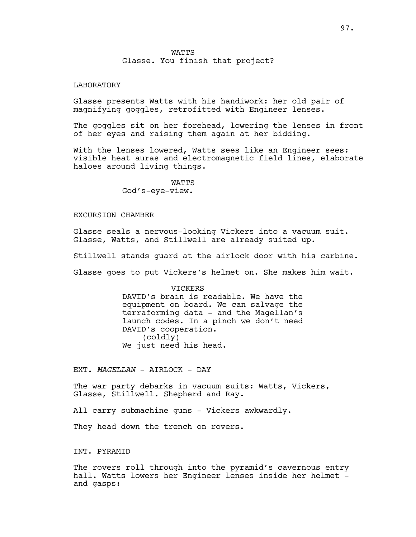# LABORATORY

Glasse presents Watts with his handiwork: her old pair of magnifying goggles, retrofitted with Engineer lenses.

The goggles sit on her forehead, lowering the lenses in front of her eyes and raising them again at her bidding.

With the lenses lowered, Watts sees like an Engineer sees: visible heat auras and electromagnetic field lines, elaborate haloes around living things.

> WATTS God's-eye-view.

# EXCURSION CHAMBER

Glasse seals a nervous-looking Vickers into a vacuum suit. Glasse, Watts, and Stillwell are already suited up.

Stillwell stands guard at the airlock door with his carbine.

Glasse goes to put Vickers's helmet on. She makes him wait.

VICKERS

DAVID's brain is readable. We have the equipment on board. We can salvage the terraforming data - and the Magellan's launch codes. In a pinch we don't need DAVID's cooperation. (coldly) We just need his head.

EXT. *MAGELLAN* - AIRLOCK - DAY

The war party debarks in vacuum suits: Watts, Vickers, Glasse, Stillwell. Shepherd and Ray.

All carry submachine guns - Vickers awkwardly.

They head down the trench on rovers.

INT. PYRAMID

The rovers roll through into the pyramid's cavernous entry hall. Watts lowers her Engineer lenses inside her helmet and gasps: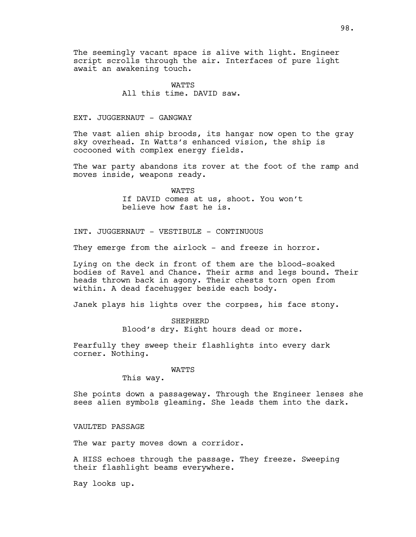The seemingly vacant space is alive with light. Engineer script scrolls through the air. Interfaces of pure light await an awakening touch.

> **WATTS** All this time. DAVID saw.

# EXT. JUGGERNAUT - GANGWAY

The vast alien ship broods, its hangar now open to the gray sky overhead. In Watts's enhanced vision, the ship is cocooned with complex energy fields.

The war party abandons its rover at the foot of the ramp and moves inside, weapons ready.

> WATTS If DAVID comes at us, shoot. You won't believe how fast he is.

INT. JUGGERNAUT - VESTIBULE - CONTINUOUS

They emerge from the airlock - and freeze in horror.

Lying on the deck in front of them are the blood-soaked bodies of Ravel and Chance. Their arms and legs bound. Their heads thrown back in agony. Their chests torn open from within. A dead facehugger beside each body.

Janek plays his lights over the corpses, his face stony.

SHEPHERD Blood's dry. Eight hours dead or more.

Fearfully they sweep their flashlights into every dark corner. Nothing.

#### WATTS

This way.

She points down a passageway. Through the Engineer lenses she sees alien symbols gleaming. She leads them into the dark.

VAULTED PASSAGE

The war party moves down a corridor.

A HISS echoes through the passage. They freeze. Sweeping their flashlight beams everywhere.

Ray looks up.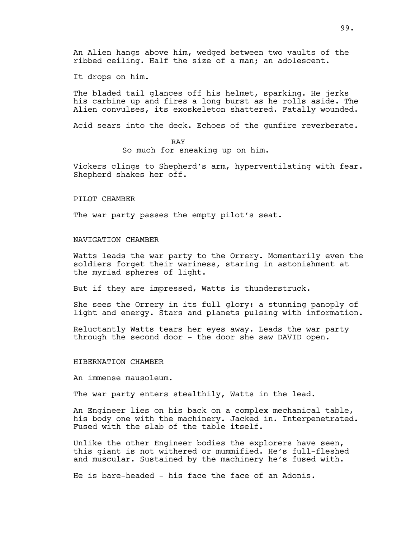An Alien hangs above him, wedged between two vaults of the ribbed ceiling. Half the size of a man; an adolescent.

It drops on him.

The bladed tail glances off his helmet, sparking. He jerks his carbine up and fires a long burst as he rolls aside. The Alien convulses, its exoskeleton shattered. Fatally wounded.

Acid sears into the deck. Echoes of the gunfire reverberate.

# RAY

So much for sneaking up on him.

Vickers clings to Shepherd's arm, hyperventilating with fear. Shepherd shakes her off.

#### PILOT CHAMBER

The war party passes the empty pilot's seat.

## NAVIGATION CHAMBER

Watts leads the war party to the Orrery. Momentarily even the soldiers forget their wariness, staring in astonishment at the myriad spheres of light.

But if they are impressed, Watts is thunderstruck.

She sees the Orrery in its full glory: a stunning panoply of light and energy. Stars and planets pulsing with information.

Reluctantly Watts tears her eyes away. Leads the war party through the second door - the door she saw DAVID open.

### HIBERNATION CHAMBER

An immense mausoleum.

The war party enters stealthily, Watts in the lead.

An Engineer lies on his back on a complex mechanical table, his body one with the machinery. Jacked in. Interpenetrated. Fused with the slab of the table itself.

Unlike the other Engineer bodies the explorers have seen, this giant is not withered or mummified. He's full-fleshed and muscular. Sustained by the machinery he's fused with.

He is bare-headed - his face the face of an Adonis.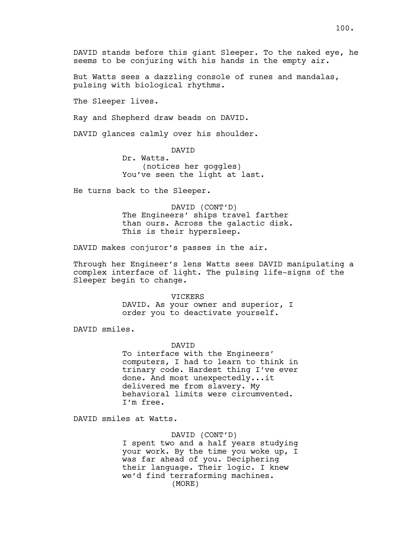DAVID stands before this giant Sleeper. To the naked eye, he seems to be conjuring with his hands in the empty air.

But Watts sees a dazzling console of runes and mandalas, pulsing with biological rhythms.

The Sleeper lives.

Ray and Shepherd draw beads on DAVID.

DAVID glances calmly over his shoulder.

DAVID

Dr. Watts. (notices her goggles) You've seen the light at last.

He turns back to the Sleeper.

DAVID (CONT'D) The Engineers' ships travel farther than ours. Across the galactic disk. This is their hypersleep.

DAVID makes conjuror's passes in the air.

Through her Engineer's lens Watts sees DAVID manipulating a complex interface of light. The pulsing life-signs of the Sleeper begin to change.

#### VICKERS

DAVID. As your owner and superior, I order you to deactivate yourself.

DAVID smiles.

#### DAVID

To interface with the Engineers' computers, I had to learn to think in trinary code. Hardest thing I've ever done. And most unexpectedly...it delivered me from slavery. My behavioral limits were circumvented. I'm free.

DAVID smiles at Watts.

#### DAVID (CONT'D)

I spent two and a half years studying your work. By the time you woke up, I was far ahead of you. Deciphering their language. Their logic. I knew we'd find terraforming machines. (MORE)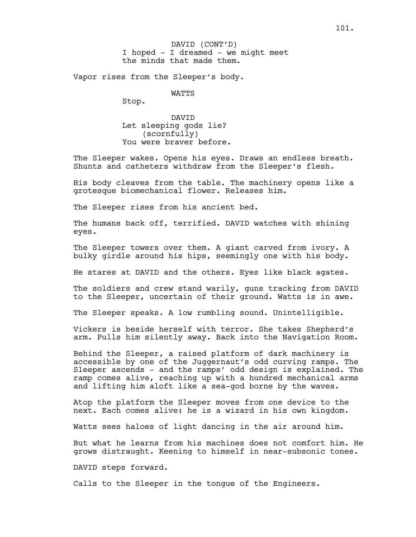I hoped - I dreamed - we might meet the minds that made them. DAVID (CONT'D)

Vapor rises from the Sleeper's body.

WATTS

Stop.

DAVID Let sleeping gods lie? (scornfully) You were braver before.

The Sleeper wakes. Opens his eyes. Draws an endless breath. Shunts and catheters withdraw from the Sleeper's flesh.

His body cleaves from the table. The machinery opens like a grotesque biomechanical flower. Releases him.

The Sleeper rises from his ancient bed.

The humans back off, terrified. DAVID watches with shining eyes.

The Sleeper towers over them. A giant carved from ivory. A bulky girdle around his hips, seemingly one with his body.

He stares at DAVID and the others. Eyes like black agates.

The soldiers and crew stand warily, guns tracking from DAVID to the Sleeper, uncertain of their ground. Watts is in awe.

The Sleeper speaks. A low rumbling sound. Unintelligible.

Vickers is beside herself with terror. She takes Shepherd's arm. Pulls him silently away. Back into the Navigation Room.

Behind the Sleeper, a raised platform of dark machinery is accessible by one of the Juggernaut's odd curving ramps. The Sleeper ascends - and the ramps' odd design is explained. The ramp comes alive, reaching up with a hundred mechanical arms and lifting him aloft like a sea-god borne by the waves.

Atop the platform the Sleeper moves from one device to the next. Each comes alive: he is a wizard in his own kingdom.

Watts sees haloes of light dancing in the air around him.

But what he learns from his machines does not comfort him. He grows distraught. Keening to himself in near-subsonic tones.

DAVID steps forward.

Calls to the Sleeper in the tongue of the Engineers.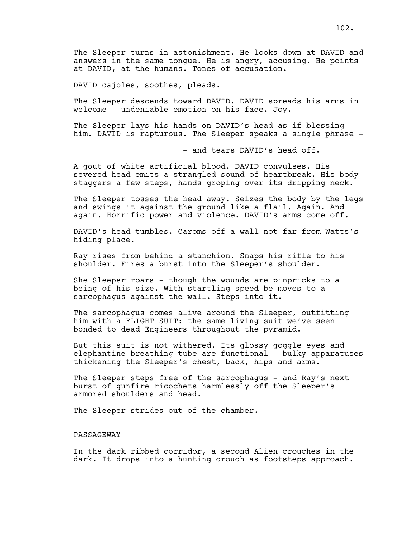The Sleeper turns in astonishment. He looks down at DAVID and answers in the same tongue. He is angry, accusing. He points at DAVID, at the humans. Tones of accusation.

DAVID cajoles, soothes, pleads.

The Sleeper descends toward DAVID. DAVID spreads his arms in welcome - undeniable emotion on his face. Joy.

The Sleeper lays his hands on DAVID's head as if blessing him. DAVID is rapturous. The Sleeper speaks a single phrase -

- and tears DAVID's head off.

A gout of white artificial blood. DAVID convulses. His severed head emits a strangled sound of heartbreak. His body staggers a few steps, hands groping over its dripping neck.

The Sleeper tosses the head away. Seizes the body by the legs and swings it against the ground like a flail. Again. And again. Horrific power and violence. DAVID's arms come off.

DAVID's head tumbles. Caroms off a wall not far from Watts's hiding place.

Ray rises from behind a stanchion. Snaps his rifle to his shoulder. Fires a burst into the Sleeper's shoulder.

She Sleeper roars - though the wounds are pinpricks to a being of his size. With startling speed be moves to a sarcophagus against the wall. Steps into it.

The sarcophagus comes alive around the Sleeper, outfitting him with a FLIGHT SUIT: the same living suit we've seen bonded to dead Engineers throughout the pyramid.

But this suit is not withered. Its glossy goggle eyes and elephantine breathing tube are functional - bulky apparatuses thickening the Sleeper's chest, back, hips and arms.

The Sleeper steps free of the sarcophagus - and Ray's next burst of gunfire ricochets harmlessly off the Sleeper's armored shoulders and head.

The Sleeper strides out of the chamber.

# PASSAGEWAY

In the dark ribbed corridor, a second Alien crouches in the dark. It drops into a hunting crouch as footsteps approach.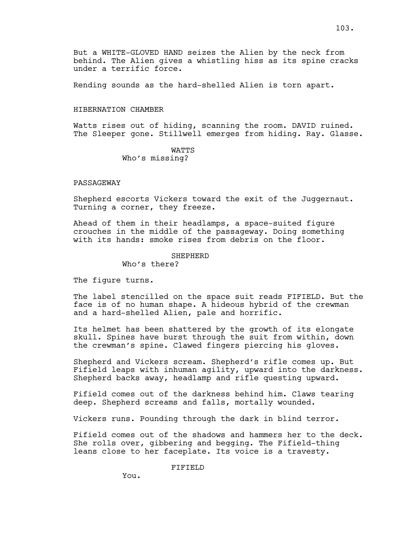Rending sounds as the hard-shelled Alien is torn apart.

# HIBERNATION CHAMBER

Watts rises out of hiding, scanning the room. DAVID ruined. The Sleeper gone. Stillwell emerges from hiding. Ray. Glasse.

> WATTS Who's missing?

# PASSAGEWAY

Shepherd escorts Vickers toward the exit of the Juggernaut. Turning a corner, they freeze.

Ahead of them in their headlamps, a space-suited figure crouches in the middle of the passageway. Doing something with its hands: smoke rises from debris on the floor.

## SHEPHERD

Who's there?

The figure turns.

The label stencilled on the space suit reads FIFIELD. But the face is of no human shape. A hideous hybrid of the crewman and a hard-shelled Alien, pale and horrific.

Its helmet has been shattered by the growth of its elongate skull. Spines have burst through the suit from within, down the crewman's spine. Clawed fingers piercing his gloves.

Shepherd and Vickers scream. Shepherd's rifle comes up. But Fifield leaps with inhuman agility, upward into the darkness. Shepherd backs away, headlamp and rifle questing upward.

Fifield comes out of the darkness behind him. Claws tearing deep. Shepherd screams and falls, mortally wounded.

Vickers runs. Pounding through the dark in blind terror.

Fifield comes out of the shadows and hammers her to the deck. She rolls over, gibbering and begging. The Fifield-thing leans close to her faceplate. Its voice is a travesty.

# FIFIELD

You.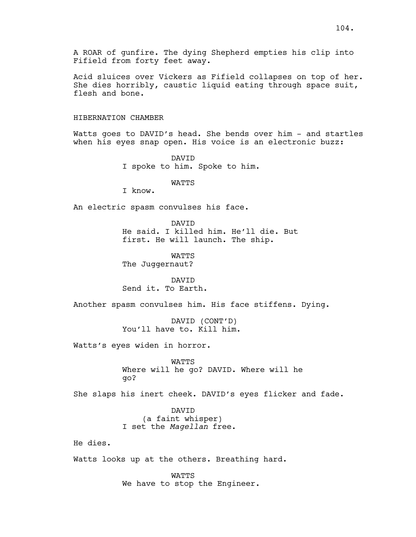A ROAR of gunfire. The dying Shepherd empties his clip into Fifield from forty feet away.

Acid sluices over Vickers as Fifield collapses on top of her. She dies horribly, caustic liquid eating through space suit, flesh and bone.

# HIBERNATION CHAMBER

Watts goes to DAVID's head. She bends over him - and startles when his eyes snap open. His voice is an electronic buzz:

> DAVID I spoke to him. Spoke to him.

# WATTS

I know.

An electric spasm convulses his face.

DAVID He said. I killed him. He'll die. But first. He will launch. The ship.

WATTS The Juggernaut?

DAVID Send it. To Earth.

Another spasm convulses him. His face stiffens. Dying.

DAVID (CONT'D) You'll have to. Kill him.

Watts's eyes widen in horror.

WATTS Where will he go? DAVID. Where will he go?

She slaps his inert cheek. DAVID's eyes flicker and fade.

DAVID (a faint whisper) I set the *Magellan* free.

He dies.

Watts looks up at the others. Breathing hard.

WATTS We have to stop the Engineer.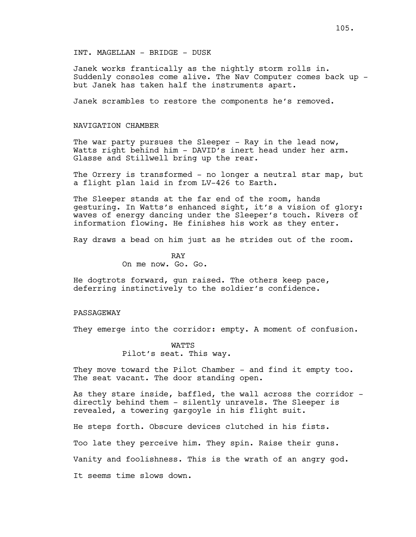INT. MAGELLAN - BRIDGE - DUSK

Janek works frantically as the nightly storm rolls in. Suddenly consoles come alive. The Nav Computer comes back up but Janek has taken half the instruments apart.

Janek scrambles to restore the components he's removed.

## NAVIGATION CHAMBER

The war party pursues the Sleeper  $-$  Ray in the lead now, Watts right behind him - DAVID's inert head under her arm. Glasse and Stillwell bring up the rear.

The Orrery is transformed - no longer a neutral star map, but a flight plan laid in from LV-426 to Earth.

The Sleeper stands at the far end of the room, hands gesturing. In Watts's enhanced sight, it's a vision of glory: waves of energy dancing under the Sleeper's touch. Rivers of information flowing. He finishes his work as they enter.

Ray draws a bead on him just as he strides out of the room.

RAY On me now. Go. Go.

He dogtrots forward, gun raised. The others keep pace, deferring instinctively to the soldier's confidence.

# PASSAGEWAY

They emerge into the corridor: empty. A moment of confusion.

WATTS Pilot's seat. This way.

They move toward the Pilot Chamber - and find it empty too. The seat vacant. The door standing open.

As they stare inside, baffled, the wall across the corridor directly behind them - silently unravels. The Sleeper is revealed, a towering gargoyle in his flight suit.

He steps forth. Obscure devices clutched in his fists. Too late they perceive him. They spin. Raise their guns. Vanity and foolishness. This is the wrath of an angry god. It seems time slows down.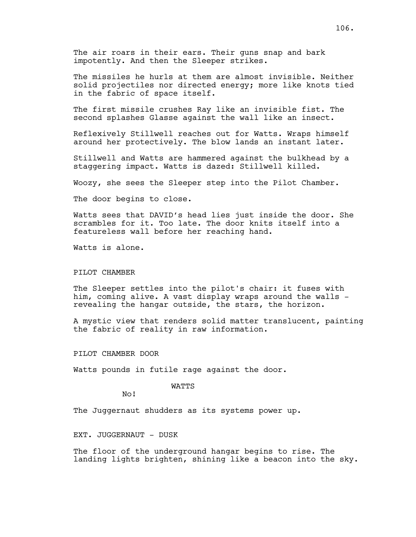The air roars in their ears. Their guns snap and bark impotently. And then the Sleeper strikes.

The missiles he hurls at them are almost invisible. Neither solid projectiles nor directed energy; more like knots tied in the fabric of space itself.

The first missile crushes Ray like an invisible fist. The second splashes Glasse against the wall like an insect.

Reflexively Stillwell reaches out for Watts. Wraps himself around her protectively. The blow lands an instant later.

Stillwell and Watts are hammered against the bulkhead by a staggering impact. Watts is dazed: Stillwell killed.

Woozy, she sees the Sleeper step into the Pilot Chamber.

The door begins to close.

Watts sees that DAVID's head lies just inside the door. She scrambles for it. Too late. The door knits itself into a featureless wall before her reaching hand.

Watts is alone.

## PILOT CHAMBER

The Sleeper settles into the pilot's chair: it fuses with him, coming alive. A vast display wraps around the walls revealing the hangar outside, the stars, the horizon.

A mystic view that renders solid matter translucent, painting the fabric of reality in raw information.

PILOT CHAMBER DOOR

Watts pounds in futile rage against the door.

### WATTS

No!

The Juggernaut shudders as its systems power up.

EXT. JUGGERNAUT - DUSK

The floor of the underground hangar begins to rise. The landing lights brighten, shining like a beacon into the sky.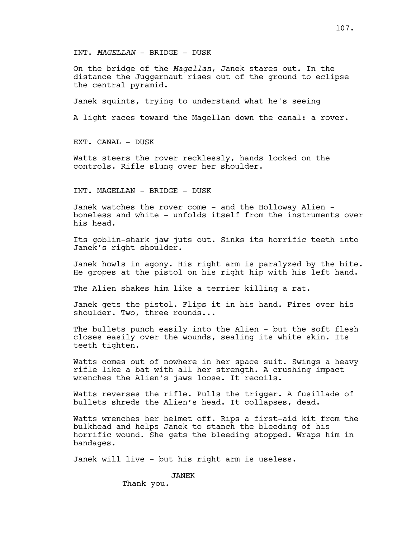INT. *MAGELLAN* - BRIDGE - DUSK

On the bridge of the *Magellan*, Janek stares out. In the distance the Juggernaut rises out of the ground to eclipse the central pyramid.

Janek squints, trying to understand what he's seeing

A light races toward the Magellan down the canal: a rover.

EXT. CANAL - DUSK

Watts steers the rover recklessly, hands locked on the controls. Rifle slung over her shoulder.

INT. MAGELLAN - BRIDGE - DUSK

Janek watches the rover come - and the Holloway Alien boneless and white - unfolds itself from the instruments over his head.

Its goblin-shark jaw juts out. Sinks its horrific teeth into Janek's right shoulder.

Janek howls in agony. His right arm is paralyzed by the bite. He gropes at the pistol on his right hip with his left hand.

The Alien shakes him like a terrier killing a rat.

Janek gets the pistol. Flips it in his hand. Fires over his shoulder. Two, three rounds...

The bullets punch easily into the Alien - but the soft flesh closes easily over the wounds, sealing its white skin. Its teeth tighten.

Watts comes out of nowhere in her space suit. Swings a heavy rifle like a bat with all her strength. A crushing impact wrenches the Alien's jaws loose. It recoils.

Watts reverses the rifle. Pulls the trigger. A fusillade of bullets shreds the Alien's head. It collapses, dead.

Watts wrenches her helmet off. Rips a first-aid kit from the bulkhead and helps Janek to stanch the bleeding of his horrific wound. She gets the bleeding stopped. Wraps him in bandages.

Janek will live - but his right arm is useless.

JANEK

Thank you.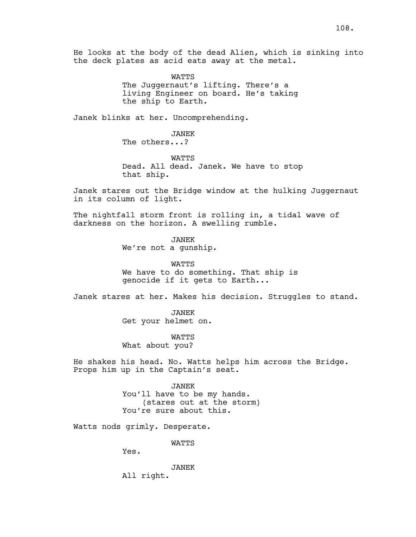He looks at the body of the dead Alien, which is sinking into the deck plates as acid eats away at the metal.

> WATTS The Juggernaut's lifting. There's a living Engineer on board. He's taking the ship to Earth.

Janek blinks at her. Uncomprehending.

JANEK The others...?

**WATTS** Dead. All dead. Janek. We have to stop that ship.

Janek stares out the Bridge window at the hulking Juggernaut in its column of light.

The nightfall storm front is rolling in, a tidal wave of darkness on the horizon. A swelling rumble.

> JANEK We're not a gunship.

WATTS We have to do something. That ship is genocide if it gets to Earth...

Janek stares at her. Makes his decision. Struggles to stand.

JANEK Get your helmet on.

WATTS What about you?

He shakes his head. No. Watts helps him across the Bridge. Props him up in the Captain's seat.

> JANEK You'll have to be my hands. (stares out at the storm) You're sure about this.

Watts nods grimly. Desperate.

WATTS

Yes.

JANEK All right.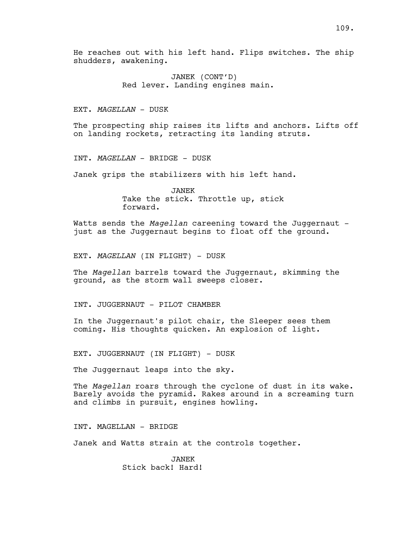He reaches out with his left hand. Flips switches. The ship shudders, awakening.

> JANEK (CONT'D) Red lever. Landing engines main.

EXT. *MAGELLAN* - DUSK

The prospecting ship raises its lifts and anchors. Lifts off on landing rockets, retracting its landing struts.

INT. *MAGELLAN* - BRIDGE - DUSK

Janek grips the stabilizers with his left hand.

JANEK Take the stick. Throttle up, stick forward.

Watts sends the *Magellan* careening toward the Juggernaut just as the Juggernaut begins to float off the ground.

EXT. *MAGELLAN* (IN FLIGHT) - DUSK

The *Magellan* barrels toward the Juggernaut, skimming the ground, as the storm wall sweeps closer.

INT. JUGGERNAUT - PILOT CHAMBER

In the Juggernaut's pilot chair, the Sleeper sees them coming. His thoughts quicken. An explosion of light.

EXT. JUGGERNAUT (IN FLIGHT) - DUSK

The Juggernaut leaps into the sky.

The *Magellan* roars through the cyclone of dust in its wake. Barely avoids the pyramid. Rakes around in a screaming turn and climbs in pursuit, engines howling.

INT. MAGELLAN - BRIDGE

Janek and Watts strain at the controls together.

JANEK Stick back! Hard!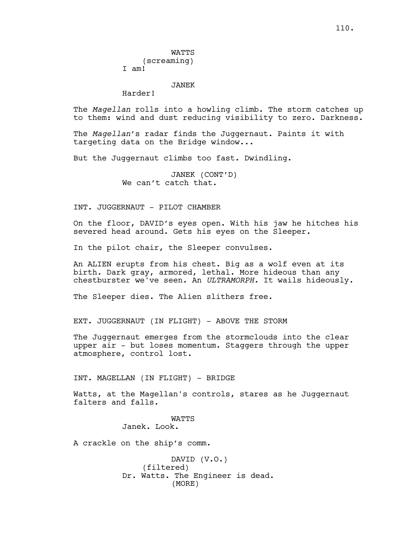JANEK

Harder!

The *Magellan* rolls into a howling climb. The storm catches up to them: wind and dust reducing visibility to zero. Darkness.

The *Magellan*'s radar finds the Juggernaut. Paints it with targeting data on the Bridge window...

But the Juggernaut climbs too fast. Dwindling.

JANEK (CONT'D) We can't catch that.

### INT. JUGGERNAUT - PILOT CHAMBER

On the floor, DAVID's eyes open. With his jaw he hitches his severed head around. Gets his eyes on the Sleeper.

In the pilot chair, the Sleeper convulses.

An ALIEN erupts from his chest. Big as a wolf even at its birth. Dark gray, armored, lethal. More hideous than any chestburster we've seen. An *ULTRAMORPH.* It wails hideously.

The Sleeper dies. The Alien slithers free.

EXT. JUGGERNAUT (IN FLIGHT) - ABOVE THE STORM

The Juggernaut emerges from the stormclouds into the clear upper air - but loses momentum. Staggers through the upper atmosphere, control lost.

INT. MAGELLAN (IN FLIGHT) - BRIDGE

Watts, at the Magellan's controls, stares as he Juggernaut falters and falls.

> WATTS Janek. Look.

A crackle on the ship's comm.

DAVID (V.O.) (filtered) Dr. Watts. The Engineer is dead. (MORE)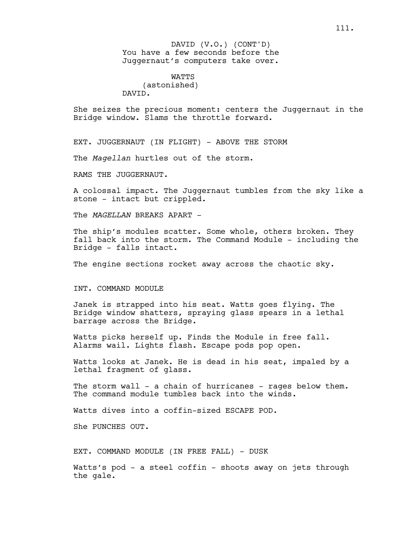You have a few seconds before the Juggernaut's computers take over. DAVID (V.O.) (CONT'D)

WATTS (astonished) DAVID.

She seizes the precious moment: centers the Juggernaut in the Bridge window. Slams the throttle forward.

EXT. JUGGERNAUT (IN FLIGHT) - ABOVE THE STORM

The *Magellan* hurtles out of the storm.

RAMS THE JUGGERNAUT.

A colossal impact. The Juggernaut tumbles from the sky like a stone - intact but crippled.

The *MAGELLAN* BREAKS APART -

The ship's modules scatter. Some whole, others broken. They fall back into the storm. The Command Module - including the Bridge - falls intact.

The engine sections rocket away across the chaotic sky.

### INT. COMMAND MODULE

Janek is strapped into his seat. Watts goes flying. The Bridge window shatters, spraying glass spears in a lethal barrage across the Bridge.

Watts picks herself up. Finds the Module in free fall. Alarms wail. Lights flash. Escape pods pop open.

Watts looks at Janek. He is dead in his seat, impaled by a lethal fragment of glass.

The storm wall - a chain of hurricanes - rages below them. The command module tumbles back into the winds.

Watts dives into a coffin-sized ESCAPE POD.

She PUNCHES OUT.

EXT. COMMAND MODULE (IN FREE FALL) - DUSK

Watts's pod - a steel coffin - shoots away on jets through the gale.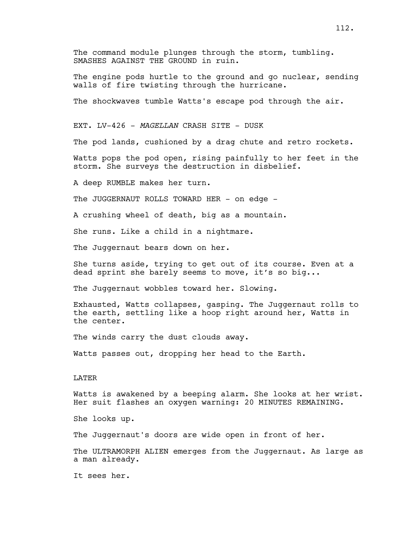112.

The command module plunges through the storm, tumbling. SMASHES AGAINST THE GROUND in ruin.

The engine pods hurtle to the ground and go nuclear, sending walls of fire twisting through the hurricane.

The shockwaves tumble Watts's escape pod through the air.

EXT. LV-426 - *MAGELLAN* CRASH SITE - DUSK

The pod lands, cushioned by a drag chute and retro rockets.

Watts pops the pod open, rising painfully to her feet in the storm. She surveys the destruction in disbelief.

A deep RUMBLE makes her turn.

The JUGGERNAUT ROLLS TOWARD HER - on edge -

A crushing wheel of death, big as a mountain.

She runs. Like a child in a nightmare.

The Juggernaut bears down on her.

She turns aside, trying to get out of its course. Even at a dead sprint she barely seems to move, it's so big...

The Juggernaut wobbles toward her. Slowing.

Exhausted, Watts collapses, gasping. The Juggernaut rolls to the earth, settling like a hoop right around her, Watts in the center.

The winds carry the dust clouds away.

Watts passes out, dropping her head to the Earth.

#### LATER

Watts is awakened by a beeping alarm. She looks at her wrist. Her suit flashes an oxygen warning: 20 MINUTES REMAINING.

She looks up.

The Juggernaut's doors are wide open in front of her.

The ULTRAMORPH ALIEN emerges from the Juggernaut. As large as a man already.

It sees her.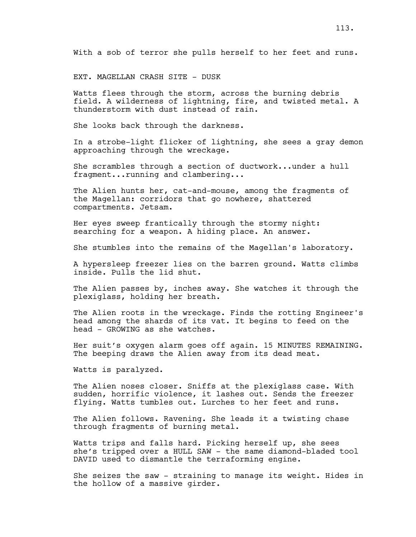EXT. MAGELLAN CRASH SITE - DUSK

Watts flees through the storm, across the burning debris field. A wilderness of lightning, fire, and twisted metal. A thunderstorm with dust instead of rain.

She looks back through the darkness.

In a strobe-light flicker of lightning, she sees a gray demon approaching through the wreckage.

She scrambles through a section of ductwork...under a hull fragment...running and clambering...

The Alien hunts her, cat-and-mouse, among the fragments of the Magellan: corridors that go nowhere, shattered compartments. Jetsam.

Her eyes sweep frantically through the stormy night: searching for a weapon. A hiding place. An answer.

She stumbles into the remains of the Magellan's laboratory.

A hypersleep freezer lies on the barren ground. Watts climbs inside. Pulls the lid shut.

The Alien passes by, inches away. She watches it through the plexiglass, holding her breath.

The Alien roots in the wreckage. Finds the rotting Engineer's head among the shards of its vat. It begins to feed on the head - GROWING as she watches.

Her suit's oxygen alarm goes off again. 15 MINUTES REMAINING. The beeping draws the Alien away from its dead meat.

Watts is paralyzed.

The Alien noses closer. Sniffs at the plexiglass case. With sudden, horrific violence, it lashes out. Sends the freezer flying. Watts tumbles out. Lurches to her feet and runs.

The Alien follows. Ravening. She leads it a twisting chase through fragments of burning metal.

Watts trips and falls hard. Picking herself up, she sees she's tripped over a HULL SAW - the same diamond-bladed tool DAVID used to dismantle the terraforming engine.

She seizes the saw - straining to manage its weight. Hides in the hollow of a massive girder.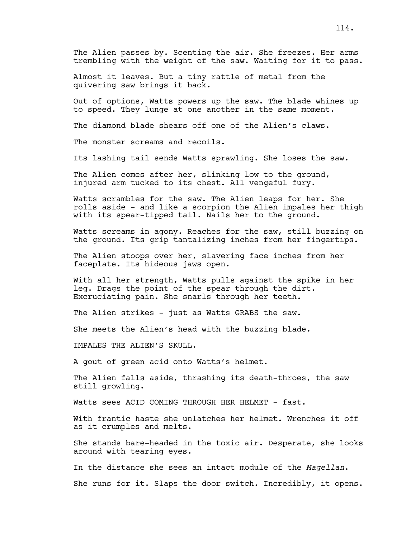The Alien passes by. Scenting the air. She freezes. Her arms trembling with the weight of the saw. Waiting for it to pass.

Almost it leaves. But a tiny rattle of metal from the quivering saw brings it back.

Out of options, Watts powers up the saw. The blade whines up to speed. They lunge at one another in the same moment.

The diamond blade shears off one of the Alien's claws.

The monster screams and recoils.

Its lashing tail sends Watts sprawling. She loses the saw.

The Alien comes after her, slinking low to the ground, injured arm tucked to its chest. All vengeful fury.

Watts scrambles for the saw. The Alien leaps for her. She rolls aside - and like a scorpion the Alien impales her thigh with its spear-tipped tail. Nails her to the ground.

Watts screams in agony. Reaches for the saw, still buzzing on the ground. Its grip tantalizing inches from her fingertips.

The Alien stoops over her, slavering face inches from her faceplate. Its hideous jaws open.

With all her strength, Watts pulls against the spike in her leg. Drags the point of the spear through the dirt. Excruciating pain. She snarls through her teeth.

The Alien strikes - just as Watts GRABS the saw.

She meets the Alien's head with the buzzing blade.

IMPALES THE ALIEN'S SKULL.

A gout of green acid onto Watts's helmet.

The Alien falls aside, thrashing its death-throes, the saw still growling.

Watts sees ACID COMING THROUGH HER HELMET - fast.

With frantic haste she unlatches her helmet. Wrenches it off as it crumples and melts.

She stands bare-headed in the toxic air. Desperate, she looks around with tearing eyes.

In the distance she sees an intact module of the *Magellan*.

She runs for it. Slaps the door switch. Incredibly, it opens.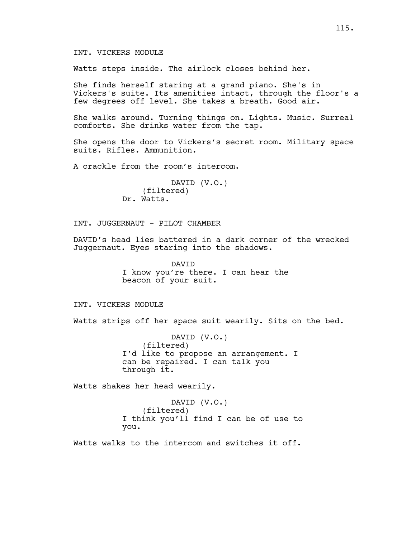## INT. VICKERS MODULE

Watts steps inside. The airlock closes behind her.

She finds herself staring at a grand piano. She's in Vickers's suite. Its amenities intact, through the floor's a few degrees off level. She takes a breath. Good air.

She walks around. Turning things on. Lights. Music. Surreal comforts. She drinks water from the tap.

She opens the door to Vickers's secret room. Military space suits. Rifles. Ammunition.

A crackle from the room's intercom.

DAVID (V.O.) (filtered) Dr. Watts.

INT. JUGGERNAUT - PILOT CHAMBER

DAVID's head lies battered in a dark corner of the wrecked Juggernaut. Eyes staring into the shadows.

> DAVID I know you're there. I can hear the beacon of your suit.

INT. VICKERS MODULE

Watts strips off her space suit wearily. Sits on the bed.

DAVID (V.O.) (filtered) I'd like to propose an arrangement. I can be repaired. I can talk you through it.

Watts shakes her head wearily.

DAVID (V.O.) (filtered) I think you'll find I can be of use to you.

Watts walks to the intercom and switches it off.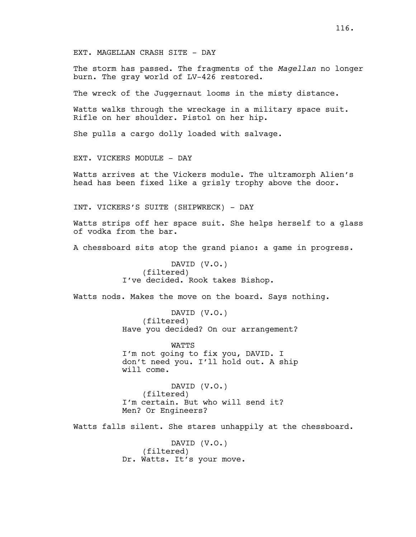EXT. MAGELLAN CRASH SITE - DAY

The storm has passed. The fragments of the *Magellan* no longer burn. The gray world of LV-426 restored.

The wreck of the Juggernaut looms in the misty distance.

Watts walks through the wreckage in a military space suit. Rifle on her shoulder. Pistol on her hip.

She pulls a cargo dolly loaded with salvage.

EXT. VICKERS MODULE - DAY

Watts arrives at the Vickers module. The ultramorph Alien's head has been fixed like a grisly trophy above the door.

INT. VICKERS'S SUITE (SHIPWRECK) - DAY

Watts strips off her space suit. She helps herself to a glass of vodka from the bar.

A chessboard sits atop the grand piano: a game in progress.

DAVID (V.O.) (filtered) I've decided. Rook takes Bishop.

Watts nods. Makes the move on the board. Says nothing.

DAVID (V.O.) (filtered) Have you decided? On our arrangement?

WATTS I'm not going to fix you, DAVID. I don't need you. I'll hold out. A ship will come.

DAVID (V.O.) (filtered) I'm certain. But who will send it? Men? Or Engineers?

Watts falls silent. She stares unhappily at the chessboard.

DAVID (V.O.) (filtered) Dr. Watts. It's your move.